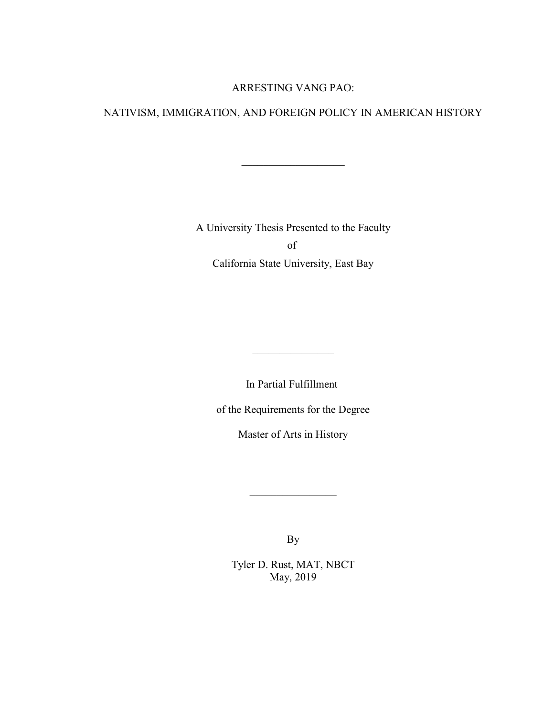### ARRESTING VANG PAO:

### NATIVISM, IMMIGRATION, AND FOREIGN POLICY IN AMERICAN HISTORY

 $\mathcal{L}_\text{max}$  , where  $\mathcal{L}_\text{max}$ 

A University Thesis Presented to the Faculty of California State University, East Bay

In Partial Fulfillment

 $\mathcal{L}$  , we have the set of  $\mathcal{L}$ 

of the Requirements for the Degree

Master of Arts in History

By

 $\mathcal{L}$  , we have the set of  $\mathcal{L}$ 

Tyler D. Rust, MAT, NBCT May, 2019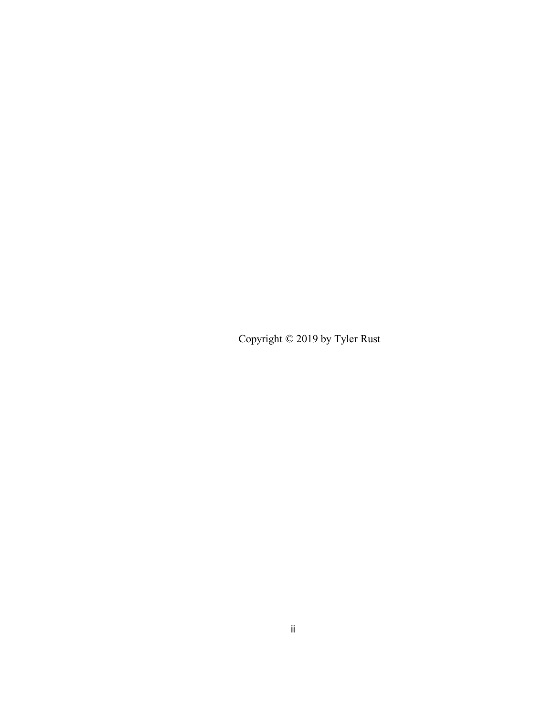Copyright © 2019 by Tyler Rust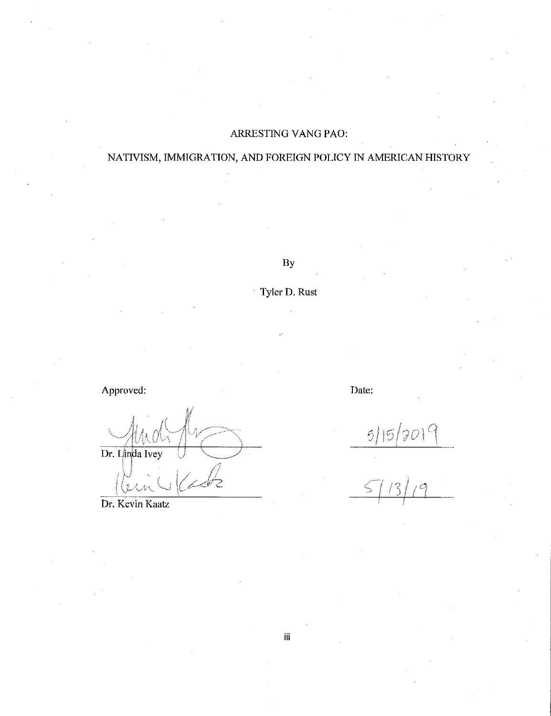## ARRESTING VANG PAO:

## NATIVISM, IMMIGRATION, AND FOREIGN POLICY IN AMERICAN HISTORY

By

## Tyler D. Rust

Approved: Date:

Dr. Linda Ivey j S 2

Dr. Kevin Kaatz

 $515/2019$ 

iii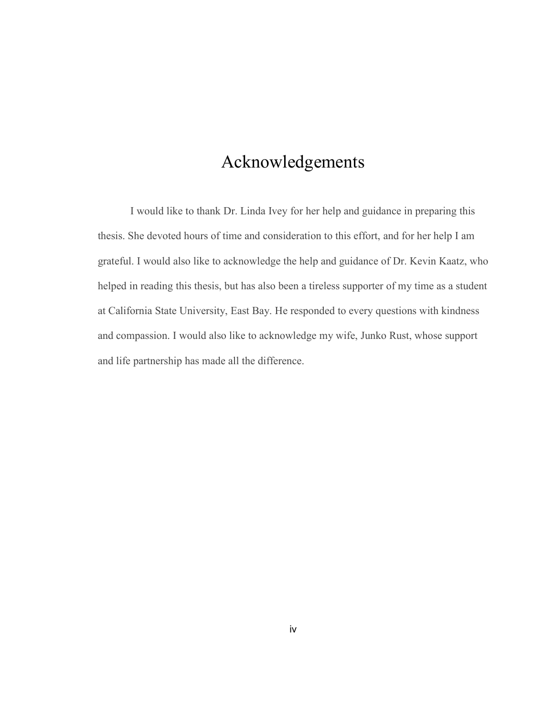# Acknowledgements

I would like to thank Dr. Linda Ivey for her help and guidance in preparing this thesis. She devoted hours of time and consideration to this effort, and for her help I am grateful. I would also like to acknowledge the help and guidance of Dr. Kevin Kaatz, who helped in reading this thesis, but has also been a tireless supporter of my time as a student at California State University, East Bay. He responded to every questions with kindness and compassion. I would also like to acknowledge my wife, Junko Rust, whose support and life partnership has made all the difference.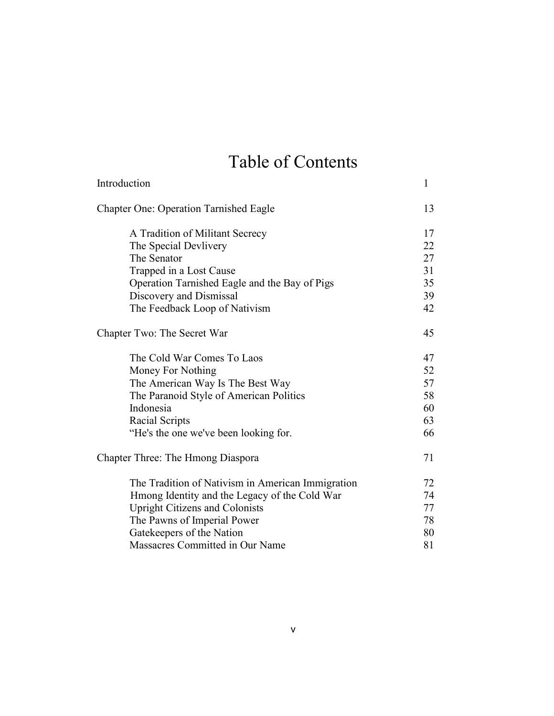# Table of Contents

| Introduction                                      | 1  |
|---------------------------------------------------|----|
| <b>Chapter One: Operation Tarnished Eagle</b>     | 13 |
| A Tradition of Militant Secrecy                   | 17 |
| The Special Devlivery                             | 22 |
| The Senator                                       | 27 |
| Trapped in a Lost Cause                           | 31 |
| Operation Tarnished Eagle and the Bay of Pigs     | 35 |
| Discovery and Dismissal                           | 39 |
| The Feedback Loop of Nativism                     | 42 |
| Chapter Two: The Secret War                       | 45 |
| The Cold War Comes To Laos                        | 47 |
| Money For Nothing                                 | 52 |
| The American Way Is The Best Way                  | 57 |
| The Paranoid Style of American Politics           | 58 |
| Indonesia                                         | 60 |
| Racial Scripts                                    | 63 |
| "He's the one we've been looking for.             | 66 |
| Chapter Three: The Hmong Diaspora                 | 71 |
| The Tradition of Nativism in American Immigration | 72 |
| Hmong Identity and the Legacy of the Cold War     | 74 |
| <b>Upright Citizens and Colonists</b>             | 77 |
| The Pawns of Imperial Power                       | 78 |
| Gatekeepers of the Nation                         | 80 |
| Massacres Committed in Our Name                   | 81 |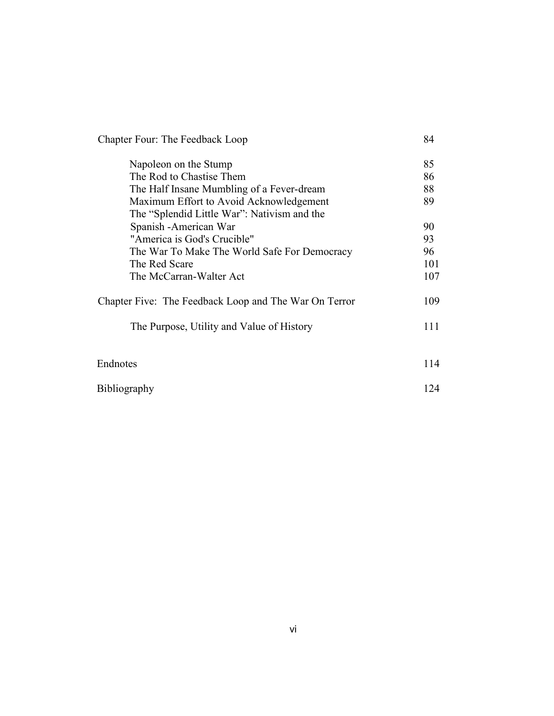| Chapter Four: The Feedback Loop                       | 84  |
|-------------------------------------------------------|-----|
| Napoleon on the Stump                                 | 85  |
| The Rod to Chastise Them                              | 86  |
| The Half Insane Mumbling of a Fever-dream             | 88  |
| Maximum Effort to Avoid Acknowledgement               | 89  |
| The "Splendid Little War": Nativism and the           |     |
| Spanish - American War                                | 90  |
| "America is God's Crucible"                           | 93  |
| The War To Make The World Safe For Democracy          | 96  |
| The Red Scare                                         | 101 |
| The McCarran-Walter Act                               | 107 |
| Chapter Five: The Feedback Loop and The War On Terror | 109 |
| The Purpose, Utility and Value of History             | 111 |
|                                                       |     |
| Endnotes                                              | 114 |
| <b>Bibliography</b>                                   | 124 |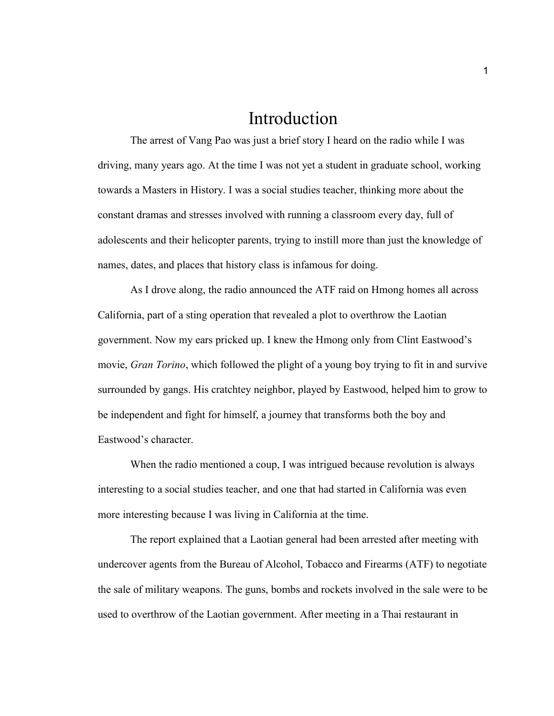## Introduction

The arrest of Vang Pao was just a brief story I heard on the radio while I was driving, many years ago. At the time I was not yet a student in graduate school, working towards a Masters in History. I was a social studies teacher, thinking more about the constant dramas and stresses involved with running a classroom every day, full of adolescents and their helicopter parents, trying to instill more than just the knowledge of names, dates, and places that history class is infamous for doing.

As I drove along, the radio announced the ATF raid on Hmong homes all across California, part of a sting operation that revealed a plot to overthrow the Laotian government. Now my ears pricked up. I knew the Hmong only from Clint Eastwood's movie, *Gran Torino*, which followed the plight of a young boy trying to fit in and survive surrounded by gangs. His cratchtey neighbor, played by Eastwood, helped him to grow to be independent and fight for himself, a journey that transforms both the boy and Eastwood's character.

When the radio mentioned a coup, I was intrigued because revolution is always interesting to a social studies teacher, and one that had started in California was even more interesting because I was living in California at the time.

The report explained that a Laotian general had been arrested after meeting with undercover agents from the Bureau of Alcohol, Tobacco and Firearms (ATF) to negotiate the sale of military weapons. The guns, bombs and rockets involved in the sale were to be used to overthrow of the Laotian government. After meeting in a Thai restaurant in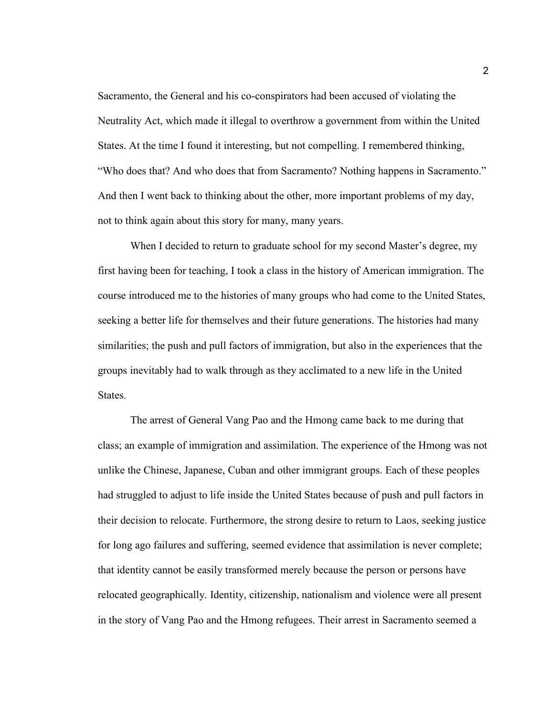Sacramento, the General and his co-conspirators had been accused of violating the Neutrality Act, which made it illegal to overthrow a government from within the United States. At the time I found it interesting, but not compelling. I remembered thinking, "Who does that? And who does that from Sacramento? Nothing happens in Sacramento." And then I went back to thinking about the other, more important problems of my day, not to think again about this story for many, many years.

When I decided to return to graduate school for my second Master's degree, my first having been for teaching, I took a class in the history of American immigration. The course introduced me to the histories of many groups who had come to the United States, seeking a better life for themselves and their future generations. The histories had many similarities; the push and pull factors of immigration, but also in the experiences that the groups inevitably had to walk through as they acclimated to a new life in the United States.

The arrest of General Vang Pao and the Hmong came back to me during that class; an example of immigration and assimilation. The experience of the Hmong was not unlike the Chinese, Japanese, Cuban and other immigrant groups. Each of these peoples had struggled to adjust to life inside the United States because of push and pull factors in their decision to relocate. Furthermore, the strong desire to return to Laos, seeking justice for long ago failures and suffering, seemed evidence that assimilation is never complete; that identity cannot be easily transformed merely because the person or persons have relocated geographically. Identity, citizenship, nationalism and violence were all present in the story of Vang Pao and the Hmong refugees. Their arrest in Sacramento seemed a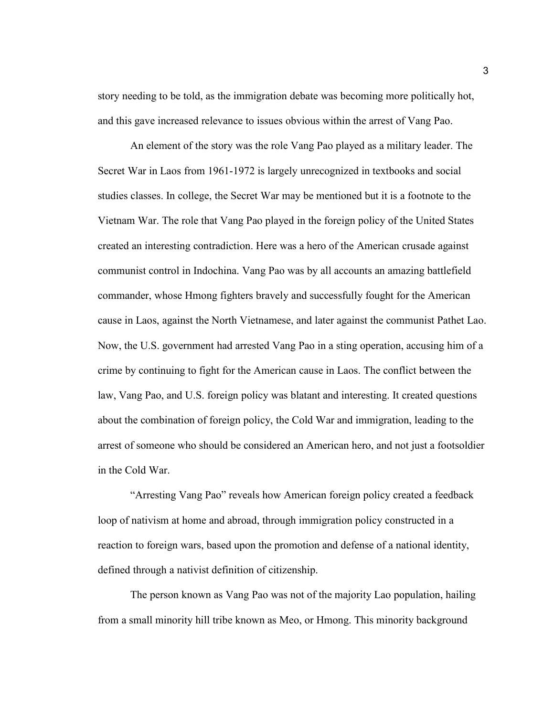story needing to be told, as the immigration debate was becoming more politically hot, and this gave increased relevance to issues obvious within the arrest of Vang Pao.

An element of the story was the role Vang Pao played as a military leader. The Secret War in Laos from 1961-1972 is largely unrecognized in textbooks and social studies classes. In college, the Secret War may be mentioned but it is a footnote to the Vietnam War. The role that Vang Pao played in the foreign policy of the United States created an interesting contradiction. Here was a hero of the American crusade against communist control in Indochina. Vang Pao was by all accounts an amazing battlefield commander, whose Hmong fighters bravely and successfully fought for the American cause in Laos, against the North Vietnamese, and later against the communist Pathet Lao. Now, the U.S. government had arrested Vang Pao in a sting operation, accusing him of a crime by continuing to fight for the American cause in Laos. The conflict between the law, Vang Pao, and U.S. foreign policy was blatant and interesting. It created questions about the combination of foreign policy, the Cold War and immigration, leading to the arrest of someone who should be considered an American hero, and not just a footsoldier in the Cold War.

"Arresting Vang Pao" reveals how American foreign policy created a feedback loop of nativism at home and abroad, through immigration policy constructed in a reaction to foreign wars, based upon the promotion and defense of a national identity, defined through a nativist definition of citizenship.

The person known as Vang Pao was not of the majority Lao population, hailing from a small minority hill tribe known as Meo, or Hmong. This minority background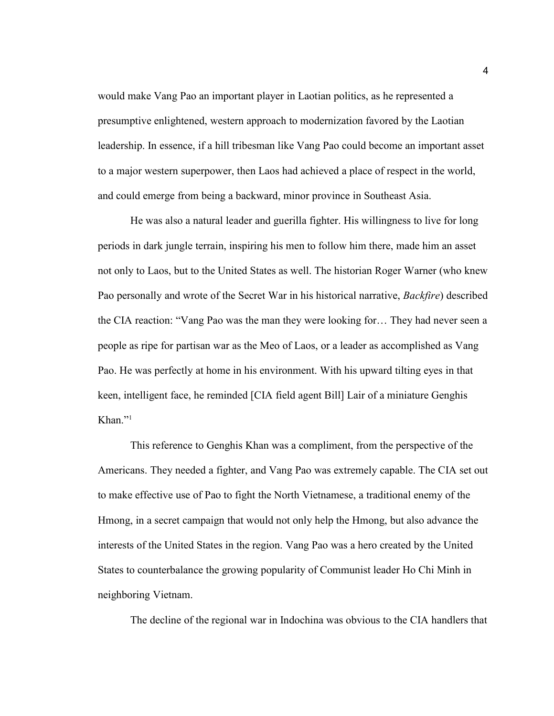would make Vang Pao an important player in Laotian politics, as he represented a presumptive enlightened, western approach to modernization favored by the Laotian leadership. In essence, if a hill tribesman like Vang Pao could become an important asset to a major western superpower, then Laos had achieved a place of respect in the world, and could emerge from being a backward, minor province in Southeast Asia.

He was also a natural leader and guerilla fighter. His willingness to live for long periods in dark jungle terrain, inspiring his men to follow him there, made him an asset not only to Laos, but to the United States as well. The historian Roger Warner (who knew Pao personally and wrote of the Secret War in his historical narrative, *Backfire*) described the CIA reaction: "Vang Pao was the man they were looking for… They had never seen a people as ripe for partisan war as the Meo of Laos, or a leader as accomplished as Vang Pao. He was perfectly at home in his environment. With his upward tilting eyes in that keen, intelligent face, he reminded [CIA field agent Bill] Lair of a miniature Genghis Khan $"$ <sup>1</sup>

This reference to Genghis Khan was a compliment, from the perspective of the Americans. They needed a fighter, and Vang Pao was extremely capable. The CIA set out to make effective use of Pao to fight the North Vietnamese, a traditional enemy of the Hmong, in a secret campaign that would not only help the Hmong, but also advance the interests of the United States in the region. Vang Pao was a hero created by the United States to counterbalance the growing popularity of Communist leader Ho Chi Minh in neighboring Vietnam.

The decline of the regional war in Indochina was obvious to the CIA handlers that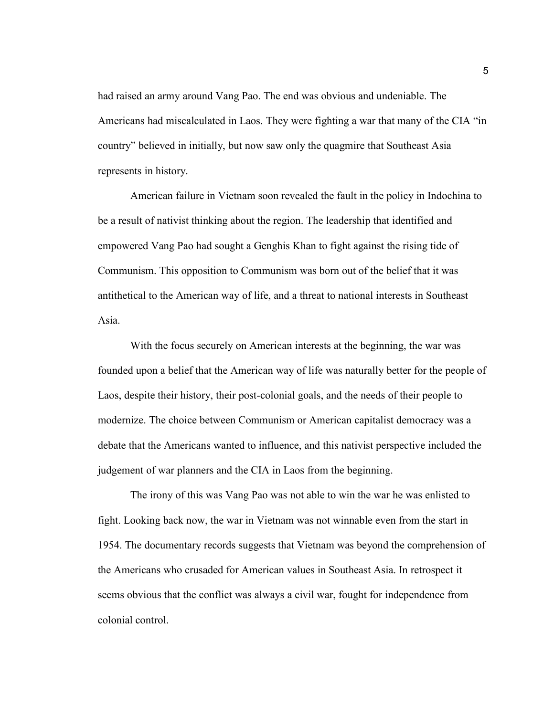had raised an army around Vang Pao. The end was obvious and undeniable. The Americans had miscalculated in Laos. They were fighting a war that many of the CIA "in country" believed in initially, but now saw only the quagmire that Southeast Asia represents in history.

American failure in Vietnam soon revealed the fault in the policy in Indochina to be a result of nativist thinking about the region. The leadership that identified and empowered Vang Pao had sought a Genghis Khan to fight against the rising tide of Communism. This opposition to Communism was born out of the belief that it was antithetical to the American way of life, and a threat to national interests in Southeast Asia.

With the focus securely on American interests at the beginning, the war was founded upon a belief that the American way of life was naturally better for the people of Laos, despite their history, their post-colonial goals, and the needs of their people to modernize. The choice between Communism or American capitalist democracy was a debate that the Americans wanted to influence, and this nativist perspective included the judgement of war planners and the CIA in Laos from the beginning.

The irony of this was Vang Pao was not able to win the war he was enlisted to fight. Looking back now, the war in Vietnam was not winnable even from the start in 1954. The documentary records suggests that Vietnam was beyond the comprehension of the Americans who crusaded for American values in Southeast Asia. In retrospect it seems obvious that the conflict was always a civil war, fought for independence from colonial control.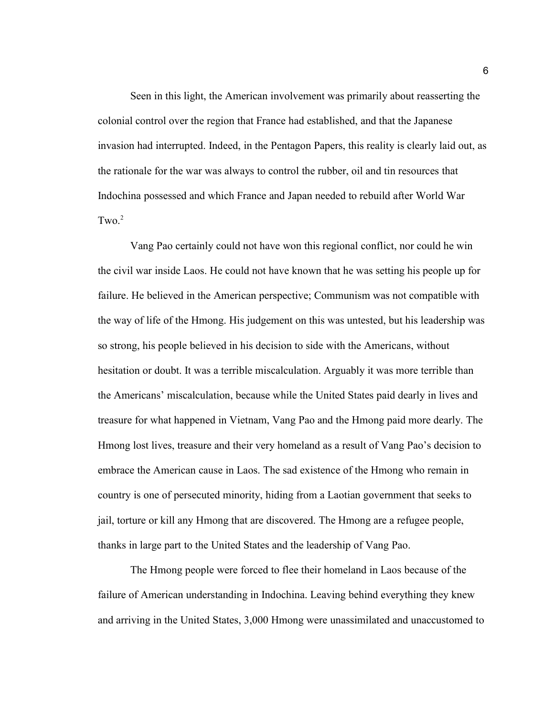Seen in this light, the American involvement was primarily about reasserting the colonial control over the region that France had established, and that the Japanese invasion had interrupted. Indeed, in the Pentagon Papers, this reality is clearly laid out, as the rationale for the war was always to control the rubber, oil and tin resources that Indochina possessed and which France and Japan needed to rebuild after World War  $Two<sup>2</sup>$ 

Vang Pao certainly could not have won this regional conflict, nor could he win the civil war inside Laos. He could not have known that he was setting his people up for failure. He believed in the American perspective; Communism was not compatible with the way of life of the Hmong. His judgement on this was untested, but his leadership was so strong, his people believed in his decision to side with the Americans, without hesitation or doubt. It was a terrible miscalculation. Arguably it was more terrible than the Americans' miscalculation, because while the United States paid dearly in lives and treasure for what happened in Vietnam, Vang Pao and the Hmong paid more dearly. The Hmong lost lives, treasure and their very homeland as a result of Vang Pao's decision to embrace the American cause in Laos. The sad existence of the Hmong who remain in country is one of persecuted minority, hiding from a Laotian government that seeks to jail, torture or kill any Hmong that are discovered. The Hmong are a refugee people, thanks in large part to the United States and the leadership of Vang Pao.

The Hmong people were forced to flee their homeland in Laos because of the failure of American understanding in Indochina. Leaving behind everything they knew and arriving in the United States, 3,000 Hmong were unassimilated and unaccustomed to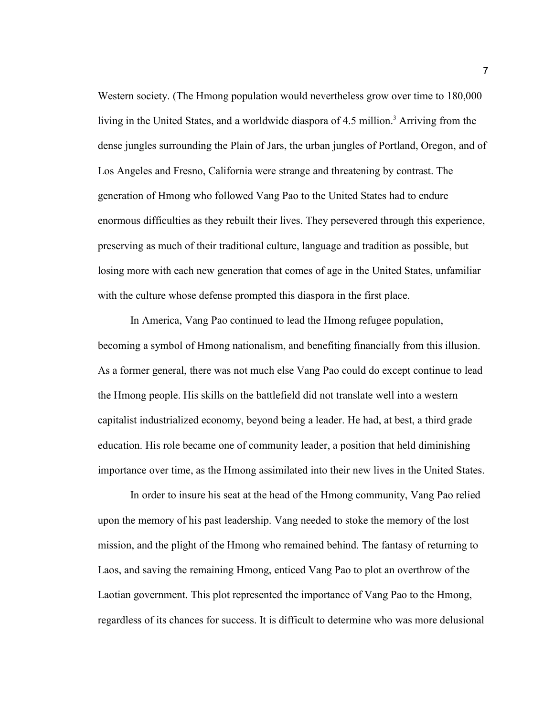Western society. (The Hmong population would nevertheless grow over time to 180,000 living in the United States, and a worldwide diaspora of 4.5 million.<sup>3</sup> Arriving from the dense jungles surrounding the Plain of Jars, the urban jungles of Portland, Oregon, and of Los Angeles and Fresno, California were strange and threatening by contrast. The generation of Hmong who followed Vang Pao to the United States had to endure enormous difficulties as they rebuilt their lives. They persevered through this experience, preserving as much of their traditional culture, language and tradition as possible, but losing more with each new generation that comes of age in the United States, unfamiliar with the culture whose defense prompted this diaspora in the first place.

In America, Vang Pao continued to lead the Hmong refugee population, becoming a symbol of Hmong nationalism, and benefiting financially from this illusion. As a former general, there was not much else Vang Pao could do except continue to lead the Hmong people. His skills on the battlefield did not translate well into a western capitalist industrialized economy, beyond being a leader. He had, at best, a third grade education. His role became one of community leader, a position that held diminishing importance over time, as the Hmong assimilated into their new lives in the United States.

In order to insure his seat at the head of the Hmong community, Vang Pao relied upon the memory of his past leadership. Vang needed to stoke the memory of the lost mission, and the plight of the Hmong who remained behind. The fantasy of returning to Laos, and saving the remaining Hmong, enticed Vang Pao to plot an overthrow of the Laotian government. This plot represented the importance of Vang Pao to the Hmong, regardless of its chances for success. It is difficult to determine who was more delusional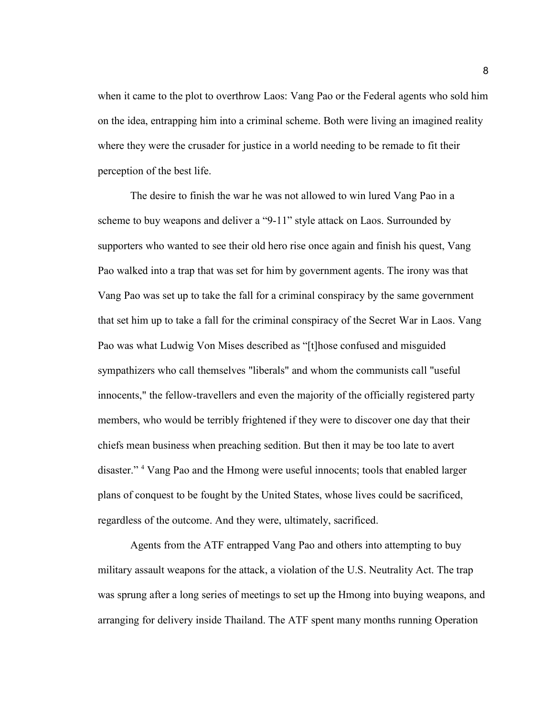when it came to the plot to overthrow Laos: Vang Pao or the Federal agents who sold him on the idea, entrapping him into a criminal scheme. Both were living an imagined reality where they were the crusader for justice in a world needing to be remade to fit their perception of the best life.

The desire to finish the war he was not allowed to win lured Vang Pao in a scheme to buy weapons and deliver a "9-11" style attack on Laos. Surrounded by supporters who wanted to see their old hero rise once again and finish his quest, Vang Pao walked into a trap that was set for him by government agents. The irony was that Vang Pao was set up to take the fall for a criminal conspiracy by the same government that set him up to take a fall for the criminal conspiracy of the Secret War in Laos. Vang Pao was what Ludwig Von Mises described as "[t]hose confused and misguided sympathizers who call themselves "liberals" and whom the communists call "useful innocents," the fellow-travellers and even the majority of the officially registered party members, who would be terribly frightened if they were to discover one day that their chiefs mean business when preaching sedition. But then it may be too late to avert disaster." <sup>4</sup> Vang Pao and the Hmong were useful innocents; tools that enabled larger plans of conquest to be fought by the United States, whose lives could be sacrificed, regardless of the outcome. And they were, ultimately, sacrificed.

Agents from the ATF entrapped Vang Pao and others into attempting to buy military assault weapons for the attack, a violation of the U.S. Neutrality Act. The trap was sprung after a long series of meetings to set up the Hmong into buying weapons, and arranging for delivery inside Thailand. The ATF spent many months running Operation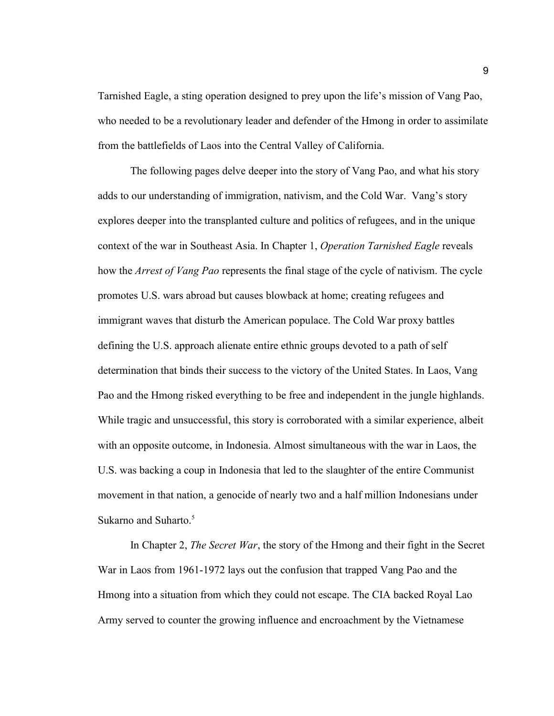Tarnished Eagle, a sting operation designed to prey upon the life's mission of Vang Pao, who needed to be a revolutionary leader and defender of the Hmong in order to assimilate from the battlefields of Laos into the Central Valley of California.

The following pages delve deeper into the story of Vang Pao, and what his story adds to our understanding of immigration, nativism, and the Cold War. Vang's story explores deeper into the transplanted culture and politics of refugees, and in the unique context of the war in Southeast Asia. In Chapter 1, *Operation Tarnished Eagle* reveals how the *Arrest of Vang Pao* represents the final stage of the cycle of nativism. The cycle promotes U.S. wars abroad but causes blowback at home; creating refugees and immigrant waves that disturb the American populace. The Cold War proxy battles defining the U.S. approach alienate entire ethnic groups devoted to a path of self determination that binds their success to the victory of the United States. In Laos, Vang Pao and the Hmong risked everything to be free and independent in the jungle highlands. While tragic and unsuccessful, this story is corroborated with a similar experience, albeit with an opposite outcome, in Indonesia. Almost simultaneous with the war in Laos, the U.S. was backing a coup in Indonesia that led to the slaughter of the entire Communist movement in that nation, a genocide of nearly two and a half million Indonesians under Sukarno and Suharto. $5$ 

In Chapter 2, *The Secret War*, the story of the Hmong and their fight in the Secret War in Laos from 1961-1972 lays out the confusion that trapped Vang Pao and the Hmong into a situation from which they could not escape. The CIA backed Royal Lao Army served to counter the growing influence and encroachment by the Vietnamese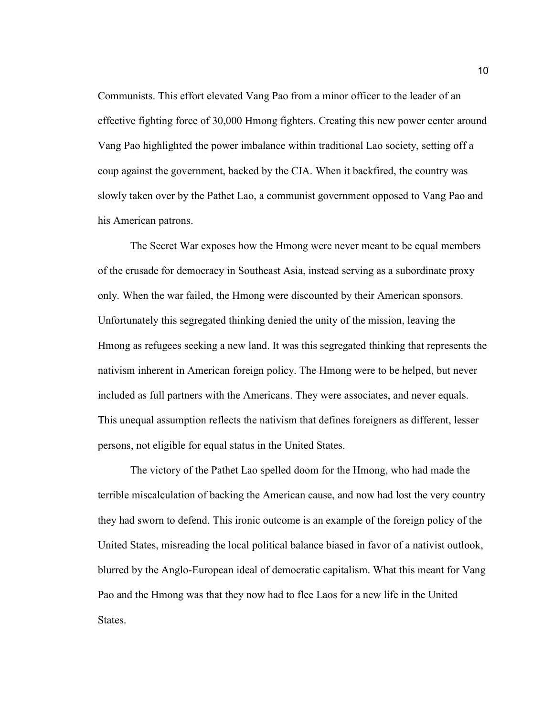Communists. This effort elevated Vang Pao from a minor officer to the leader of an effective fighting force of 30,000 Hmong fighters. Creating this new power center around Vang Pao highlighted the power imbalance within traditional Lao society, setting off a coup against the government, backed by the CIA. When it backfired, the country was slowly taken over by the Pathet Lao, a communist government opposed to Vang Pao and his American patrons.

The Secret War exposes how the Hmong were never meant to be equal members of the crusade for democracy in Southeast Asia, instead serving as a subordinate proxy only. When the war failed, the Hmong were discounted by their American sponsors. Unfortunately this segregated thinking denied the unity of the mission, leaving the Hmong as refugees seeking a new land. It was this segregated thinking that represents the nativism inherent in American foreign policy. The Hmong were to be helped, but never included as full partners with the Americans. They were associates, and never equals. This unequal assumption reflects the nativism that defines foreigners as different, lesser persons, not eligible for equal status in the United States.

The victory of the Pathet Lao spelled doom for the Hmong, who had made the terrible miscalculation of backing the American cause, and now had lost the very country they had sworn to defend. This ironic outcome is an example of the foreign policy of the United States, misreading the local political balance biased in favor of a nativist outlook, blurred by the Anglo-European ideal of democratic capitalism. What this meant for Vang Pao and the Hmong was that they now had to flee Laos for a new life in the United States.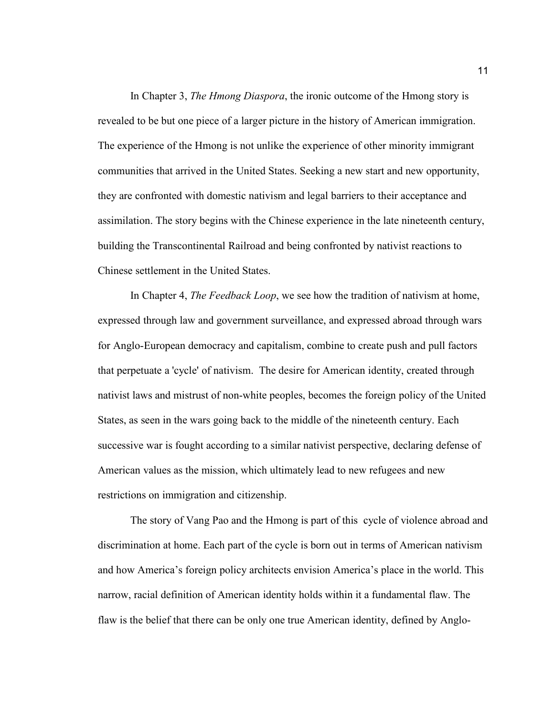In Chapter 3, *The Hmong Diaspora*, the ironic outcome of the Hmong story is revealed to be but one piece of a larger picture in the history of American immigration. The experience of the Hmong is not unlike the experience of other minority immigrant communities that arrived in the United States. Seeking a new start and new opportunity, they are confronted with domestic nativism and legal barriers to their acceptance and assimilation. The story begins with the Chinese experience in the late nineteenth century, building the Transcontinental Railroad and being confronted by nativist reactions to Chinese settlement in the United States.

In Chapter 4, *The Feedback Loop*, we see how the tradition of nativism at home, expressed through law and government surveillance, and expressed abroad through wars for Anglo-European democracy and capitalism, combine to create push and pull factors that perpetuate a 'cycle' of nativism. The desire for American identity, created through nativist laws and mistrust of non-white peoples, becomes the foreign policy of the United States, as seen in the wars going back to the middle of the nineteenth century. Each successive war is fought according to a similar nativist perspective, declaring defense of American values as the mission, which ultimately lead to new refugees and new restrictions on immigration and citizenship.

The story of Vang Pao and the Hmong is part of this cycle of violence abroad and discrimination at home. Each part of the cycle is born out in terms of American nativism and how America's foreign policy architects envision America's place in the world. This narrow, racial definition of American identity holds within it a fundamental flaw. The flaw is the belief that there can be only one true American identity, defined by Anglo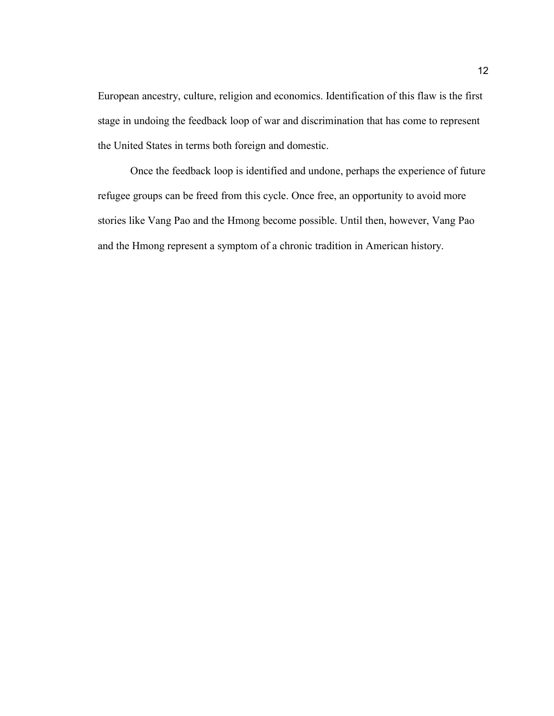European ancestry, culture, religion and economics. Identification of this flaw is the first stage in undoing the feedback loop of war and discrimination that has come to represent the United States in terms both foreign and domestic.

Once the feedback loop is identified and undone, perhaps the experience of future refugee groups can be freed from this cycle. Once free, an opportunity to avoid more stories like Vang Pao and the Hmong become possible. Until then, however, Vang Pao and the Hmong represent a symptom of a chronic tradition in American history.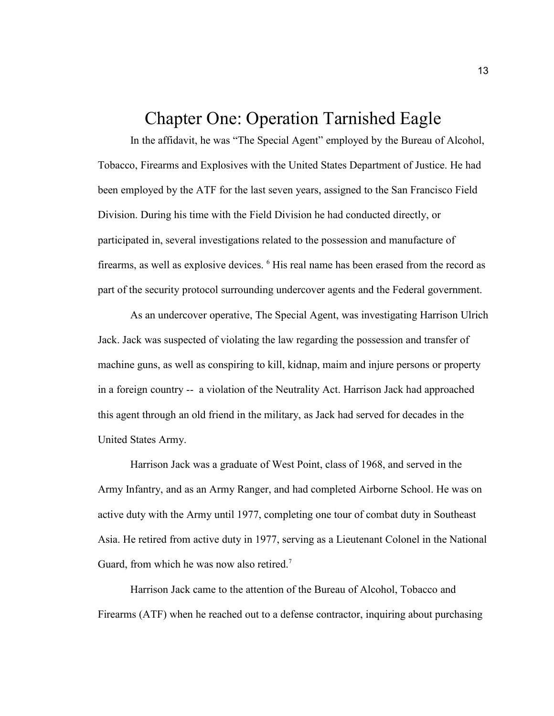## Chapter One: Operation Tarnished Eagle

In the affidavit, he was "The Special Agent" employed by the Bureau of Alcohol, Tobacco, Firearms and Explosives with the United States Department of Justice. He had been employed by the ATF for the last seven years, assigned to the San Francisco Field Division. During his time with the Field Division he had conducted directly, or participated in, several investigations related to the possession and manufacture of firearms, as well as explosive devices. <sup>6</sup> His real name has been erased from the record as part of the security protocol surrounding undercover agents and the Federal government.

As an undercover operative, The Special Agent, was investigating Harrison Ulrich Jack. Jack was suspected of violating the law regarding the possession and transfer of machine guns, as well as conspiring to kill, kidnap, maim and injure persons or property in a foreign country -- a violation of the Neutrality Act. Harrison Jack had approached this agent through an old friend in the military, as Jack had served for decades in the United States Army.

Harrison Jack was a graduate of West Point, class of 1968, and served in the Army Infantry, and as an Army Ranger, and had completed Airborne School. He was on active duty with the Army until 1977, completing one tour of combat duty in Southeast Asia. He retired from active duty in 1977, serving as a Lieutenant Colonel in the National Guard, from which he was now also retired.<sup>7</sup>

Harrison Jack came to the attention of the Bureau of Alcohol, Tobacco and Firearms (ATF) when he reached out to a defense contractor, inquiring about purchasing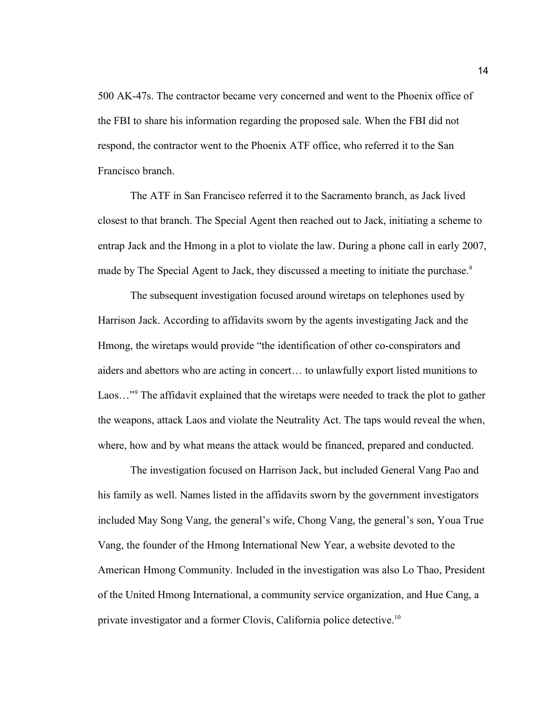500 AK-47s. The contractor became very concerned and went to the Phoenix office of the FBI to share his information regarding the proposed sale. When the FBI did not respond, the contractor went to the Phoenix ATF office, who referred it to the San Francisco branch.

The ATF in San Francisco referred it to the Sacramento branch, as Jack lived closest to that branch. The Special Agent then reached out to Jack, initiating a scheme to entrap Jack and the Hmong in a plot to violate the law. During a phone call in early 2007, made by The Special Agent to Jack, they discussed a meeting to initiate the purchase.<sup>8</sup>

The subsequent investigation focused around wiretaps on telephones used by Harrison Jack. According to affidavits sworn by the agents investigating Jack and the Hmong, the wiretaps would provide "the identification of other co-conspirators and aiders and abettors who are acting in concert… to unlawfully export listed munitions to Laos..."<sup>9</sup> The affidavit explained that the wiretaps were needed to track the plot to gather the weapons, attack Laos and violate the Neutrality Act. The taps would reveal the when, where, how and by what means the attack would be financed, prepared and conducted.

The investigation focused on Harrison Jack, but included General Vang Pao and his family as well. Names listed in the affidavits sworn by the government investigators included May Song Vang, the general's wife, Chong Vang, the general's son, Youa True Vang, the founder of the Hmong International New Year, a website devoted to the American Hmong Community. Included in the investigation was also Lo Thao, President of the United Hmong International, a community service organization, and Hue Cang, a private investigator and a former Clovis, California police detective.<sup>10</sup>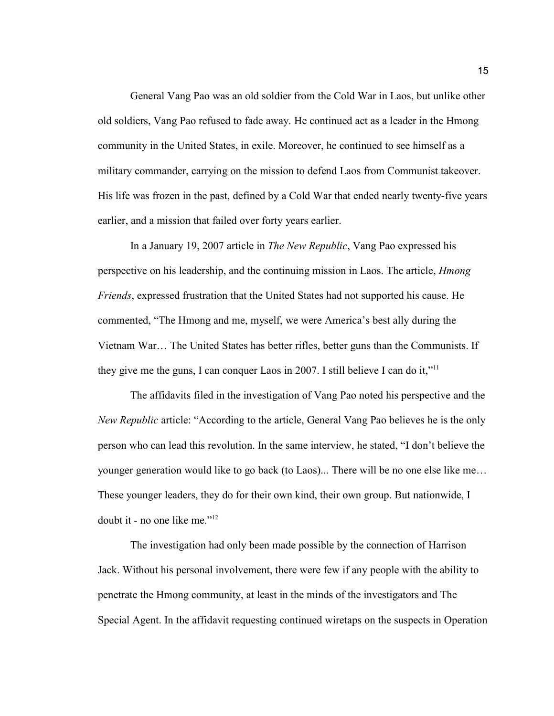General Vang Pao was an old soldier from the Cold War in Laos, but unlike other old soldiers, Vang Pao refused to fade away. He continued act as a leader in the Hmong community in the United States, in exile. Moreover, he continued to see himself as a military commander, carrying on the mission to defend Laos from Communist takeover. His life was frozen in the past, defined by a Cold War that ended nearly twenty-five years earlier, and a mission that failed over forty years earlier.

In a January 19, 2007 article in *The New Republic*, Vang Pao expressed his perspective on his leadership, and the continuing mission in Laos. The article, *Hmong Friends*, expressed frustration that the United States had not supported his cause. He commented, "The Hmong and me, myself, we were America's best ally during the Vietnam War… The United States has better rifles, better guns than the Communists. If they give me the guns, I can conquer Laos in 2007. I still believe I can do it,"<sup>11</sup>

The affidavits filed in the investigation of Vang Pao noted his perspective and the *New Republic* article: "According to the article, General Vang Pao believes he is the only person who can lead this revolution. In the same interview, he stated, "I don't believe the younger generation would like to go back (to Laos)... There will be no one else like me… These younger leaders, they do for their own kind, their own group. But nationwide, I doubt it - no one like me."<sup>12</sup>

The investigation had only been made possible by the connection of Harrison Jack. Without his personal involvement, there were few if any people with the ability to penetrate the Hmong community, at least in the minds of the investigators and The Special Agent. In the affidavit requesting continued wiretaps on the suspects in Operation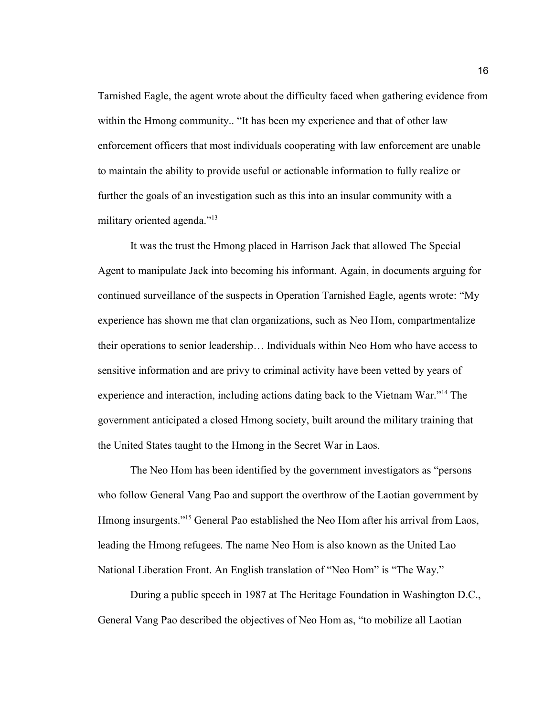Tarnished Eagle, the agent wrote about the difficulty faced when gathering evidence from within the Hmong community.. "It has been my experience and that of other law enforcement officers that most individuals cooperating with law enforcement are unable to maintain the ability to provide useful or actionable information to fully realize or further the goals of an investigation such as this into an insular community with a military oriented agenda."<sup>13</sup>

It was the trust the Hmong placed in Harrison Jack that allowed The Special Agent to manipulate Jack into becoming his informant. Again, in documents arguing for continued surveillance of the suspects in Operation Tarnished Eagle, agents wrote: "My experience has shown me that clan organizations, such as Neo Hom, compartmentalize their operations to senior leadership… Individuals within Neo Hom who have access to sensitive information and are privy to criminal activity have been vetted by years of experience and interaction, including actions dating back to the Vietnam War."<sup>14</sup> The government anticipated a closed Hmong society, built around the military training that the United States taught to the Hmong in the Secret War in Laos.

The Neo Hom has been identified by the government investigators as "persons who follow General Vang Pao and support the overthrow of the Laotian government by Hmong insurgents."<sup>15</sup> General Pao established the Neo Hom after his arrival from Laos, leading the Hmong refugees. The name Neo Hom is also known as the United Lao National Liberation Front. An English translation of "Neo Hom" is "The Way."

During a public speech in 1987 at The Heritage Foundation in Washington D.C., General Vang Pao described the objectives of Neo Hom as, "to mobilize all Laotian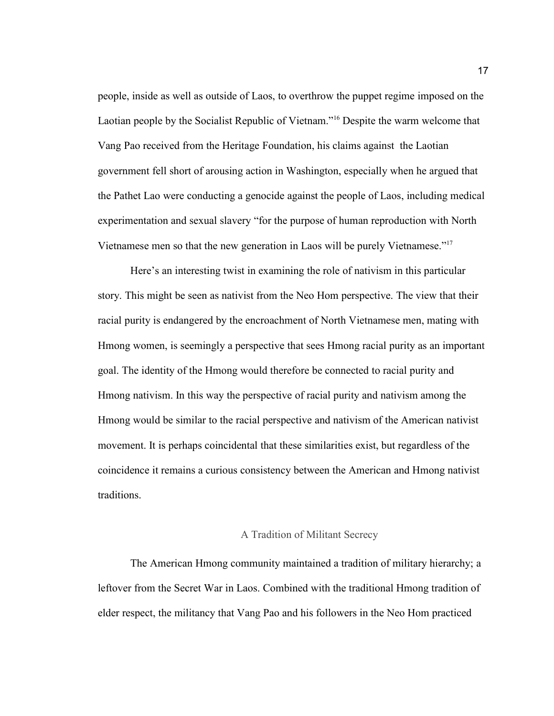people, inside as well as outside of Laos, to overthrow the puppet regime imposed on the Laotian people by the Socialist Republic of Vietnam."<sup>16</sup> Despite the warm welcome that Vang Pao received from the Heritage Foundation, his claims against the Laotian government fell short of arousing action in Washington, especially when he argued that the Pathet Lao were conducting a genocide against the people of Laos, including medical experimentation and sexual slavery "for the purpose of human reproduction with North Vietnamese men so that the new generation in Laos will be purely Vietnamese."<sup>17</sup>

Here's an interesting twist in examining the role of nativism in this particular story. This might be seen as nativist from the Neo Hom perspective. The view that their racial purity is endangered by the encroachment of North Vietnamese men, mating with Hmong women, is seemingly a perspective that sees Hmong racial purity as an important goal. The identity of the Hmong would therefore be connected to racial purity and Hmong nativism. In this way the perspective of racial purity and nativism among the Hmong would be similar to the racial perspective and nativism of the American nativist movement. It is perhaps coincidental that these similarities exist, but regardless of the coincidence it remains a curious consistency between the American and Hmong nativist traditions.

#### A Tradition of Militant Secrecy

The American Hmong community maintained a tradition of military hierarchy; a leftover from the Secret War in Laos. Combined with the traditional Hmong tradition of elder respect, the militancy that Vang Pao and his followers in the Neo Hom practiced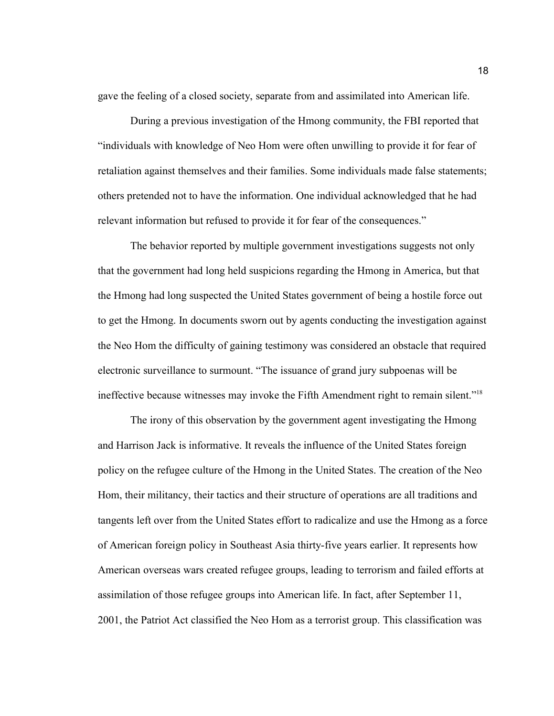gave the feeling of a closed society, separate from and assimilated into American life.

During a previous investigation of the Hmong community, the FBI reported that "individuals with knowledge of Neo Hom were often unwilling to provide it for fear of retaliation against themselves and their families. Some individuals made false statements; others pretended not to have the information. One individual acknowledged that he had relevant information but refused to provide it for fear of the consequences."

The behavior reported by multiple government investigations suggests not only that the government had long held suspicions regarding the Hmong in America, but that the Hmong had long suspected the United States government of being a hostile force out to get the Hmong. In documents sworn out by agents conducting the investigation against the Neo Hom the difficulty of gaining testimony was considered an obstacle that required electronic surveillance to surmount. "The issuance of grand jury subpoenas will be ineffective because witnesses may invoke the Fifth Amendment right to remain silent."<sup>18</sup>

The irony of this observation by the government agent investigating the Hmong and Harrison Jack is informative. It reveals the influence of the United States foreign policy on the refugee culture of the Hmong in the United States. The creation of the Neo Hom, their militancy, their tactics and their structure of operations are all traditions and tangents left over from the United States effort to radicalize and use the Hmong as a force of American foreign policy in Southeast Asia thirty-five years earlier. It represents how American overseas wars created refugee groups, leading to terrorism and failed efforts at assimilation of those refugee groups into American life. In fact, after September 11, 2001, the Patriot Act classified the Neo Hom as a terrorist group. This classification was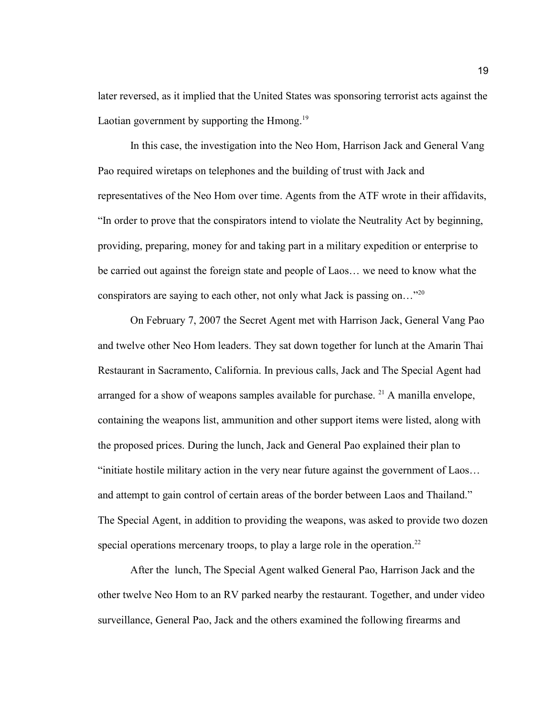later reversed, as it implied that the United States was sponsoring terrorist acts against the Laotian government by supporting the Hmong.<sup>19</sup>

In this case, the investigation into the Neo Hom, Harrison Jack and General Vang Pao required wiretaps on telephones and the building of trust with Jack and representatives of the Neo Hom over time. Agents from the ATF wrote in their affidavits, "In order to prove that the conspirators intend to violate the Neutrality Act by beginning, providing, preparing, money for and taking part in a military expedition or enterprise to be carried out against the foreign state and people of Laos… we need to know what the conspirators are saying to each other, not only what Jack is passing on…"<sup>20</sup>

On February 7, 2007 the Secret Agent met with Harrison Jack, General Vang Pao and twelve other Neo Hom leaders. They sat down together for lunch at the Amarin Thai Restaurant in Sacramento, California. In previous calls, Jack and The Special Agent had arranged for a show of weapons samples available for purchase. <sup>21</sup> A manilla envelope, containing the weapons list, ammunition and other support items were listed, along with the proposed prices. During the lunch, Jack and General Pao explained their plan to "initiate hostile military action in the very near future against the government of Laos… and attempt to gain control of certain areas of the border between Laos and Thailand." The Special Agent, in addition to providing the weapons, was asked to provide two dozen special operations mercenary troops, to play a large role in the operation.<sup>22</sup>

After the lunch, The Special Agent walked General Pao, Harrison Jack and the other twelve Neo Hom to an RV parked nearby the restaurant. Together, and under video surveillance, General Pao, Jack and the others examined the following firearms and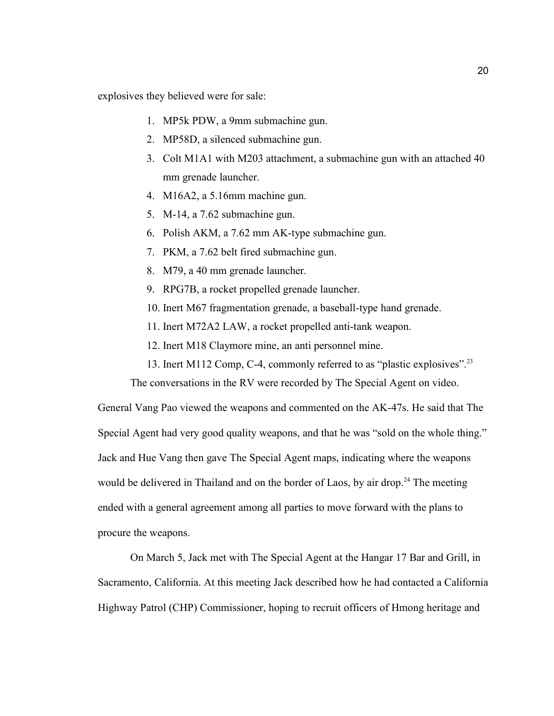explosives they believed were for sale:

- 1. MP5k PDW, a 9mm submachine gun.
- 2. MP58D, a silenced submachine gun.
- 3. Colt M1A1 with M203 attachment, a submachine gun with an attached 40 mm grenade launcher.
- 4. M16A2, a 5.16mm machine gun.
- 5. M-14, a 7.62 submachine gun.
- 6. Polish AKM, a 7.62 mm AK-type submachine gun.
- 7. PKM, a 7.62 belt fired submachine gun.
- 8. M79, a 40 mm grenade launcher.
- 9. RPG7B, a rocket propelled grenade launcher.
- 10. Inert M67 fragmentation grenade, a baseball-type hand grenade.
- 11. Inert M72A2 LAW, a rocket propelled anti-tank weapon.
- 12. Inert M18 Claymore mine, an anti personnel mine.
- 13. Inert M112 Comp, C-4, commonly referred to as "plastic explosives".<sup>23</sup>

The conversations in the RV were recorded by The Special Agent on video.

General Vang Pao viewed the weapons and commented on the AK-47s. He said that The Special Agent had very good quality weapons, and that he was "sold on the whole thing." Jack and Hue Vang then gave The Special Agent maps, indicating where the weapons would be delivered in Thailand and on the border of Laos, by air drop.<sup>24</sup> The meeting ended with a general agreement among all parties to move forward with the plans to procure the weapons.

On March 5, Jack met with The Special Agent at the Hangar 17 Bar and Grill, in Sacramento, California. At this meeting Jack described how he had contacted a California Highway Patrol (CHP) Commissioner, hoping to recruit officers of Hmong heritage and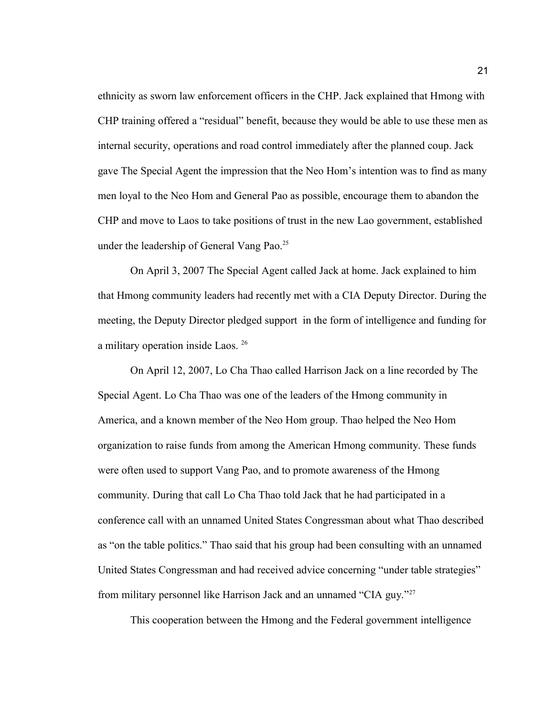ethnicity as sworn law enforcement officers in the CHP. Jack explained that Hmong with CHP training offered a "residual" benefit, because they would be able to use these men as internal security, operations and road control immediately after the planned coup. Jack gave The Special Agent the impression that the Neo Hom's intention was to find as many men loyal to the Neo Hom and General Pao as possible, encourage them to abandon the CHP and move to Laos to take positions of trust in the new Lao government, established under the leadership of General Vang Pao.<sup>25</sup>

On April 3, 2007 The Special Agent called Jack at home. Jack explained to him that Hmong community leaders had recently met with a CIA Deputy Director. During the meeting, the Deputy Director pledged support in the form of intelligence and funding for a military operation inside Laos. <sup>26</sup>

On April 12, 2007, Lo Cha Thao called Harrison Jack on a line recorded by The Special Agent. Lo Cha Thao was one of the leaders of the Hmong community in America, and a known member of the Neo Hom group. Thao helped the Neo Hom organization to raise funds from among the American Hmong community. These funds were often used to support Vang Pao, and to promote awareness of the Hmong community. During that call Lo Cha Thao told Jack that he had participated in a conference call with an unnamed United States Congressman about what Thao described as "on the table politics." Thao said that his group had been consulting with an unnamed United States Congressman and had received advice concerning "under table strategies" from military personnel like Harrison Jack and an unnamed "CIA guy."<sup>27</sup>

This cooperation between the Hmong and the Federal government intelligence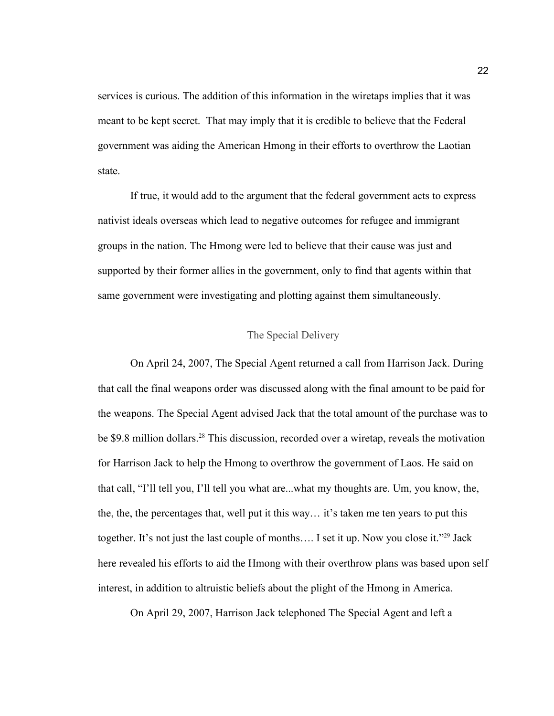services is curious. The addition of this information in the wiretaps implies that it was meant to be kept secret. That may imply that it is credible to believe that the Federal government was aiding the American Hmong in their efforts to overthrow the Laotian state.

If true, it would add to the argument that the federal government acts to express nativist ideals overseas which lead to negative outcomes for refugee and immigrant groups in the nation. The Hmong were led to believe that their cause was just and supported by their former allies in the government, only to find that agents within that same government were investigating and plotting against them simultaneously.

### The Special Delivery

On April 24, 2007, The Special Agent returned a call from Harrison Jack. During that call the final weapons order was discussed along with the final amount to be paid for the weapons. The Special Agent advised Jack that the total amount of the purchase was to be \$9.8 million dollars.<sup>28</sup> This discussion, recorded over a wiretap, reveals the motivation for Harrison Jack to help the Hmong to overthrow the government of Laos. He said on that call, "I'll tell you, I'll tell you what are...what my thoughts are. Um, you know, the, the, the, the percentages that, well put it this way… it's taken me ten years to put this together. It's not just the last couple of months.... I set it up. Now you close it."<sup>29</sup> Jack here revealed his efforts to aid the Hmong with their overthrow plans was based upon self interest, in addition to altruistic beliefs about the plight of the Hmong in America.

On April 29, 2007, Harrison Jack telephoned The Special Agent and left a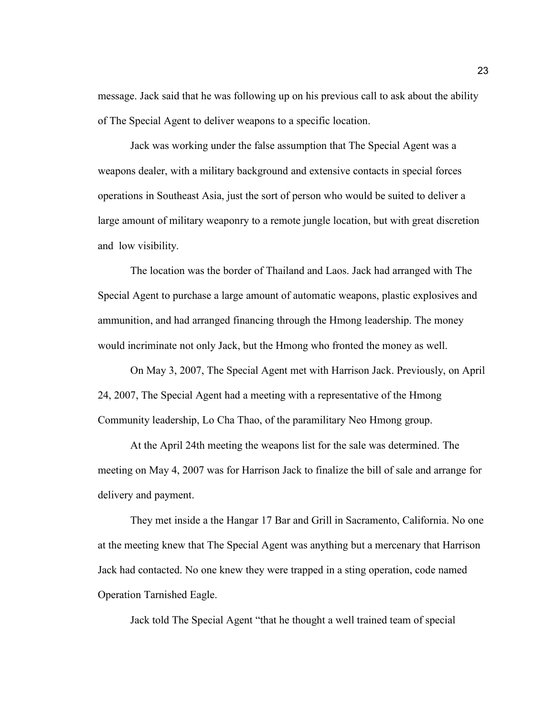message. Jack said that he was following up on his previous call to ask about the ability of The Special Agent to deliver weapons to a specific location.

Jack was working under the false assumption that The Special Agent was a weapons dealer, with a military background and extensive contacts in special forces operations in Southeast Asia, just the sort of person who would be suited to deliver a large amount of military weaponry to a remote jungle location, but with great discretion and low visibility.

The location was the border of Thailand and Laos. Jack had arranged with The Special Agent to purchase a large amount of automatic weapons, plastic explosives and ammunition, and had arranged financing through the Hmong leadership. The money would incriminate not only Jack, but the Hmong who fronted the money as well.

On May 3, 2007, The Special Agent met with Harrison Jack. Previously, on April 24, 2007, The Special Agent had a meeting with a representative of the Hmong Community leadership, Lo Cha Thao, of the paramilitary Neo Hmong group.

At the April 24th meeting the weapons list for the sale was determined. The meeting on May 4, 2007 was for Harrison Jack to finalize the bill of sale and arrange for delivery and payment.

They met inside a the Hangar 17 Bar and Grill in Sacramento, California. No one at the meeting knew that The Special Agent was anything but a mercenary that Harrison Jack had contacted. No one knew they were trapped in a sting operation, code named Operation Tarnished Eagle.

Jack told The Special Agent "that he thought a well trained team of special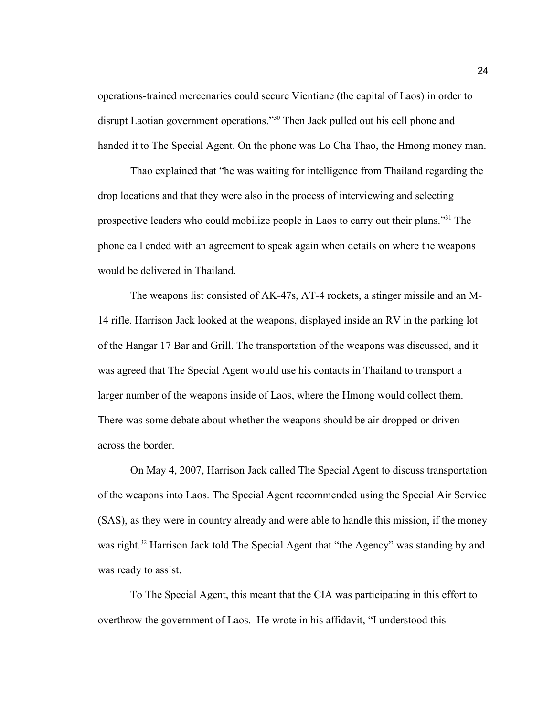operations-trained mercenaries could secure Vientiane (the capital of Laos) in order to disrupt Laotian government operations."<sup>30</sup> Then Jack pulled out his cell phone and handed it to The Special Agent. On the phone was Lo Cha Thao, the Hmong money man.

Thao explained that "he was waiting for intelligence from Thailand regarding the drop locations and that they were also in the process of interviewing and selecting prospective leaders who could mobilize people in Laos to carry out their plans."<sup>31</sup> The phone call ended with an agreement to speak again when details on where the weapons would be delivered in Thailand.

The weapons list consisted of AK-47s, AT-4 rockets, a stinger missile and an M-14 rifle. Harrison Jack looked at the weapons, displayed inside an RV in the parking lot of the Hangar 17 Bar and Grill. The transportation of the weapons was discussed, and it was agreed that The Special Agent would use his contacts in Thailand to transport a larger number of the weapons inside of Laos, where the Hmong would collect them. There was some debate about whether the weapons should be air dropped or driven across the border.

On May 4, 2007, Harrison Jack called The Special Agent to discuss transportation of the weapons into Laos. The Special Agent recommended using the Special Air Service (SAS), as they were in country already and were able to handle this mission, if the money was right.<sup>32</sup> Harrison Jack told The Special Agent that "the Agency" was standing by and was ready to assist.

To The Special Agent, this meant that the CIA was participating in this effort to overthrow the government of Laos. He wrote in his affidavit, "I understood this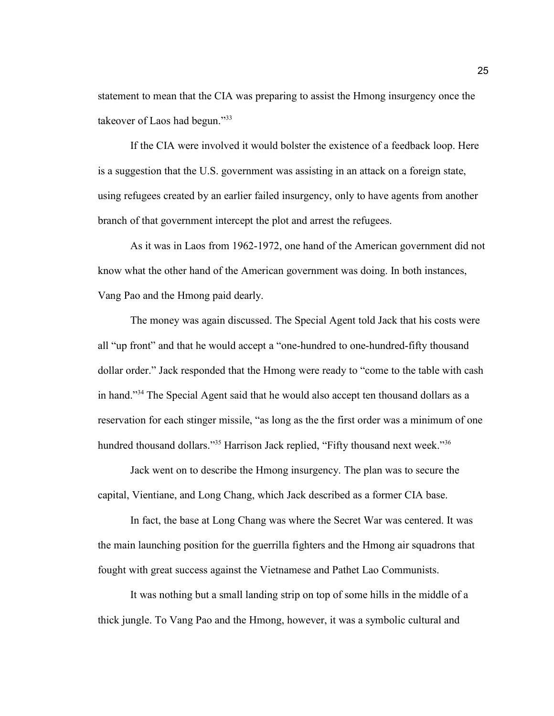statement to mean that the CIA was preparing to assist the Hmong insurgency once the takeover of Laos had begun."<sup>33</sup>

If the CIA were involved it would bolster the existence of a feedback loop. Here is a suggestion that the U.S. government was assisting in an attack on a foreign state, using refugees created by an earlier failed insurgency, only to have agents from another branch of that government intercept the plot and arrest the refugees.

As it was in Laos from 1962-1972, one hand of the American government did not know what the other hand of the American government was doing. In both instances, Vang Pao and the Hmong paid dearly.

The money was again discussed. The Special Agent told Jack that his costs were all "up front" and that he would accept a "one-hundred to one-hundred-fifty thousand dollar order." Jack responded that the Hmong were ready to "come to the table with cash in hand."<sup>34</sup> The Special Agent said that he would also accept ten thousand dollars as a reservation for each stinger missile, "as long as the the first order was a minimum of one hundred thousand dollars."<sup>35</sup> Harrison Jack replied, "Fifty thousand next week."<sup>36</sup>

Jack went on to describe the Hmong insurgency. The plan was to secure the capital, Vientiane, and Long Chang, which Jack described as a former CIA base.

In fact, the base at Long Chang was where the Secret War was centered. It was the main launching position for the guerrilla fighters and the Hmong air squadrons that fought with great success against the Vietnamese and Pathet Lao Communists.

It was nothing but a small landing strip on top of some hills in the middle of a thick jungle. To Vang Pao and the Hmong, however, it was a symbolic cultural and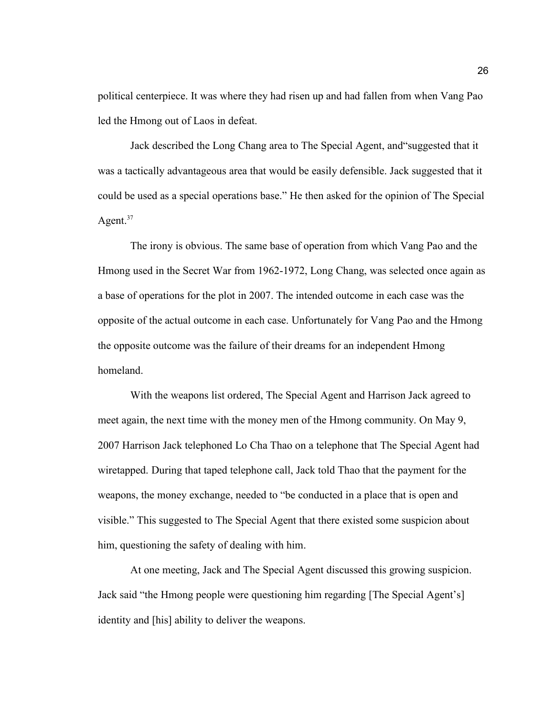political centerpiece. It was where they had risen up and had fallen from when Vang Pao led the Hmong out of Laos in defeat.

Jack described the Long Chang area to The Special Agent, and"suggested that it was a tactically advantageous area that would be easily defensible. Jack suggested that it could be used as a special operations base." He then asked for the opinion of The Special Agent. $37$ 

The irony is obvious. The same base of operation from which Vang Pao and the Hmong used in the Secret War from 1962-1972, Long Chang, was selected once again as a base of operations for the plot in 2007. The intended outcome in each case was the opposite of the actual outcome in each case. Unfortunately for Vang Pao and the Hmong the opposite outcome was the failure of their dreams for an independent Hmong homeland.

With the weapons list ordered, The Special Agent and Harrison Jack agreed to meet again, the next time with the money men of the Hmong community. On May 9, 2007 Harrison Jack telephoned Lo Cha Thao on a telephone that The Special Agent had wiretapped. During that taped telephone call, Jack told Thao that the payment for the weapons, the money exchange, needed to "be conducted in a place that is open and visible." This suggested to The Special Agent that there existed some suspicion about him, questioning the safety of dealing with him.

At one meeting, Jack and The Special Agent discussed this growing suspicion. Jack said "the Hmong people were questioning him regarding [The Special Agent's] identity and [his] ability to deliver the weapons.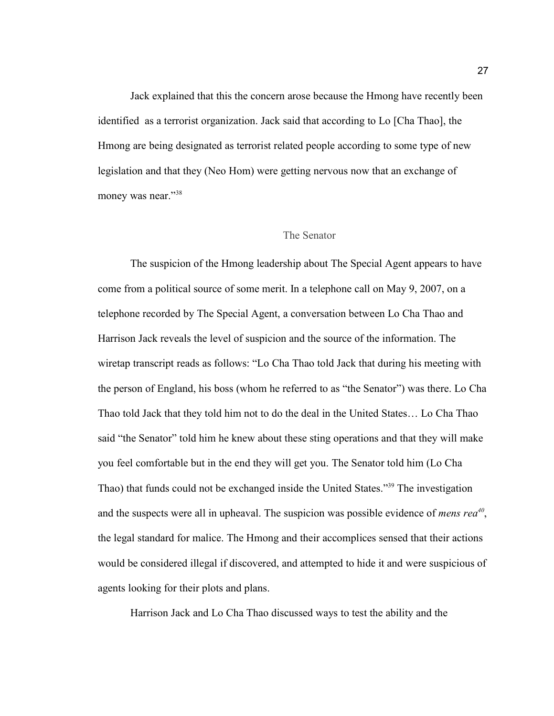Jack explained that this the concern arose because the Hmong have recently been identified as a terrorist organization. Jack said that according to Lo [Cha Thao], the Hmong are being designated as terrorist related people according to some type of new legislation and that they (Neo Hom) were getting nervous now that an exchange of money was near."<sup>38</sup>

### The Senator

The suspicion of the Hmong leadership about The Special Agent appears to have come from a political source of some merit. In a telephone call on May 9, 2007, on a telephone recorded by The Special Agent, a conversation between Lo Cha Thao and Harrison Jack reveals the level of suspicion and the source of the information. The wiretap transcript reads as follows: "Lo Cha Thao told Jack that during his meeting with the person of England, his boss (whom he referred to as "the Senator") was there. Lo Cha Thao told Jack that they told him not to do the deal in the United States… Lo Cha Thao said "the Senator" told him he knew about these sting operations and that they will make you feel comfortable but in the end they will get you. The Senator told him (Lo Cha Thao) that funds could not be exchanged inside the United States."<sup>39</sup> The investigation and the suspects were all in upheaval. The suspicion was possible evidence of *mens rea<sup>40</sup>* , the legal standard for malice. The Hmong and their accomplices sensed that their actions would be considered illegal if discovered, and attempted to hide it and were suspicious of agents looking for their plots and plans.

Harrison Jack and Lo Cha Thao discussed ways to test the ability and the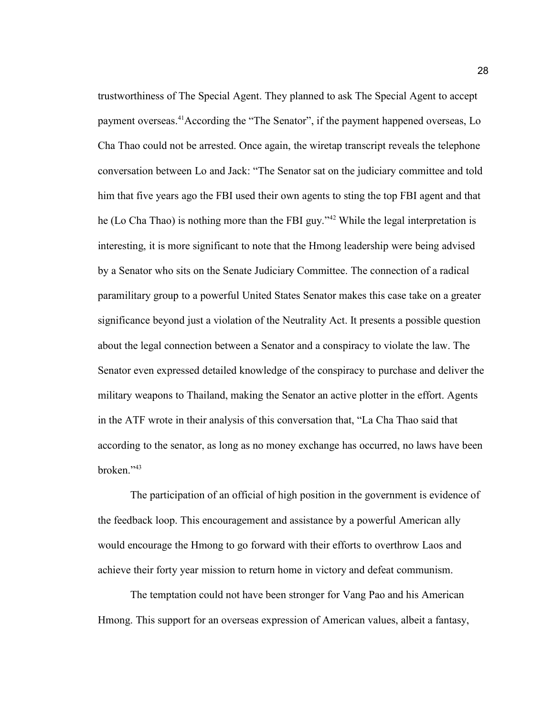trustworthiness of The Special Agent. They planned to ask The Special Agent to accept payment overseas.<sup>41</sup>According the "The Senator", if the payment happened overseas, Lo Cha Thao could not be arrested. Once again, the wiretap transcript reveals the telephone conversation between Lo and Jack: "The Senator sat on the judiciary committee and told him that five years ago the FBI used their own agents to sting the top FBI agent and that he (Lo Cha Thao) is nothing more than the FBI guy."<sup>42</sup> While the legal interpretation is interesting, it is more significant to note that the Hmong leadership were being advised by a Senator who sits on the Senate Judiciary Committee. The connection of a radical paramilitary group to a powerful United States Senator makes this case take on a greater significance beyond just a violation of the Neutrality Act. It presents a possible question about the legal connection between a Senator and a conspiracy to violate the law. The Senator even expressed detailed knowledge of the conspiracy to purchase and deliver the military weapons to Thailand, making the Senator an active plotter in the effort. Agents in the ATF wrote in their analysis of this conversation that, "La Cha Thao said that according to the senator, as long as no money exchange has occurred, no laws have been broken."<sup>43</sup>

The participation of an official of high position in the government is evidence of the feedback loop. This encouragement and assistance by a powerful American ally would encourage the Hmong to go forward with their efforts to overthrow Laos and achieve their forty year mission to return home in victory and defeat communism.

The temptation could not have been stronger for Vang Pao and his American Hmong. This support for an overseas expression of American values, albeit a fantasy,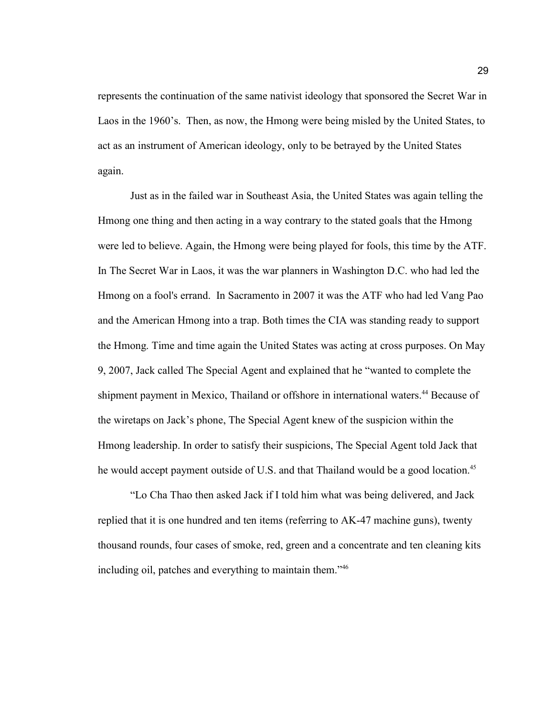represents the continuation of the same nativist ideology that sponsored the Secret War in Laos in the 1960's. Then, as now, the Hmong were being misled by the United States, to act as an instrument of American ideology, only to be betrayed by the United States again.

Just as in the failed war in Southeast Asia, the United States was again telling the Hmong one thing and then acting in a way contrary to the stated goals that the Hmong were led to believe. Again, the Hmong were being played for fools, this time by the ATF. In The Secret War in Laos, it was the war planners in Washington D.C. who had led the Hmong on a fool's errand. In Sacramento in 2007 it was the ATF who had led Vang Pao and the American Hmong into a trap. Both times the CIA was standing ready to support the Hmong. Time and time again the United States was acting at cross purposes. On May 9, 2007, Jack called The Special Agent and explained that he "wanted to complete the shipment payment in Mexico, Thailand or offshore in international waters.<sup>44</sup> Because of the wiretaps on Jack's phone, The Special Agent knew of the suspicion within the Hmong leadership. In order to satisfy their suspicions, The Special Agent told Jack that he would accept payment outside of U.S. and that Thailand would be a good location.<sup>45</sup>

"Lo Cha Thao then asked Jack if I told him what was being delivered, and Jack replied that it is one hundred and ten items (referring to AK-47 machine guns), twenty thousand rounds, four cases of smoke, red, green and a concentrate and ten cleaning kits including oil, patches and everything to maintain them."46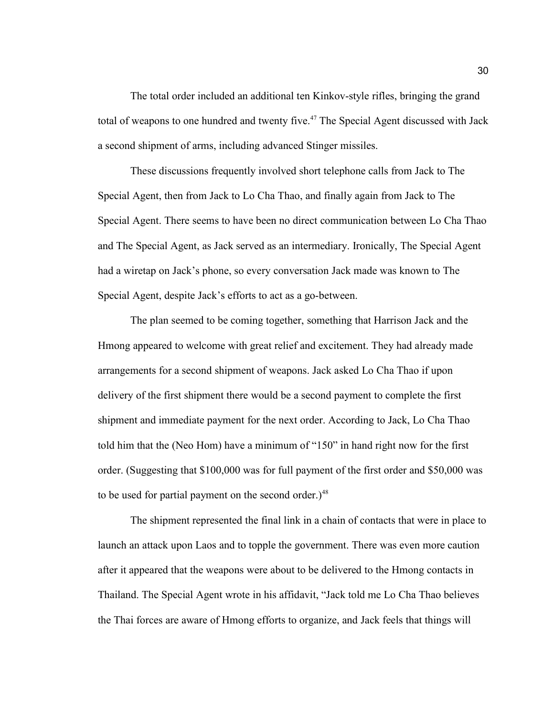The total order included an additional ten Kinkov-style rifles, bringing the grand total of weapons to one hundred and twenty five.<sup>47</sup> The Special Agent discussed with Jack a second shipment of arms, including advanced Stinger missiles.

These discussions frequently involved short telephone calls from Jack to The Special Agent, then from Jack to Lo Cha Thao, and finally again from Jack to The Special Agent. There seems to have been no direct communication between Lo Cha Thao and The Special Agent, as Jack served as an intermediary. Ironically, The Special Agent had a wiretap on Jack's phone, so every conversation Jack made was known to The Special Agent, despite Jack's efforts to act as a go-between.

The plan seemed to be coming together, something that Harrison Jack and the Hmong appeared to welcome with great relief and excitement. They had already made arrangements for a second shipment of weapons. Jack asked Lo Cha Thao if upon delivery of the first shipment there would be a second payment to complete the first shipment and immediate payment for the next order. According to Jack, Lo Cha Thao told him that the (Neo Hom) have a minimum of "150" in hand right now for the first order. (Suggesting that \$100,000 was for full payment of the first order and \$50,000 was to be used for partial payment on the second order.)<sup>48</sup>

The shipment represented the final link in a chain of contacts that were in place to launch an attack upon Laos and to topple the government. There was even more caution after it appeared that the weapons were about to be delivered to the Hmong contacts in Thailand. The Special Agent wrote in his affidavit, "Jack told me Lo Cha Thao believes the Thai forces are aware of Hmong efforts to organize, and Jack feels that things will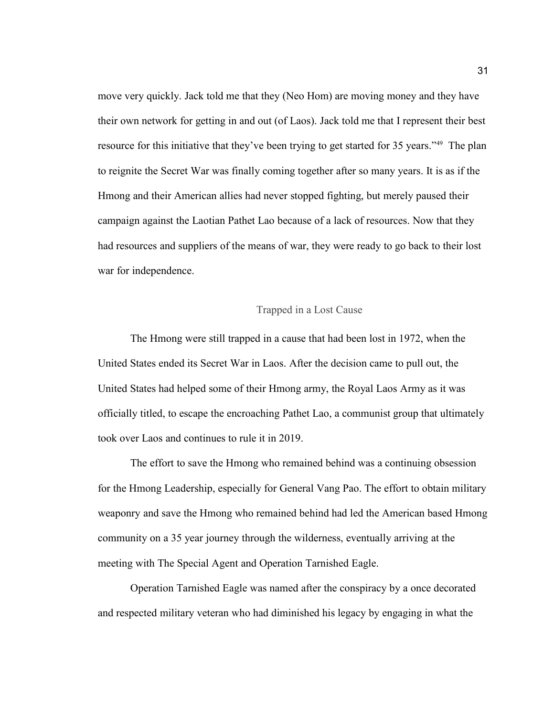move very quickly. Jack told me that they (Neo Hom) are moving money and they have their own network for getting in and out (of Laos). Jack told me that I represent their best resource for this initiative that they've been trying to get started for 35 years."<sup>49</sup> The plan to reignite the Secret War was finally coming together after so many years. It is as if the Hmong and their American allies had never stopped fighting, but merely paused their campaign against the Laotian Pathet Lao because of a lack of resources. Now that they had resources and suppliers of the means of war, they were ready to go back to their lost war for independence.

## Trapped in a Lost Cause

The Hmong were still trapped in a cause that had been lost in 1972, when the United States ended its Secret War in Laos. After the decision came to pull out, the United States had helped some of their Hmong army, the Royal Laos Army as it was officially titled, to escape the encroaching Pathet Lao, a communist group that ultimately took over Laos and continues to rule it in 2019.

The effort to save the Hmong who remained behind was a continuing obsession for the Hmong Leadership, especially for General Vang Pao. The effort to obtain military weaponry and save the Hmong who remained behind had led the American based Hmong community on a 35 year journey through the wilderness, eventually arriving at the meeting with The Special Agent and Operation Tarnished Eagle.

Operation Tarnished Eagle was named after the conspiracy by a once decorated and respected military veteran who had diminished his legacy by engaging in what the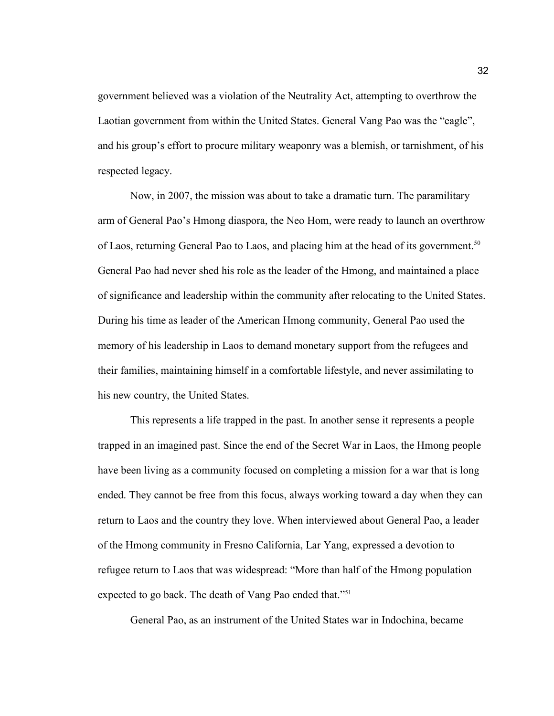government believed was a violation of the Neutrality Act, attempting to overthrow the Laotian government from within the United States. General Vang Pao was the "eagle", and his group's effort to procure military weaponry was a blemish, or tarnishment, of his respected legacy.

Now, in 2007, the mission was about to take a dramatic turn. The paramilitary arm of General Pao's Hmong diaspora, the Neo Hom, were ready to launch an overthrow of Laos, returning General Pao to Laos, and placing him at the head of its government.<sup>50</sup> General Pao had never shed his role as the leader of the Hmong, and maintained a place of significance and leadership within the community after relocating to the United States. During his time as leader of the American Hmong community, General Pao used the memory of his leadership in Laos to demand monetary support from the refugees and their families, maintaining himself in a comfortable lifestyle, and never assimilating to his new country, the United States.

This represents a life trapped in the past. In another sense it represents a people trapped in an imagined past. Since the end of the Secret War in Laos, the Hmong people have been living as a community focused on completing a mission for a war that is long ended. They cannot be free from this focus, always working toward a day when they can return to Laos and the country they love. When interviewed about General Pao, a leader of the Hmong community in Fresno California, Lar Yang, expressed a devotion to refugee return to Laos that was widespread: "More than half of the Hmong population expected to go back. The death of Vang Pao ended that."<sup>51</sup>

General Pao, as an instrument of the United States war in Indochina, became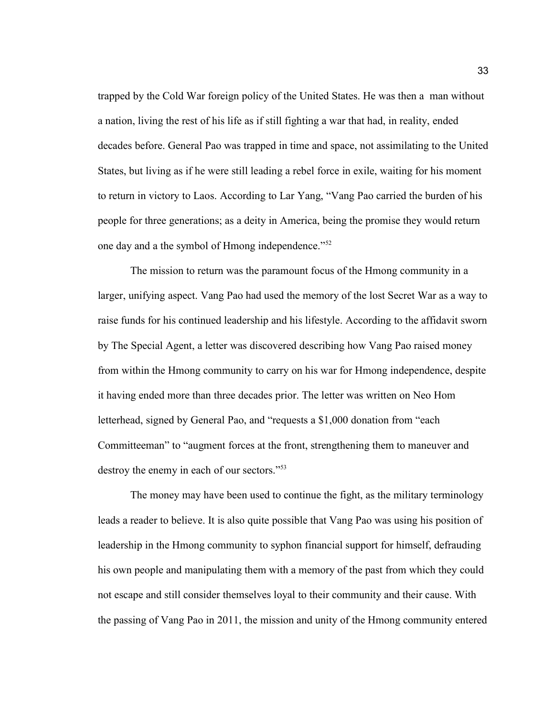trapped by the Cold War foreign policy of the United States. He was then a man without a nation, living the rest of his life as if still fighting a war that had, in reality, ended decades before. General Pao was trapped in time and space, not assimilating to the United States, but living as if he were still leading a rebel force in exile, waiting for his moment to return in victory to Laos. According to Lar Yang, "Vang Pao carried the burden of his people for three generations; as a deity in America, being the promise they would return one day and a the symbol of Hmong independence."<sup>52</sup>

The mission to return was the paramount focus of the Hmong community in a larger, unifying aspect. Vang Pao had used the memory of the lost Secret War as a way to raise funds for his continued leadership and his lifestyle. According to the affidavit sworn by The Special Agent, a letter was discovered describing how Vang Pao raised money from within the Hmong community to carry on his war for Hmong independence, despite it having ended more than three decades prior. The letter was written on Neo Hom letterhead, signed by General Pao, and "requests a \$1,000 donation from "each Committeeman" to "augment forces at the front, strengthening them to maneuver and destroy the enemy in each of our sectors."<sup>53</sup>

The money may have been used to continue the fight, as the military terminology leads a reader to believe. It is also quite possible that Vang Pao was using his position of leadership in the Hmong community to syphon financial support for himself, defrauding his own people and manipulating them with a memory of the past from which they could not escape and still consider themselves loyal to their community and their cause. With the passing of Vang Pao in 2011, the mission and unity of the Hmong community entered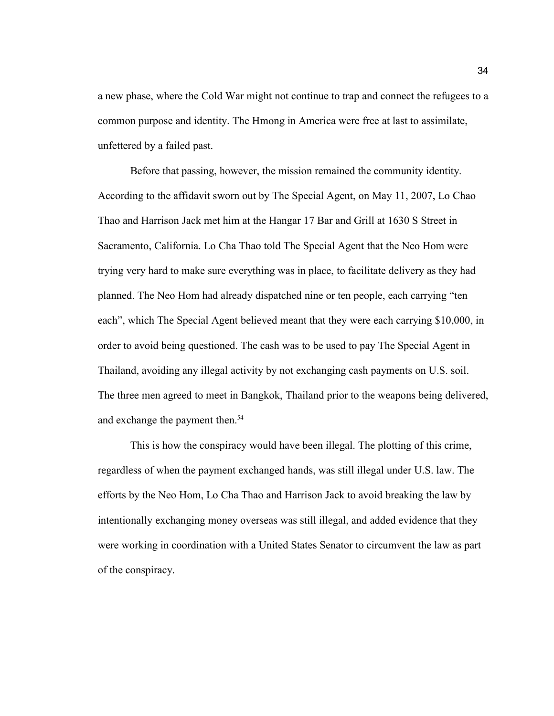a new phase, where the Cold War might not continue to trap and connect the refugees to a common purpose and identity. The Hmong in America were free at last to assimilate, unfettered by a failed past.

Before that passing, however, the mission remained the community identity. According to the affidavit sworn out by The Special Agent, on May 11, 2007, Lo Chao Thao and Harrison Jack met him at the Hangar 17 Bar and Grill at 1630 S Street in Sacramento, California. Lo Cha Thao told The Special Agent that the Neo Hom were trying very hard to make sure everything was in place, to facilitate delivery as they had planned. The Neo Hom had already dispatched nine or ten people, each carrying "ten each", which The Special Agent believed meant that they were each carrying \$10,000, in order to avoid being questioned. The cash was to be used to pay The Special Agent in Thailand, avoiding any illegal activity by not exchanging cash payments on U.S. soil. The three men agreed to meet in Bangkok, Thailand prior to the weapons being delivered, and exchange the payment then.<sup>54</sup>

This is how the conspiracy would have been illegal. The plotting of this crime, regardless of when the payment exchanged hands, was still illegal under U.S. law. The efforts by the Neo Hom, Lo Cha Thao and Harrison Jack to avoid breaking the law by intentionally exchanging money overseas was still illegal, and added evidence that they were working in coordination with a United States Senator to circumvent the law as part of the conspiracy.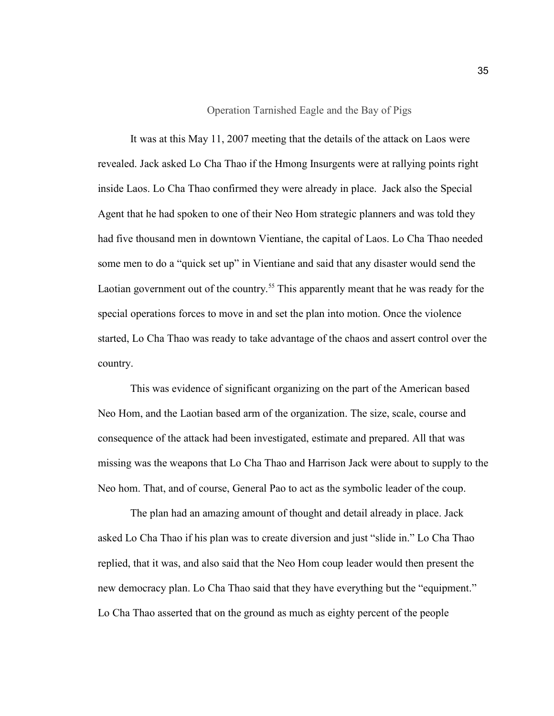### Operation Tarnished Eagle and the Bay of Pigs

It was at this May 11, 2007 meeting that the details of the attack on Laos were revealed. Jack asked Lo Cha Thao if the Hmong Insurgents were at rallying points right inside Laos. Lo Cha Thao confirmed they were already in place. Jack also the Special Agent that he had spoken to one of their Neo Hom strategic planners and was told they had five thousand men in downtown Vientiane, the capital of Laos. Lo Cha Thao needed some men to do a "quick set up" in Vientiane and said that any disaster would send the Laotian government out of the country.<sup>55</sup> This apparently meant that he was ready for the special operations forces to move in and set the plan into motion. Once the violence started, Lo Cha Thao was ready to take advantage of the chaos and assert control over the country.

This was evidence of significant organizing on the part of the American based Neo Hom, and the Laotian based arm of the organization. The size, scale, course and consequence of the attack had been investigated, estimate and prepared. All that was missing was the weapons that Lo Cha Thao and Harrison Jack were about to supply to the Neo hom. That, and of course, General Pao to act as the symbolic leader of the coup.

The plan had an amazing amount of thought and detail already in place. Jack asked Lo Cha Thao if his plan was to create diversion and just "slide in." Lo Cha Thao replied, that it was, and also said that the Neo Hom coup leader would then present the new democracy plan. Lo Cha Thao said that they have everything but the "equipment." Lo Cha Thao asserted that on the ground as much as eighty percent of the people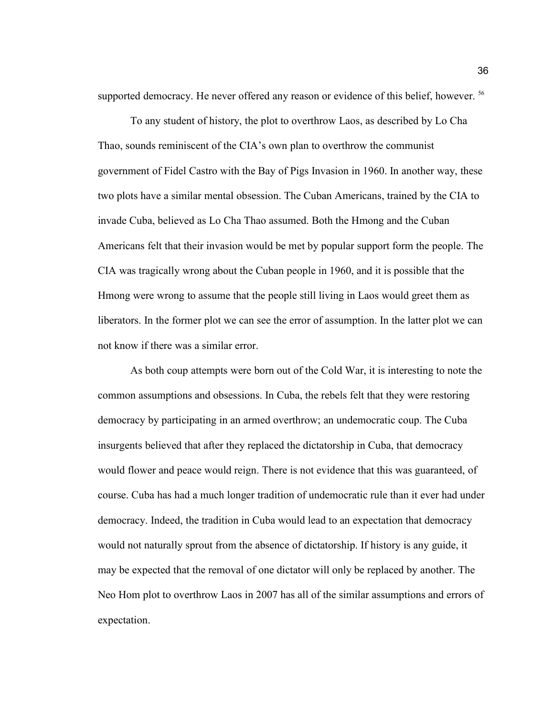supported democracy. He never offered any reason or evidence of this belief, however. <sup>56</sup>

To any student of history, the plot to overthrow Laos, as described by Lo Cha Thao, sounds reminiscent of the CIA's own plan to overthrow the communist government of Fidel Castro with the Bay of Pigs Invasion in 1960. In another way, these two plots have a similar mental obsession. The Cuban Americans, trained by the CIA to invade Cuba, believed as Lo Cha Thao assumed. Both the Hmong and the Cuban Americans felt that their invasion would be met by popular support form the people. The CIA was tragically wrong about the Cuban people in 1960, and it is possible that the Hmong were wrong to assume that the people still living in Laos would greet them as liberators. In the former plot we can see the error of assumption. In the latter plot we can not know if there was a similar error.

As both coup attempts were born out of the Cold War, it is interesting to note the common assumptions and obsessions. In Cuba, the rebels felt that they were restoring democracy by participating in an armed overthrow; an undemocratic coup. The Cuba insurgents believed that after they replaced the dictatorship in Cuba, that democracy would flower and peace would reign. There is not evidence that this was guaranteed, of course. Cuba has had a much longer tradition of undemocratic rule than it ever had under democracy. Indeed, the tradition in Cuba would lead to an expectation that democracy would not naturally sprout from the absence of dictatorship. If history is any guide, it may be expected that the removal of one dictator will only be replaced by another. The Neo Hom plot to overthrow Laos in 2007 has all of the similar assumptions and errors of expectation.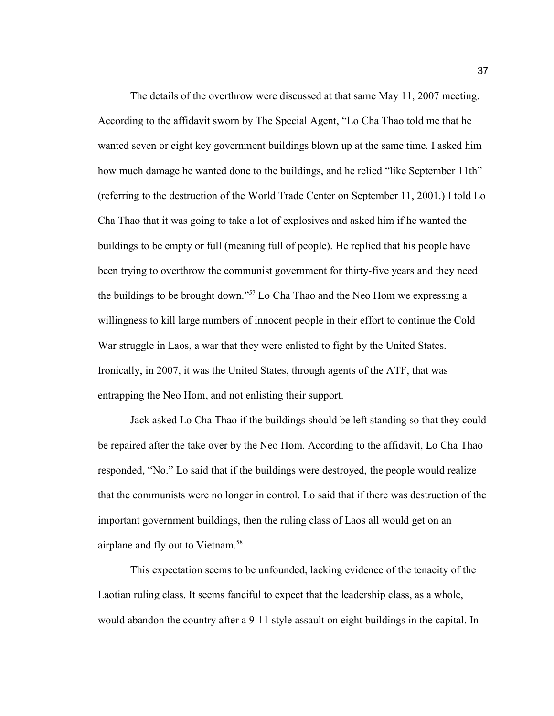The details of the overthrow were discussed at that same May 11, 2007 meeting. According to the affidavit sworn by The Special Agent, "Lo Cha Thao told me that he wanted seven or eight key government buildings blown up at the same time. I asked him how much damage he wanted done to the buildings, and he relied "like September 11th" (referring to the destruction of the World Trade Center on September 11, 2001.) I told Lo Cha Thao that it was going to take a lot of explosives and asked him if he wanted the buildings to be empty or full (meaning full of people). He replied that his people have been trying to overthrow the communist government for thirty-five years and they need the buildings to be brought down."<sup>57</sup> Lo Cha Thao and the Neo Hom we expressing a willingness to kill large numbers of innocent people in their effort to continue the Cold War struggle in Laos, a war that they were enlisted to fight by the United States. Ironically, in 2007, it was the United States, through agents of the ATF, that was entrapping the Neo Hom, and not enlisting their support.

Jack asked Lo Cha Thao if the buildings should be left standing so that they could be repaired after the take over by the Neo Hom. According to the affidavit, Lo Cha Thao responded, "No." Lo said that if the buildings were destroyed, the people would realize that the communists were no longer in control. Lo said that if there was destruction of the important government buildings, then the ruling class of Laos all would get on an airplane and fly out to Vietnam.<sup>58</sup>

This expectation seems to be unfounded, lacking evidence of the tenacity of the Laotian ruling class. It seems fanciful to expect that the leadership class, as a whole, would abandon the country after a 9-11 style assault on eight buildings in the capital. In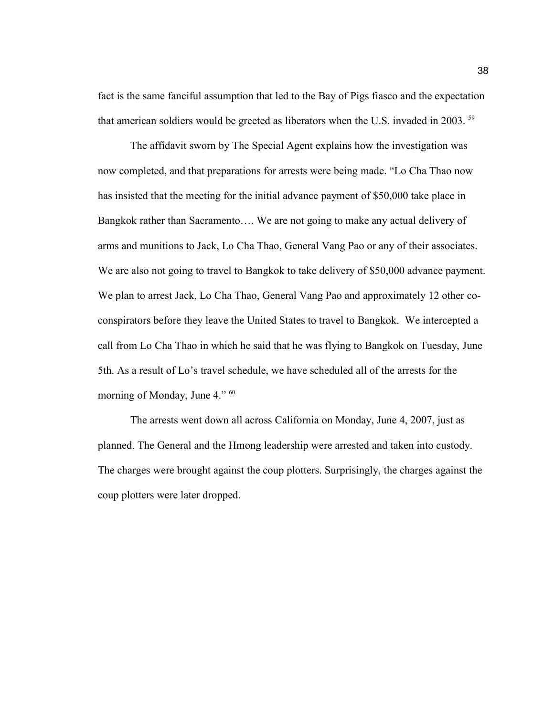fact is the same fanciful assumption that led to the Bay of Pigs fiasco and the expectation that american soldiers would be greeted as liberators when the U.S. invaded in 2003. <sup>59</sup>

The affidavit sworn by The Special Agent explains how the investigation was now completed, and that preparations for arrests were being made. "Lo Cha Thao now has insisted that the meeting for the initial advance payment of \$50,000 take place in Bangkok rather than Sacramento…. We are not going to make any actual delivery of arms and munitions to Jack, Lo Cha Thao, General Vang Pao or any of their associates. We are also not going to travel to Bangkok to take delivery of \$50,000 advance payment. We plan to arrest Jack, Lo Cha Thao, General Vang Pao and approximately 12 other coconspirators before they leave the United States to travel to Bangkok. We intercepted a call from Lo Cha Thao in which he said that he was flying to Bangkok on Tuesday, June 5th. As a result of Lo's travel schedule, we have scheduled all of the arrests for the morning of Monday, June 4." <sup>60</sup>

The arrests went down all across California on Monday, June 4, 2007, just as planned. The General and the Hmong leadership were arrested and taken into custody. The charges were brought against the coup plotters. Surprisingly, the charges against the coup plotters were later dropped.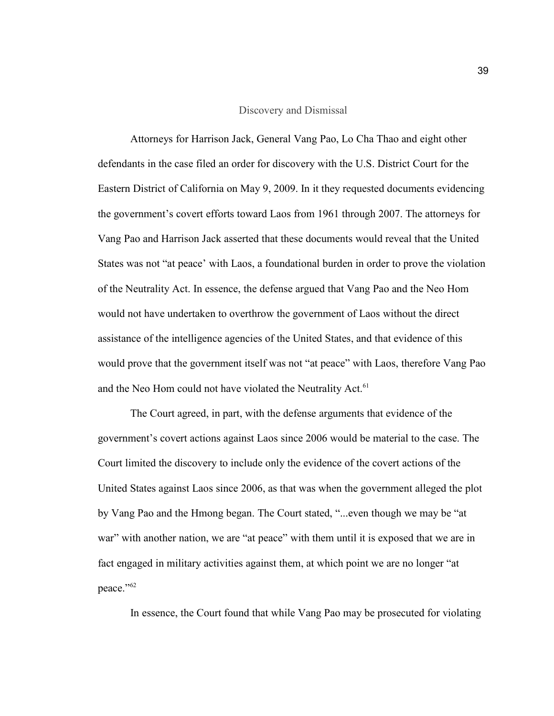#### Discovery and Dismissal

Attorneys for Harrison Jack, General Vang Pao, Lo Cha Thao and eight other defendants in the case filed an order for discovery with the U.S. District Court for the Eastern District of California on May 9, 2009. In it they requested documents evidencing the government's covert efforts toward Laos from 1961 through 2007. The attorneys for Vang Pao and Harrison Jack asserted that these documents would reveal that the United States was not "at peace' with Laos, a foundational burden in order to prove the violation of the Neutrality Act. In essence, the defense argued that Vang Pao and the Neo Hom would not have undertaken to overthrow the government of Laos without the direct assistance of the intelligence agencies of the United States, and that evidence of this would prove that the government itself was not "at peace" with Laos, therefore Vang Pao and the Neo Hom could not have violated the Neutrality Act.<sup>61</sup>

The Court agreed, in part, with the defense arguments that evidence of the government's covert actions against Laos since 2006 would be material to the case. The Court limited the discovery to include only the evidence of the covert actions of the United States against Laos since 2006, as that was when the government alleged the plot by Vang Pao and the Hmong began. The Court stated, "...even though we may be "at war" with another nation, we are "at peace" with them until it is exposed that we are in fact engaged in military activities against them, at which point we are no longer "at peace."<sup>62</sup>

In essence, the Court found that while Vang Pao may be prosecuted for violating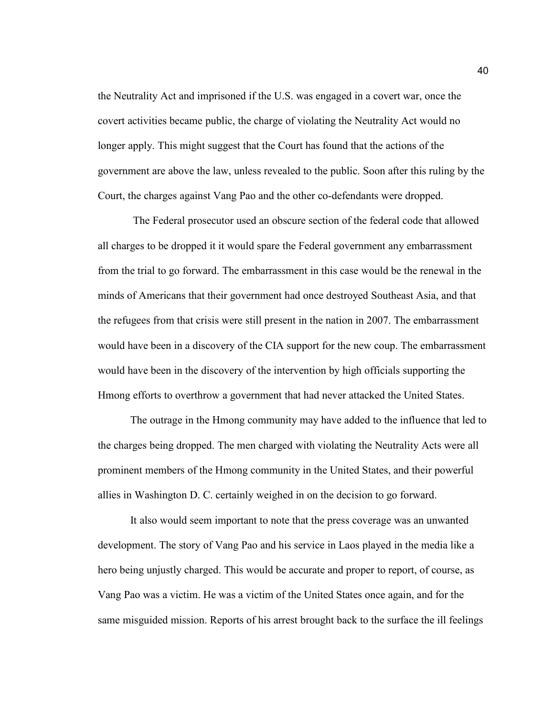the Neutrality Act and imprisoned if the U.S. was engaged in a covert war, once the covert activities became public, the charge of violating the Neutrality Act would no longer apply. This might suggest that the Court has found that the actions of the government are above the law, unless revealed to the public. Soon after this ruling by the Court, the charges against Vang Pao and the other co-defendants were dropped.

 The Federal prosecutor used an obscure section of the federal code that allowed all charges to be dropped it it would spare the Federal government any embarrassment from the trial to go forward. The embarrassment in this case would be the renewal in the minds of Americans that their government had once destroyed Southeast Asia, and that the refugees from that crisis were still present in the nation in 2007. The embarrassment would have been in a discovery of the CIA support for the new coup. The embarrassment would have been in the discovery of the intervention by high officials supporting the Hmong efforts to overthrow a government that had never attacked the United States.

The outrage in the Hmong community may have added to the influence that led to the charges being dropped. The men charged with violating the Neutrality Acts were all prominent members of the Hmong community in the United States, and their powerful allies in Washington D. C. certainly weighed in on the decision to go forward.

It also would seem important to note that the press coverage was an unwanted development. The story of Vang Pao and his service in Laos played in the media like a hero being unjustly charged. This would be accurate and proper to report, of course, as Vang Pao was a victim. He was a victim of the United States once again, and for the same misguided mission. Reports of his arrest brought back to the surface the ill feelings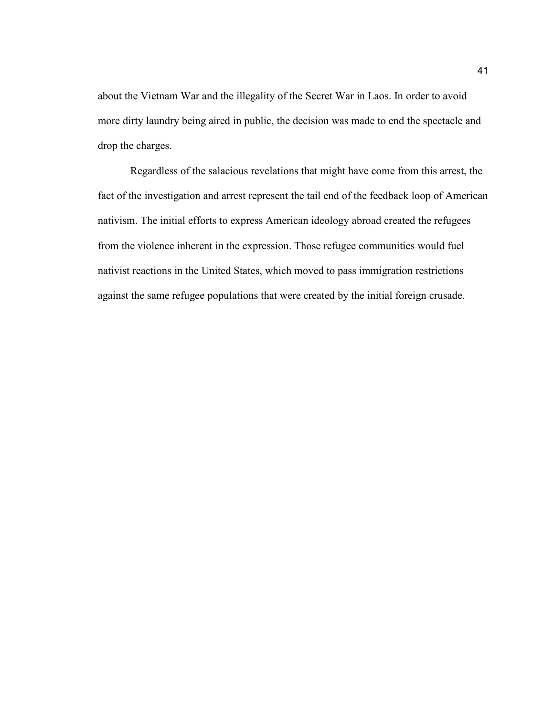about the Vietnam War and the illegality of the Secret War in Laos. In order to avoid more dirty laundry being aired in public, the decision was made to end the spectacle and drop the charges.

Regardless of the salacious revelations that might have come from this arrest, the fact of the investigation and arrest represent the tail end of the feedback loop of American nativism. The initial efforts to express American ideology abroad created the refugees from the violence inherent in the expression. Those refugee communities would fuel nativist reactions in the United States, which moved to pass immigration restrictions against the same refugee populations that were created by the initial foreign crusade.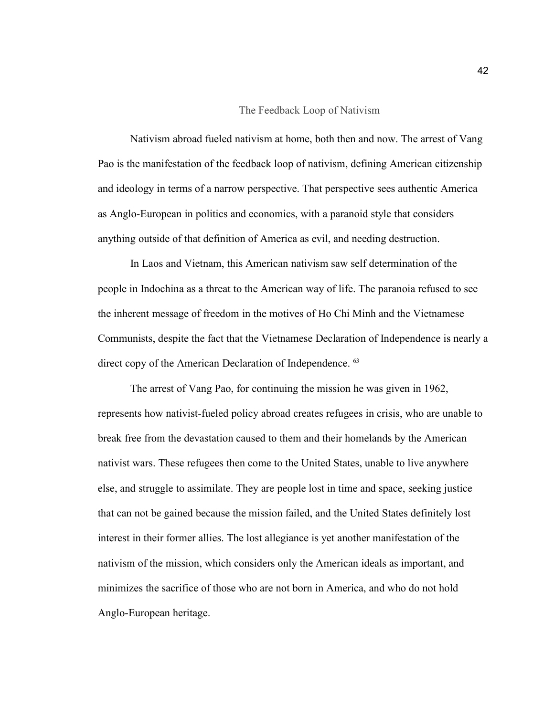#### The Feedback Loop of Nativism

Nativism abroad fueled nativism at home, both then and now. The arrest of Vang Pao is the manifestation of the feedback loop of nativism, defining American citizenship and ideology in terms of a narrow perspective. That perspective sees authentic America as Anglo-European in politics and economics, with a paranoid style that considers anything outside of that definition of America as evil, and needing destruction.

In Laos and Vietnam, this American nativism saw self determination of the people in Indochina as a threat to the American way of life. The paranoia refused to see the inherent message of freedom in the motives of Ho Chi Minh and the Vietnamese Communists, despite the fact that the Vietnamese Declaration of Independence is nearly a direct copy of the American Declaration of Independence. <sup>63</sup>

The arrest of Vang Pao, for continuing the mission he was given in 1962, represents how nativist-fueled policy abroad creates refugees in crisis, who are unable to break free from the devastation caused to them and their homelands by the American nativist wars. These refugees then come to the United States, unable to live anywhere else, and struggle to assimilate. They are people lost in time and space, seeking justice that can not be gained because the mission failed, and the United States definitely lost interest in their former allies. The lost allegiance is yet another manifestation of the nativism of the mission, which considers only the American ideals as important, and minimizes the sacrifice of those who are not born in America, and who do not hold Anglo-European heritage.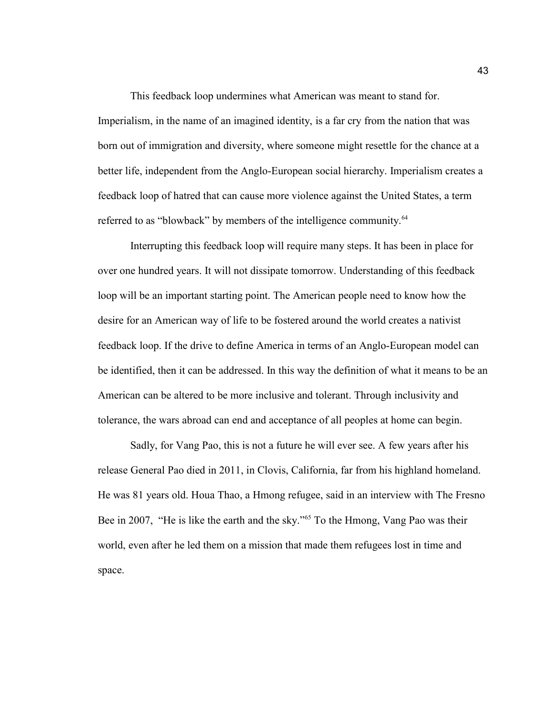This feedback loop undermines what American was meant to stand for. Imperialism, in the name of an imagined identity, is a far cry from the nation that was born out of immigration and diversity, where someone might resettle for the chance at a better life, independent from the Anglo-European social hierarchy. Imperialism creates a feedback loop of hatred that can cause more violence against the United States, a term referred to as "blowback" by members of the intelligence community.<sup>64</sup>

Interrupting this feedback loop will require many steps. It has been in place for over one hundred years. It will not dissipate tomorrow. Understanding of this feedback loop will be an important starting point. The American people need to know how the desire for an American way of life to be fostered around the world creates a nativist feedback loop. If the drive to define America in terms of an Anglo-European model can be identified, then it can be addressed. In this way the definition of what it means to be an American can be altered to be more inclusive and tolerant. Through inclusivity and tolerance, the wars abroad can end and acceptance of all peoples at home can begin.

Sadly, for Vang Pao, this is not a future he will ever see. A few years after his release General Pao died in 2011, in Clovis, California, far from his highland homeland. He was 81 years old. Houa Thao, a Hmong refugee, said in an interview with The Fresno Bee in 2007, "He is like the earth and the sky."<sup>65</sup> To the Hmong, Vang Pao was their world, even after he led them on a mission that made them refugees lost in time and space.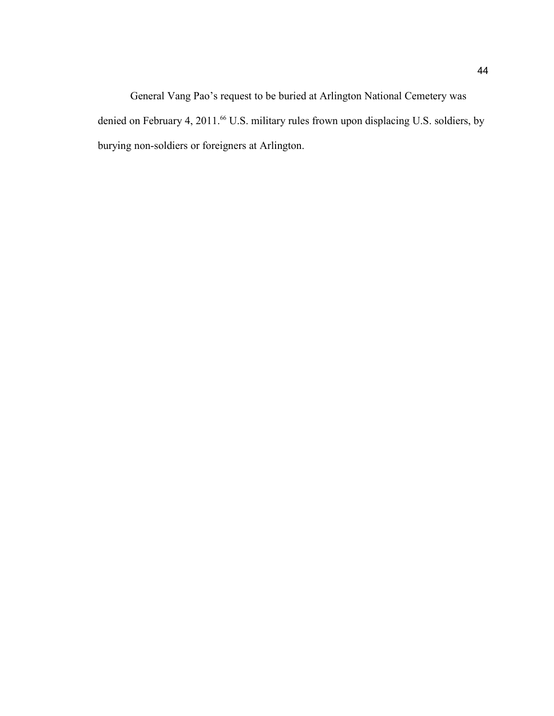General Vang Pao's request to be buried at Arlington National Cemetery was denied on February 4, 2011.<sup>66</sup> U.S. military rules frown upon displacing U.S. soldiers, by burying non-soldiers or foreigners at Arlington.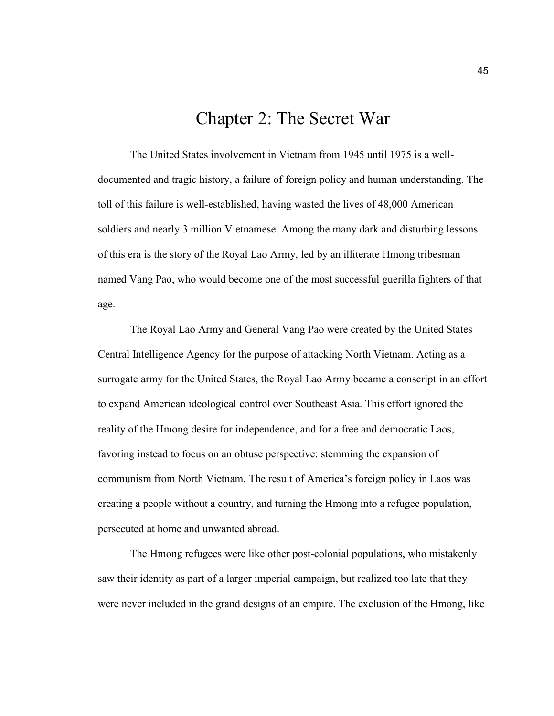# Chapter 2: The Secret War

The United States involvement in Vietnam from 1945 until 1975 is a welldocumented and tragic history, a failure of foreign policy and human understanding. The toll of this failure is well-established, having wasted the lives of 48,000 American soldiers and nearly 3 million Vietnamese. Among the many dark and disturbing lessons of this era is the story of the Royal Lao Army, led by an illiterate Hmong tribesman named Vang Pao, who would become one of the most successful guerilla fighters of that age.

The Royal Lao Army and General Vang Pao were created by the United States Central Intelligence Agency for the purpose of attacking North Vietnam. Acting as a surrogate army for the United States, the Royal Lao Army became a conscript in an effort to expand American ideological control over Southeast Asia. This effort ignored the reality of the Hmong desire for independence, and for a free and democratic Laos, favoring instead to focus on an obtuse perspective: stemming the expansion of communism from North Vietnam. The result of America's foreign policy in Laos was creating a people without a country, and turning the Hmong into a refugee population, persecuted at home and unwanted abroad.

The Hmong refugees were like other post-colonial populations, who mistakenly saw their identity as part of a larger imperial campaign, but realized too late that they were never included in the grand designs of an empire. The exclusion of the Hmong, like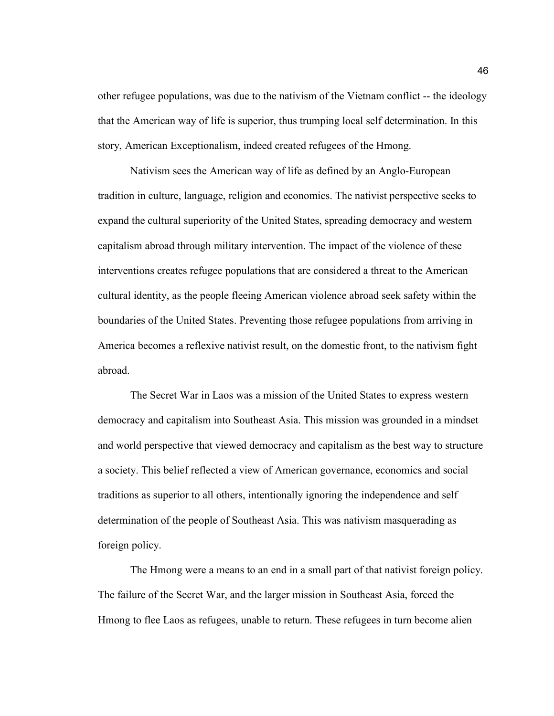other refugee populations, was due to the nativism of the Vietnam conflict -- the ideology that the American way of life is superior, thus trumping local self determination. In this story, American Exceptionalism, indeed created refugees of the Hmong.

Nativism sees the American way of life as defined by an Anglo-European tradition in culture, language, religion and economics. The nativist perspective seeks to expand the cultural superiority of the United States, spreading democracy and western capitalism abroad through military intervention. The impact of the violence of these interventions creates refugee populations that are considered a threat to the American cultural identity, as the people fleeing American violence abroad seek safety within the boundaries of the United States. Preventing those refugee populations from arriving in America becomes a reflexive nativist result, on the domestic front, to the nativism fight abroad.

The Secret War in Laos was a mission of the United States to express western democracy and capitalism into Southeast Asia. This mission was grounded in a mindset and world perspective that viewed democracy and capitalism as the best way to structure a society. This belief reflected a view of American governance, economics and social traditions as superior to all others, intentionally ignoring the independence and self determination of the people of Southeast Asia. This was nativism masquerading as foreign policy.

The Hmong were a means to an end in a small part of that nativist foreign policy. The failure of the Secret War, and the larger mission in Southeast Asia, forced the Hmong to flee Laos as refugees, unable to return. These refugees in turn become alien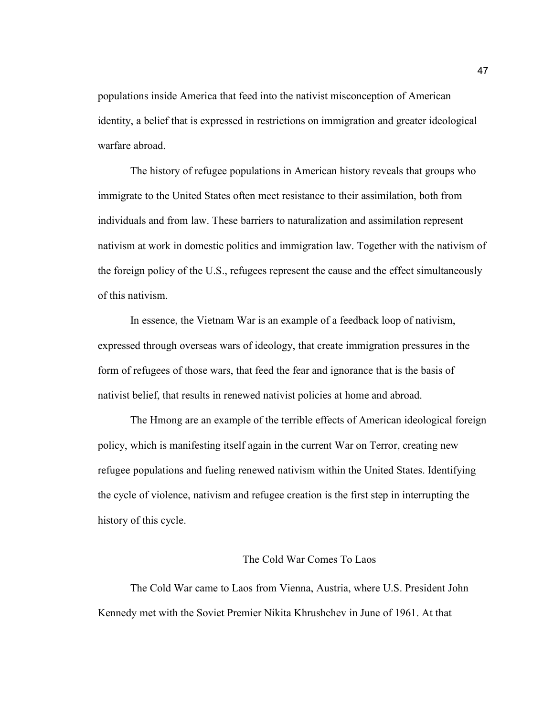populations inside America that feed into the nativist misconception of American identity, a belief that is expressed in restrictions on immigration and greater ideological warfare abroad.

The history of refugee populations in American history reveals that groups who immigrate to the United States often meet resistance to their assimilation, both from individuals and from law. These barriers to naturalization and assimilation represent nativism at work in domestic politics and immigration law. Together with the nativism of the foreign policy of the U.S., refugees represent the cause and the effect simultaneously of this nativism.

In essence, the Vietnam War is an example of a feedback loop of nativism, expressed through overseas wars of ideology, that create immigration pressures in the form of refugees of those wars, that feed the fear and ignorance that is the basis of nativist belief, that results in renewed nativist policies at home and abroad.

The Hmong are an example of the terrible effects of American ideological foreign policy, which is manifesting itself again in the current War on Terror, creating new refugee populations and fueling renewed nativism within the United States. Identifying the cycle of violence, nativism and refugee creation is the first step in interrupting the history of this cycle.

## The Cold War Comes To Laos

The Cold War came to Laos from Vienna, Austria, where U.S. President John Kennedy met with the Soviet Premier Nikita Khrushchev in June of 1961. At that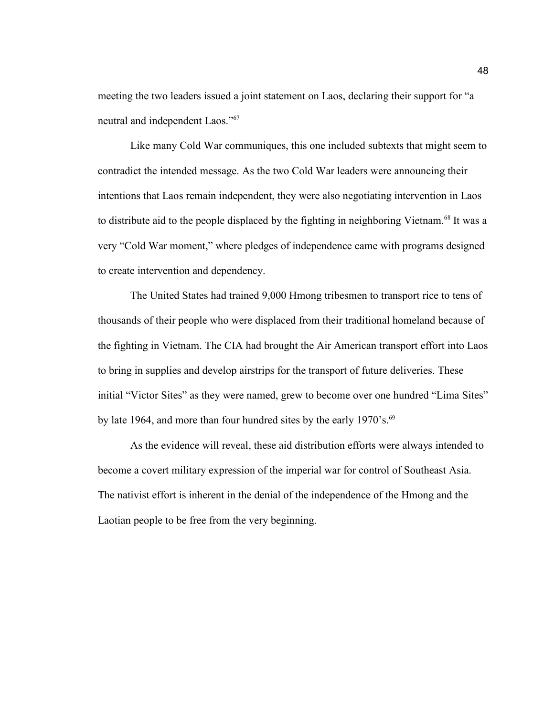meeting the two leaders issued a joint statement on Laos, declaring their support for "a neutral and independent Laos."<sup>67</sup>

Like many Cold War communiques, this one included subtexts that might seem to contradict the intended message. As the two Cold War leaders were announcing their intentions that Laos remain independent, they were also negotiating intervention in Laos to distribute aid to the people displaced by the fighting in neighboring Vietnam.<sup>68</sup> It was a very "Cold War moment," where pledges of independence came with programs designed to create intervention and dependency.

The United States had trained 9,000 Hmong tribesmen to transport rice to tens of thousands of their people who were displaced from their traditional homeland because of the fighting in Vietnam. The CIA had brought the Air American transport effort into Laos to bring in supplies and develop airstrips for the transport of future deliveries. These initial "Victor Sites" as they were named, grew to become over one hundred "Lima Sites" by late 1964, and more than four hundred sites by the early 1970's.<sup>69</sup>

As the evidence will reveal, these aid distribution efforts were always intended to become a covert military expression of the imperial war for control of Southeast Asia. The nativist effort is inherent in the denial of the independence of the Hmong and the Laotian people to be free from the very beginning.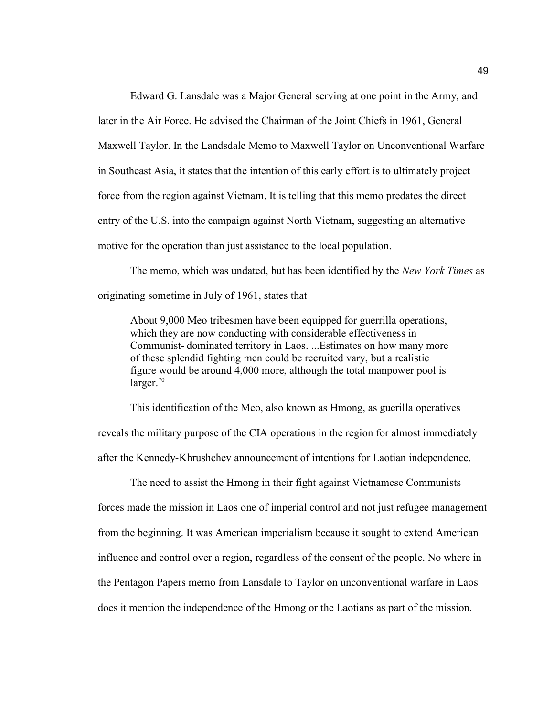Edward G. Lansdale was a Major General serving at one point in the Army, and later in the Air Force. He advised the Chairman of the Joint Chiefs in 1961, General Maxwell Taylor. In the Landsdale Memo to Maxwell Taylor on Unconventional Warfare in Southeast Asia, it states that the intention of this early effort is to ultimately project force from the region against Vietnam. It is telling that this memo predates the direct entry of the U.S. into the campaign against North Vietnam, suggesting an alternative motive for the operation than just assistance to the local population.

The memo, which was undated, but has been identified by the *New York Times* as originating sometime in July of 1961, states that

About 9,000 Meo tribesmen have been equipped for guerrilla operations, which they are now conducting with considerable effectiveness in Communist-dominated territory in Laos. ...Estimates on how many more of these splendid fighting men could be recruited vary, but a realistic figure would be around 4,000 more, although the total manpower pool is  $larger.<sup>70</sup>$ 

This identification of the Meo, also known as Hmong, as guerilla operatives reveals the military purpose of the CIA operations in the region for almost immediately after the Kennedy-Khrushchev announcement of intentions for Laotian independence.

The need to assist the Hmong in their fight against Vietnamese Communists forces made the mission in Laos one of imperial control and not just refugee management from the beginning. It was American imperialism because it sought to extend American influence and control over a region, regardless of the consent of the people. No where in the Pentagon Papers memo from Lansdale to Taylor on unconventional warfare in Laos does it mention the independence of the Hmong or the Laotians as part of the mission.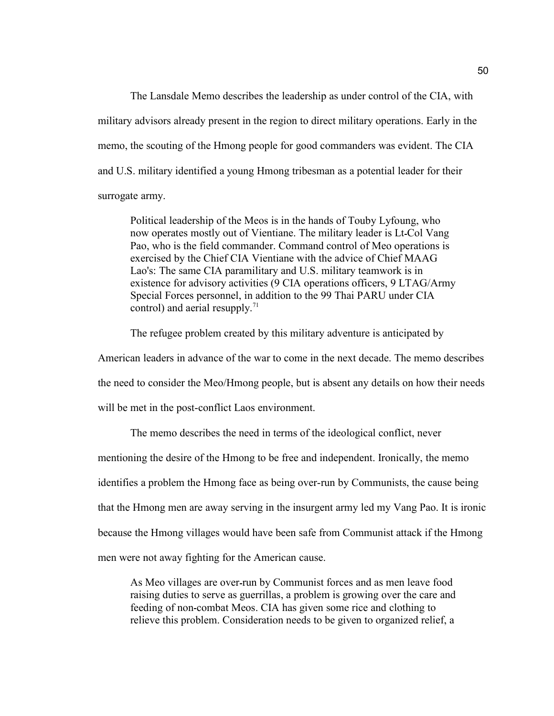The Lansdale Memo describes the leadership as under control of the CIA, with military advisors already present in the region to direct military operations. Early in the memo, the scouting of the Hmong people for good commanders was evident. The CIA and U.S. military identified a young Hmong tribesman as a potential leader for their surrogate army.

Political leadership of the Meos is in the hands of Touby Lyfoung, who now operates mostly out of Vientiane. The military leader is Lt-Col Vang Pao, who is the field commander. Command control of Meo operations is exercised by the Chief CIA Vientiane with the advice of Chief MAAG Lao's: The same CIA paramilitary and U.S. military teamwork is in existence for advisory activities (9 CIA operations officers, 9 LTAG/Army Special Forces personnel, in addition to the 99 Thai PARU under CIA control) and aerial resupply.<sup>71</sup>

The refugee problem created by this military adventure is anticipated by

American leaders in advance of the war to come in the next decade. The memo describes

the need to consider the Meo/Hmong people, but is absent any details on how their needs

will be met in the post-conflict Laos environment.

The memo describes the need in terms of the ideological conflict, never

mentioning the desire of the Hmong to be free and independent. Ironically, the memo

identifies a problem the Hmong face as being over-run by Communists, the cause being

that the Hmong men are away serving in the insurgent army led my Vang Pao. It is ironic

because the Hmong villages would have been safe from Communist attack if the Hmong

men were not away fighting for the American cause.

As Meo villages are over-run by Communist forces and as men leave food raising duties to serve as guerrillas, a problem is growing over the care and feeding of non-combat Meos. CIA has given some rice and clothing to relieve this problem. Consideration needs to be given to organized relief, a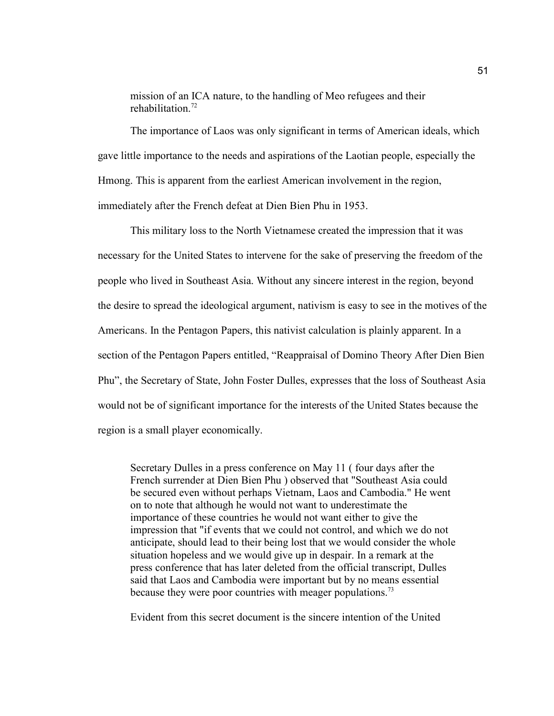mission of an ICA nature, to the handling of Meo refugees and their rehabilitation $^{72}$ 

The importance of Laos was only significant in terms of American ideals, which gave little importance to the needs and aspirations of the Laotian people, especially the Hmong. This is apparent from the earliest American involvement in the region, immediately after the French defeat at Dien Bien Phu in 1953.

This military loss to the North Vietnamese created the impression that it was necessary for the United States to intervene for the sake of preserving the freedom of the people who lived in Southeast Asia. Without any sincere interest in the region, beyond the desire to spread the ideological argument, nativism is easy to see in the motives of the Americans. In the Pentagon Papers, this nativist calculation is plainly apparent. In a section of the Pentagon Papers entitled, "Reappraisal of Domino Theory After Dien Bien Phu", the Secretary of State, John Foster Dulles, expresses that the loss of Southeast Asia would not be of significant importance for the interests of the United States because the region is a small player economically.

Secretary Dulles in a press conference on May 11 ( four days after the French surrender at Dien Bien Phu ) observed that "Southeast Asia could be secured even without perhaps Vietnam, Laos and Cambodia." He went on to note that although he would not want to underestimate the importance of these countries he would not want either to give the impression that "if events that we could not control, and which we do not anticipate, should lead to their being lost that we would consider the whole situation hopeless and we would give up in despair. In a remark at the press conference that has later deleted from the official transcript, Dulles said that Laos and Cambodia were important but by no means essential because they were poor countries with meager populations.<sup>73</sup>

Evident from this secret document is the sincere intention of the United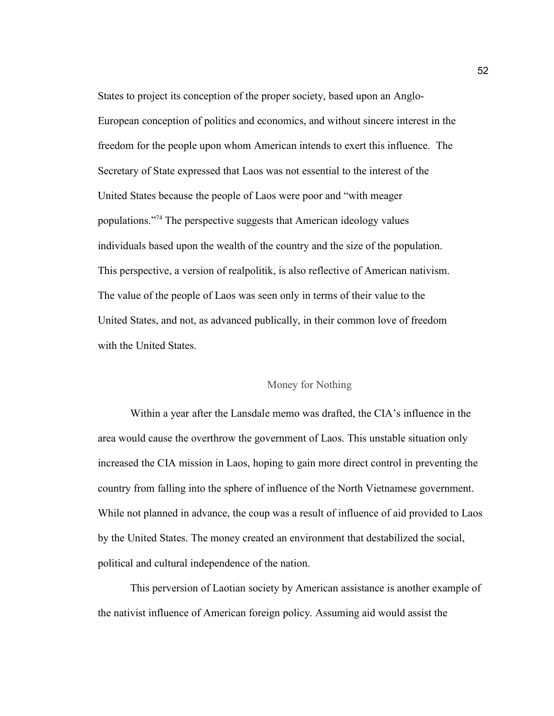States to project its conception of the proper society, based upon an Anglo-European conception of politics and economics, and without sincere interest in the freedom for the people upon whom American intends to exert this influence. The Secretary of State expressed that Laos was not essential to the interest of the United States because the people of Laos were poor and "with meager populations."<sup>74</sup> The perspective suggests that American ideology values individuals based upon the wealth of the country and the size of the population. This perspective, a version of realpolitik, is also reflective of American nativism. The value of the people of Laos was seen only in terms of their value to the United States, and not, as advanced publically, in their common love of freedom with the United States.

### Money for Nothing

Within a year after the Lansdale memo was drafted, the CIA's influence in the area would cause the overthrow the government of Laos. This unstable situation only increased the CIA mission in Laos, hoping to gain more direct control in preventing the country from falling into the sphere of influence of the North Vietnamese government. While not planned in advance, the coup was a result of influence of aid provided to Laos by the United States. The money created an environment that destabilized the social, political and cultural independence of the nation.

This perversion of Laotian society by American assistance is another example of the nativist influence of American foreign policy. Assuming aid would assist the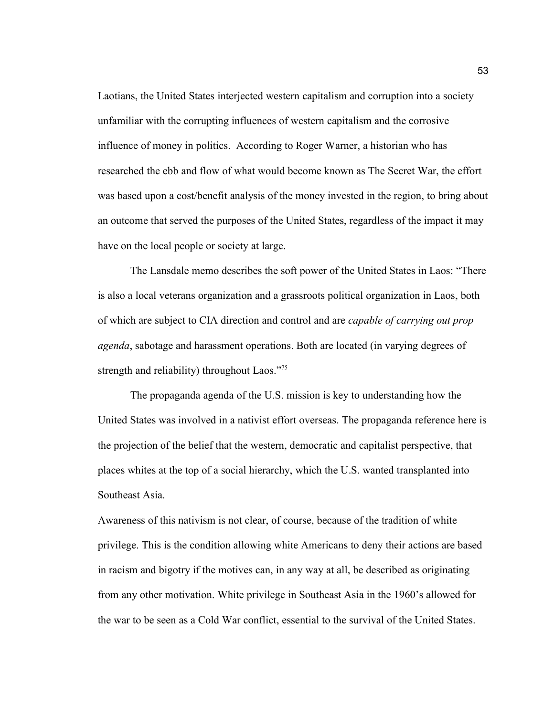Laotians, the United States interjected western capitalism and corruption into a society unfamiliar with the corrupting influences of western capitalism and the corrosive influence of money in politics. According to Roger Warner, a historian who has researched the ebb and flow of what would become known as The Secret War, the effort was based upon a cost/benefit analysis of the money invested in the region, to bring about an outcome that served the purposes of the United States, regardless of the impact it may have on the local people or society at large.

The Lansdale memo describes the soft power of the United States in Laos: "There is also a local veterans organization and a grassroots political organization in Laos, both of which are subject to CIA direction and control and are *capable of carrying out prop agenda*, sabotage and harassment operations. Both are located (in varying degrees of strength and reliability) throughout Laos."75

The propaganda agenda of the U.S. mission is key to understanding how the United States was involved in a nativist effort overseas. The propaganda reference here is the projection of the belief that the western, democratic and capitalist perspective, that places whites at the top of a social hierarchy, which the U.S. wanted transplanted into Southeast Asia.

Awareness of this nativism is not clear, of course, because of the tradition of white privilege. This is the condition allowing white Americans to deny their actions are based in racism and bigotry if the motives can, in any way at all, be described as originating from any other motivation. White privilege in Southeast Asia in the 1960's allowed for the war to be seen as a Cold War conflict, essential to the survival of the United States.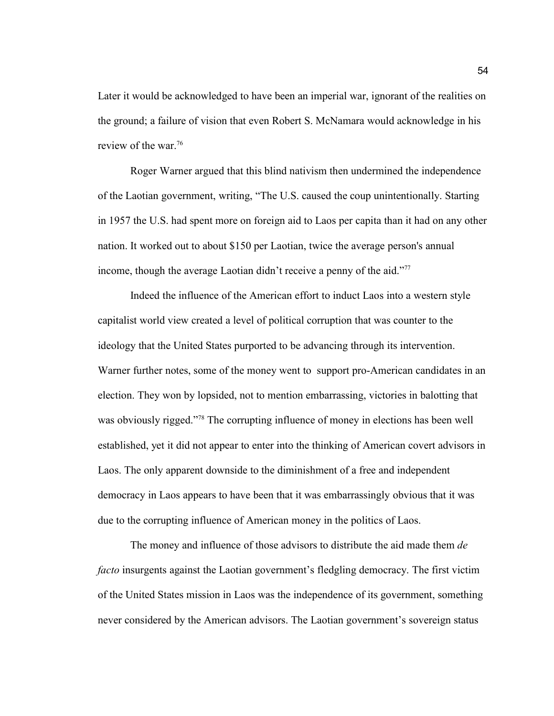Later it would be acknowledged to have been an imperial war, ignorant of the realities on the ground; a failure of vision that even Robert S. McNamara would acknowledge in his review of the war.<sup>76</sup>

Roger Warner argued that this blind nativism then undermined the independence of the Laotian government, writing, "The U.S. caused the coup unintentionally. Starting in 1957 the U.S. had spent more on foreign aid to Laos per capita than it had on any other nation. It worked out to about \$150 per Laotian, twice the average person's annual income, though the average Laotian didn't receive a penny of the aid."<sup>77</sup>

Indeed the influence of the American effort to induct Laos into a western style capitalist world view created a level of political corruption that was counter to the ideology that the United States purported to be advancing through its intervention. Warner further notes, some of the money went to support pro-American candidates in an election. They won by lopsided, not to mention embarrassing, victories in balotting that was obviously rigged."<sup>78</sup> The corrupting influence of money in elections has been well established, yet it did not appear to enter into the thinking of American covert advisors in Laos. The only apparent downside to the diminishment of a free and independent democracy in Laos appears to have been that it was embarrassingly obvious that it was due to the corrupting influence of American money in the politics of Laos.

The money and influence of those advisors to distribute the aid made them *de facto* insurgents against the Laotian government's fledgling democracy. The first victim of the United States mission in Laos was the independence of its government, something never considered by the American advisors. The Laotian government's sovereign status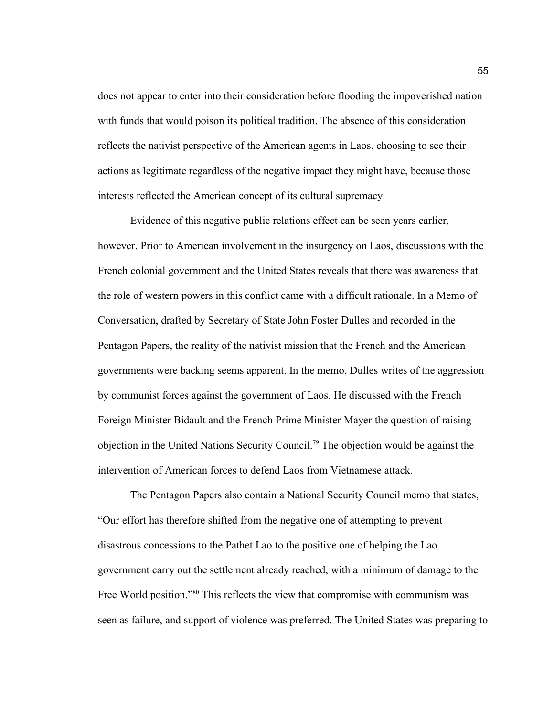does not appear to enter into their consideration before flooding the impoverished nation with funds that would poison its political tradition. The absence of this consideration reflects the nativist perspective of the American agents in Laos, choosing to see their actions as legitimate regardless of the negative impact they might have, because those interests reflected the American concept of its cultural supremacy.

Evidence of this negative public relations effect can be seen years earlier, however. Prior to American involvement in the insurgency on Laos, discussions with the French colonial government and the United States reveals that there was awareness that the role of western powers in this conflict came with a difficult rationale. In a Memo of Conversation, drafted by Secretary of State John Foster Dulles and recorded in the Pentagon Papers, the reality of the nativist mission that the French and the American governments were backing seems apparent. In the memo, Dulles writes of the aggression by communist forces against the government of Laos. He discussed with the French Foreign Minister Bidault and the French Prime Minister Mayer the question of raising objection in the United Nations Security Council.<sup>79</sup> The objection would be against the intervention of American forces to defend Laos from Vietnamese attack.

The Pentagon Papers also contain a National Security Council memo that states, "Our effort has therefore shifted from the negative one of attempting to prevent disastrous concessions to the Pathet Lao to the positive one of helping the Lao government carry out the settlement already reached, with a minimum of damage to the Free World position."<sup>80</sup> This reflects the view that compromise with communism was seen as failure, and support of violence was preferred. The United States was preparing to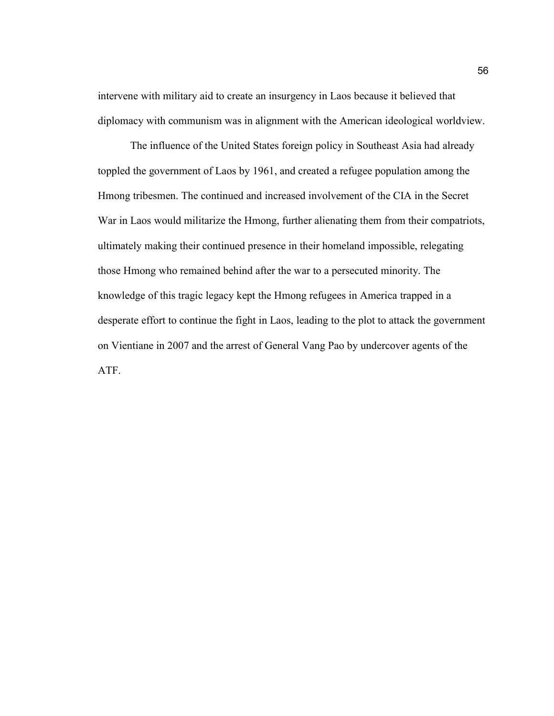intervene with military aid to create an insurgency in Laos because it believed that diplomacy with communism was in alignment with the American ideological worldview.

The influence of the United States foreign policy in Southeast Asia had already toppled the government of Laos by 1961, and created a refugee population among the Hmong tribesmen. The continued and increased involvement of the CIA in the Secret War in Laos would militarize the Hmong, further alienating them from their compatriots, ultimately making their continued presence in their homeland impossible, relegating those Hmong who remained behind after the war to a persecuted minority. The knowledge of this tragic legacy kept the Hmong refugees in America trapped in a desperate effort to continue the fight in Laos, leading to the plot to attack the government on Vientiane in 2007 and the arrest of General Vang Pao by undercover agents of the ATF.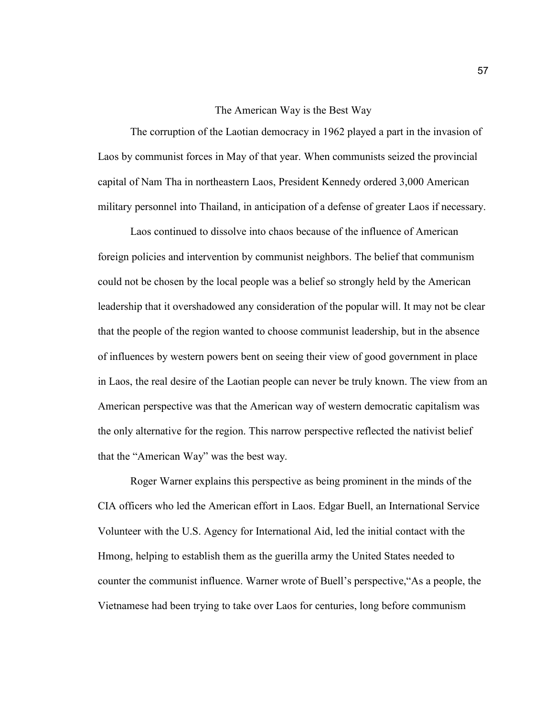### The American Way is the Best Way

The corruption of the Laotian democracy in 1962 played a part in the invasion of Laos by communist forces in May of that year. When communists seized the provincial capital of Nam Tha in northeastern Laos, President Kennedy ordered 3,000 American military personnel into Thailand, in anticipation of a defense of greater Laos if necessary.

Laos continued to dissolve into chaos because of the influence of American foreign policies and intervention by communist neighbors. The belief that communism could not be chosen by the local people was a belief so strongly held by the American leadership that it overshadowed any consideration of the popular will. It may not be clear that the people of the region wanted to choose communist leadership, but in the absence of influences by western powers bent on seeing their view of good government in place in Laos, the real desire of the Laotian people can never be truly known. The view from an American perspective was that the American way of western democratic capitalism was the only alternative for the region. This narrow perspective reflected the nativist belief that the "American Way" was the best way.

Roger Warner explains this perspective as being prominent in the minds of the CIA officers who led the American effort in Laos. Edgar Buell, an International Service Volunteer with the U.S. Agency for International Aid, led the initial contact with the Hmong, helping to establish them as the guerilla army the United States needed to counter the communist influence. Warner wrote of Buell's perspective,"As a people, the Vietnamese had been trying to take over Laos for centuries, long before communism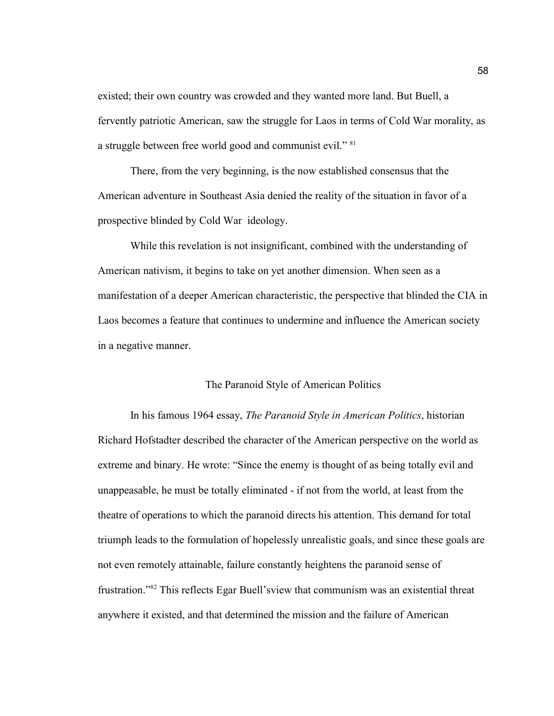existed; their own country was crowded and they wanted more land. But Buell, a fervently patriotic American, saw the struggle for Laos in terms of Cold War morality, as a struggle between free world good and communist evil." <sup>81</sup>

There, from the very beginning, is the now established consensus that the American adventure in Southeast Asia denied the reality of the situation in favor of a prospective blinded by Cold War ideology.

While this revelation is not insignificant, combined with the understanding of American nativism, it begins to take on yet another dimension. When seen as a manifestation of a deeper American characteristic, the perspective that blinded the CIA in Laos becomes a feature that continues to undermine and influence the American society in a negative manner.

## The Paranoid Style of American Politics

In his famous 1964 essay, *The Paranoid Style in American Politics*, historian Richard Hofstadter described the character of the American perspective on the world as extreme and binary. He wrote: "Since the enemy is thought of as being totally evil and unappeasable, he must be totally eliminated - if not from the world, at least from the theatre of operations to which the paranoid directs his attention. This demand for total triumph leads to the formulation of hopelessly unrealistic goals, and since these goals are not even remotely attainable, failure constantly heightens the paranoid sense of frustration."<sup>82</sup> This reflects Egar Buell'sview that communism was an existential threat anywhere it existed, and that determined the mission and the failure of American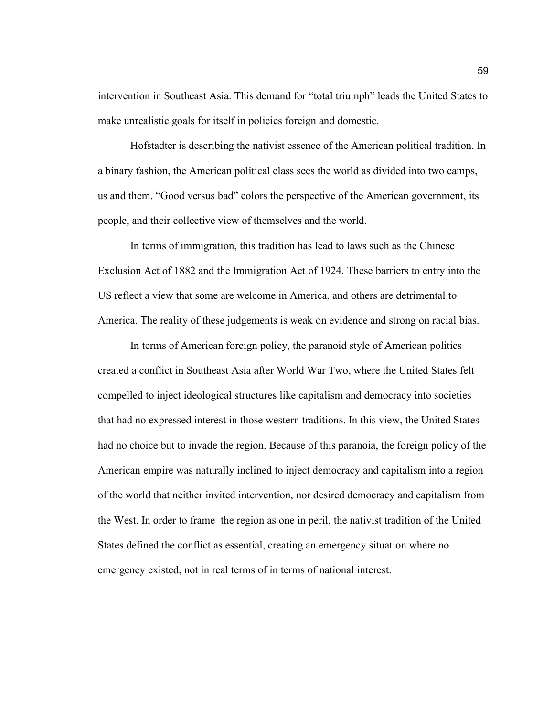intervention in Southeast Asia. This demand for "total triumph" leads the United States to make unrealistic goals for itself in policies foreign and domestic.

Hofstadter is describing the nativist essence of the American political tradition. In a binary fashion, the American political class sees the world as divided into two camps, us and them. "Good versus bad" colors the perspective of the American government, its people, and their collective view of themselves and the world.

In terms of immigration, this tradition has lead to laws such as the Chinese Exclusion Act of 1882 and the Immigration Act of 1924. These barriers to entry into the US reflect a view that some are welcome in America, and others are detrimental to America. The reality of these judgements is weak on evidence and strong on racial bias.

In terms of American foreign policy, the paranoid style of American politics created a conflict in Southeast Asia after World War Two, where the United States felt compelled to inject ideological structures like capitalism and democracy into societies that had no expressed interest in those western traditions. In this view, the United States had no choice but to invade the region. Because of this paranoia, the foreign policy of the American empire was naturally inclined to inject democracy and capitalism into a region of the world that neither invited intervention, nor desired democracy and capitalism from the West. In order to frame the region as one in peril, the nativist tradition of the United States defined the conflict as essential, creating an emergency situation where no emergency existed, not in real terms of in terms of national interest.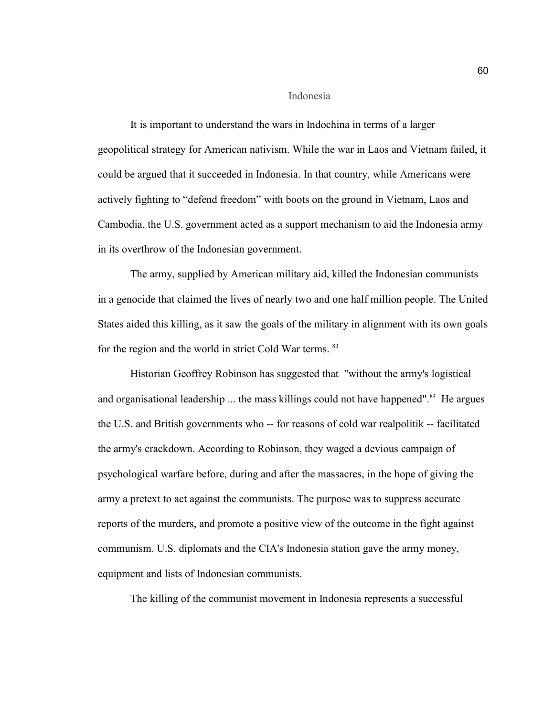#### Indonesia

It is important to understand the wars in Indochina in terms of a larger geopolitical strategy for American nativism. While the war in Laos and Vietnam failed, it could be argued that it succeeded in Indonesia. In that country, while Americans were actively fighting to "defend freedom" with boots on the ground in Vietnam, Laos and Cambodia, the U.S. government acted as a support mechanism to aid the Indonesia army in its overthrow of the Indonesian government.

The army, supplied by American military aid, killed the Indonesian communists in a genocide that claimed the lives of nearly two and one half million people. The United States aided this killing, as it saw the goals of the military in alignment with its own goals for the region and the world in strict Cold War terms. <sup>83</sup>

Historian Geoffrey Robinson has suggested that "without the army's logistical and organisational leadership ... the mass killings could not have happened".<sup>84</sup> He argues the U.S. and British governments who -- for reasons of cold war realpolitik -- facilitated the army's crackdown. According to Robinson, they waged a devious campaign of psychological warfare before, during and after the massacres, in the hope of giving the army a pretext to act against the communists. The purpose was to suppress accurate reports of the murders, and promote a positive view of the outcome in the fight against communism. U.S. diplomats and the CIA's Indonesia station gave the army money, equipment and lists of Indonesian communists.

The killing of the communist movement in Indonesia represents a successful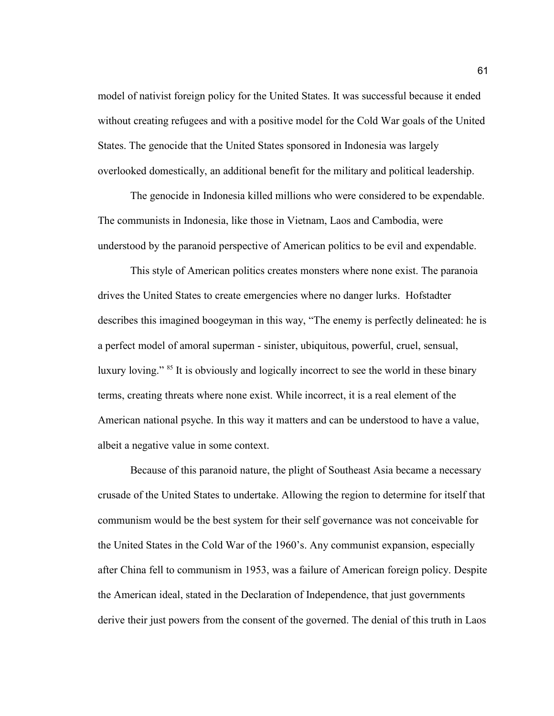model of nativist foreign policy for the United States. It was successful because it ended without creating refugees and with a positive model for the Cold War goals of the United States. The genocide that the United States sponsored in Indonesia was largely overlooked domestically, an additional benefit for the military and political leadership.

The genocide in Indonesia killed millions who were considered to be expendable. The communists in Indonesia, like those in Vietnam, Laos and Cambodia, were understood by the paranoid perspective of American politics to be evil and expendable.

This style of American politics creates monsters where none exist. The paranoia drives the United States to create emergencies where no danger lurks. Hofstadter describes this imagined boogeyman in this way, "The enemy is perfectly delineated: he is a perfect model of amoral superman - sinister, ubiquitous, powerful, cruel, sensual, luxury loving." <sup>85</sup> It is obviously and logically incorrect to see the world in these binary terms, creating threats where none exist. While incorrect, it is a real element of the American national psyche. In this way it matters and can be understood to have a value, albeit a negative value in some context.

Because of this paranoid nature, the plight of Southeast Asia became a necessary crusade of the United States to undertake. Allowing the region to determine for itself that communism would be the best system for their self governance was not conceivable for the United States in the Cold War of the 1960's. Any communist expansion, especially after China fell to communism in 1953, was a failure of American foreign policy. Despite the American ideal, stated in the Declaration of Independence, that just governments derive their just powers from the consent of the governed. The denial of this truth in Laos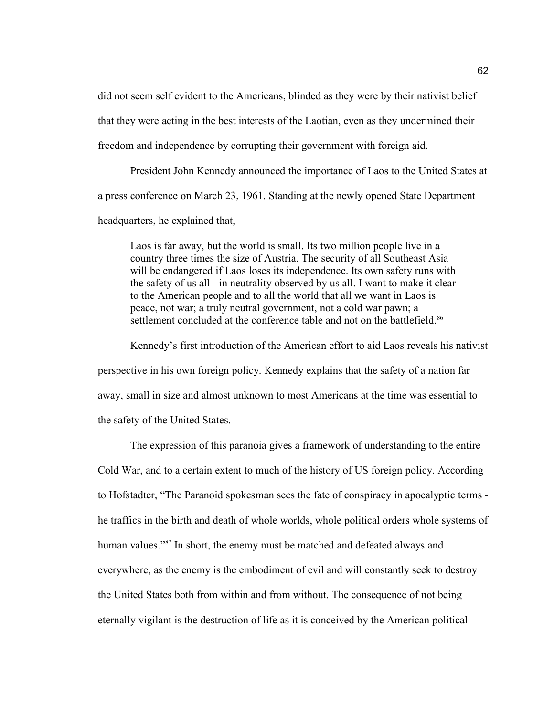did not seem self evident to the Americans, blinded as they were by their nativist belief that they were acting in the best interests of the Laotian, even as they undermined their freedom and independence by corrupting their government with foreign aid.

President John Kennedy announced the importance of Laos to the United States at a press conference on March 23, 1961. Standing at the newly opened State Department headquarters, he explained that,

Laos is far away, but the world is small. Its two million people live in a country three times the size of Austria. The security of all Southeast Asia will be endangered if Laos loses its independence. Its own safety runs with the safety of us all - in neutrality observed by us all. I want to make it clear to the American people and to all the world that all we want in Laos is peace, not war; a truly neutral government, not a cold war pawn; a settlement concluded at the conference table and not on the battlefield.<sup>86</sup>

Kennedy's first introduction of the American effort to aid Laos reveals his nativist perspective in his own foreign policy. Kennedy explains that the safety of a nation far away, small in size and almost unknown to most Americans at the time was essential to the safety of the United States.

The expression of this paranoia gives a framework of understanding to the entire Cold War, and to a certain extent to much of the history of US foreign policy. According to Hofstadter, "The Paranoid spokesman sees the fate of conspiracy in apocalyptic terms he traffics in the birth and death of whole worlds, whole political orders whole systems of human values."<sup>87</sup> In short, the enemy must be matched and defeated always and everywhere, as the enemy is the embodiment of evil and will constantly seek to destroy the United States both from within and from without. The consequence of not being eternally vigilant is the destruction of life as it is conceived by the American political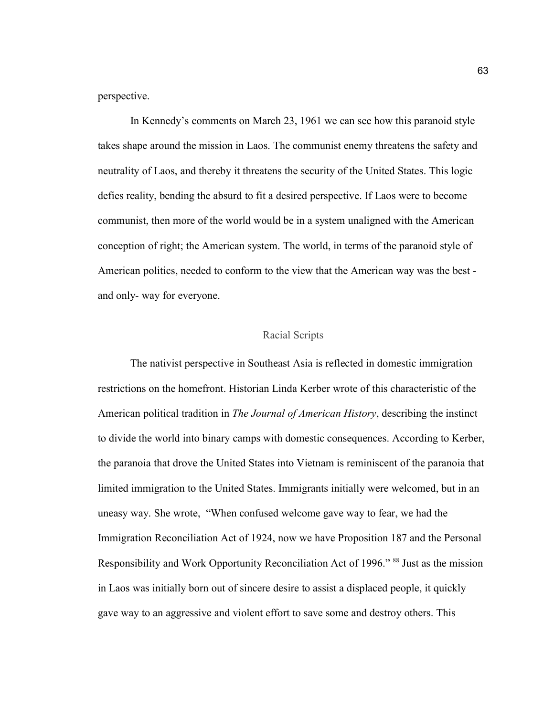perspective.

In Kennedy's comments on March 23, 1961 we can see how this paranoid style takes shape around the mission in Laos. The communist enemy threatens the safety and neutrality of Laos, and thereby it threatens the security of the United States. This logic defies reality, bending the absurd to fit a desired perspective. If Laos were to become communist, then more of the world would be in a system unaligned with the American conception of right; the American system. The world, in terms of the paranoid style of American politics, needed to conform to the view that the American way was the best and only- way for everyone.

## Racial Scripts

The nativist perspective in Southeast Asia is reflected in domestic immigration restrictions on the homefront. Historian Linda Kerber wrote of this characteristic of the American political tradition in *The Journal of American History*, describing the instinct to divide the world into binary camps with domestic consequences. According to Kerber, the paranoia that drove the United States into Vietnam is reminiscent of the paranoia that limited immigration to the United States. Immigrants initially were welcomed, but in an uneasy way. She wrote, "When confused welcome gave way to fear, we had the Immigration Reconciliation Act of 1924, now we have Proposition 187 and the Personal Responsibility and Work Opportunity Reconciliation Act of 1996." <sup>88</sup> Just as the mission in Laos was initially born out of sincere desire to assist a displaced people, it quickly gave way to an aggressive and violent effort to save some and destroy others. This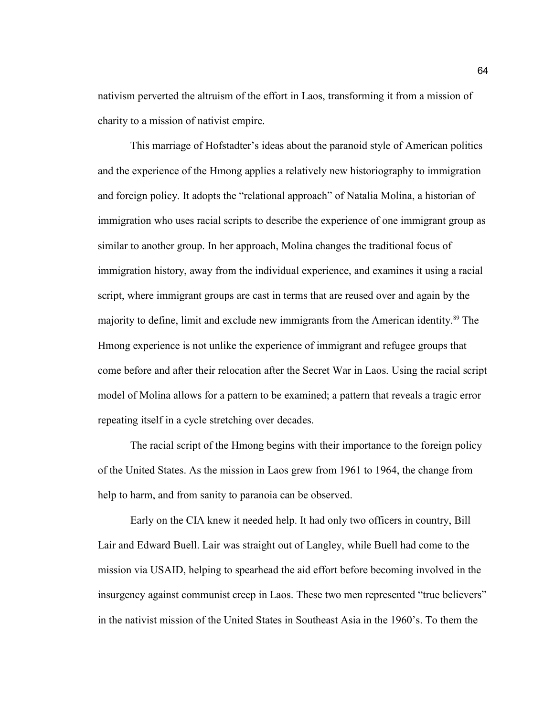nativism perverted the altruism of the effort in Laos, transforming it from a mission of charity to a mission of nativist empire.

This marriage of Hofstadter's ideas about the paranoid style of American politics and the experience of the Hmong applies a relatively new historiography to immigration and foreign policy. It adopts the "relational approach" of Natalia Molina, a historian of immigration who uses racial scripts to describe the experience of one immigrant group as similar to another group. In her approach, Molina changes the traditional focus of immigration history, away from the individual experience, and examines it using a racial script, where immigrant groups are cast in terms that are reused over and again by the majority to define, limit and exclude new immigrants from the American identity.<sup>89</sup> The Hmong experience is not unlike the experience of immigrant and refugee groups that come before and after their relocation after the Secret War in Laos. Using the racial script model of Molina allows for a pattern to be examined; a pattern that reveals a tragic error repeating itself in a cycle stretching over decades.

The racial script of the Hmong begins with their importance to the foreign policy of the United States. As the mission in Laos grew from 1961 to 1964, the change from help to harm, and from sanity to paranoia can be observed.

Early on the CIA knew it needed help. It had only two officers in country, Bill Lair and Edward Buell. Lair was straight out of Langley, while Buell had come to the mission via USAID, helping to spearhead the aid effort before becoming involved in the insurgency against communist creep in Laos. These two men represented "true believers" in the nativist mission of the United States in Southeast Asia in the 1960's. To them the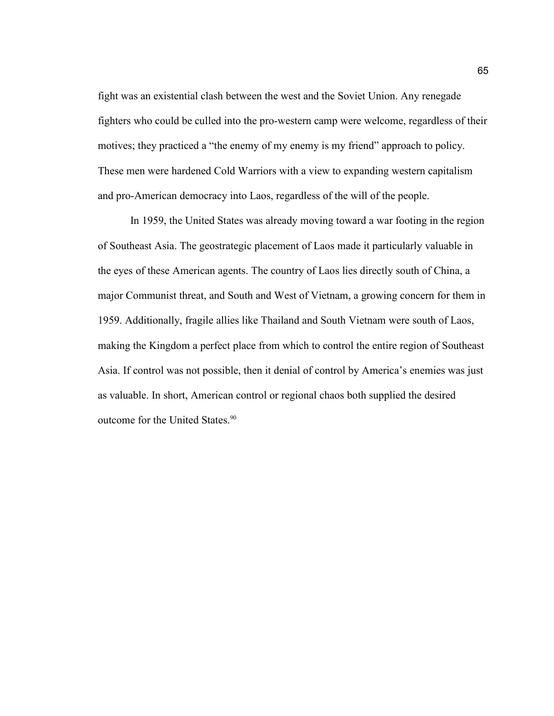fight was an existential clash between the west and the Soviet Union. Any renegade fighters who could be culled into the pro-western camp were welcome, regardless of their motives; they practiced a "the enemy of my enemy is my friend" approach to policy. These men were hardened Cold Warriors with a view to expanding western capitalism and pro-American democracy into Laos, regardless of the will of the people.

In 1959, the United States was already moving toward a war footing in the region of Southeast Asia. The geostrategic placement of Laos made it particularly valuable in the eyes of these American agents. The country of Laos lies directly south of China, a major Communist threat, and South and West of Vietnam, a growing concern for them in 1959. Additionally, fragile allies like Thailand and South Vietnam were south of Laos, making the Kingdom a perfect place from which to control the entire region of Southeast Asia. If control was not possible, then it denial of control by America's enemies was just as valuable. In short, American control or regional chaos both supplied the desired outcome for the United States.<sup>90</sup>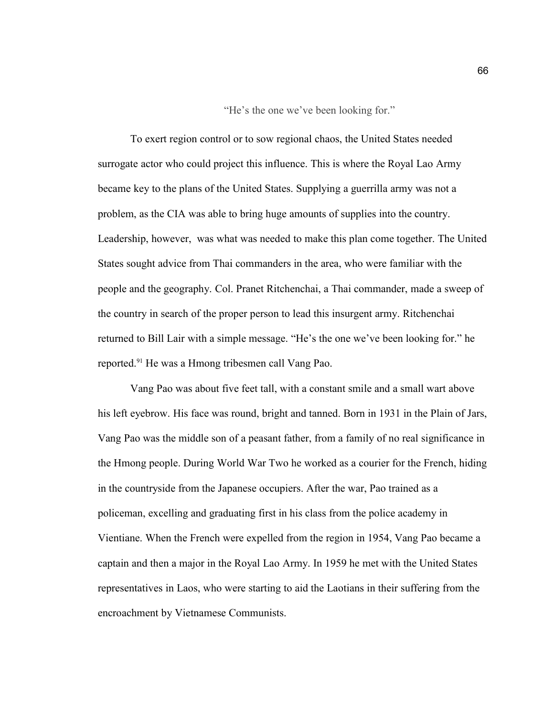"He's the one we've been looking for."

To exert region control or to sow regional chaos, the United States needed surrogate actor who could project this influence. This is where the Royal Lao Army became key to the plans of the United States. Supplying a guerrilla army was not a problem, as the CIA was able to bring huge amounts of supplies into the country. Leadership, however, was what was needed to make this plan come together. The United States sought advice from Thai commanders in the area, who were familiar with the people and the geography. Col. Pranet Ritchenchai, a Thai commander, made a sweep of the country in search of the proper person to lead this insurgent army. Ritchenchai returned to Bill Lair with a simple message. "He's the one we've been looking for." he reported.<sup>91</sup> He was a Hmong tribesmen call Vang Pao.

Vang Pao was about five feet tall, with a constant smile and a small wart above his left eyebrow. His face was round, bright and tanned. Born in 1931 in the Plain of Jars, Vang Pao was the middle son of a peasant father, from a family of no real significance in the Hmong people. During World War Two he worked as a courier for the French, hiding in the countryside from the Japanese occupiers. After the war, Pao trained as a policeman, excelling and graduating first in his class from the police academy in Vientiane. When the French were expelled from the region in 1954, Vang Pao became a captain and then a major in the Royal Lao Army. In 1959 he met with the United States representatives in Laos, who were starting to aid the Laotians in their suffering from the encroachment by Vietnamese Communists.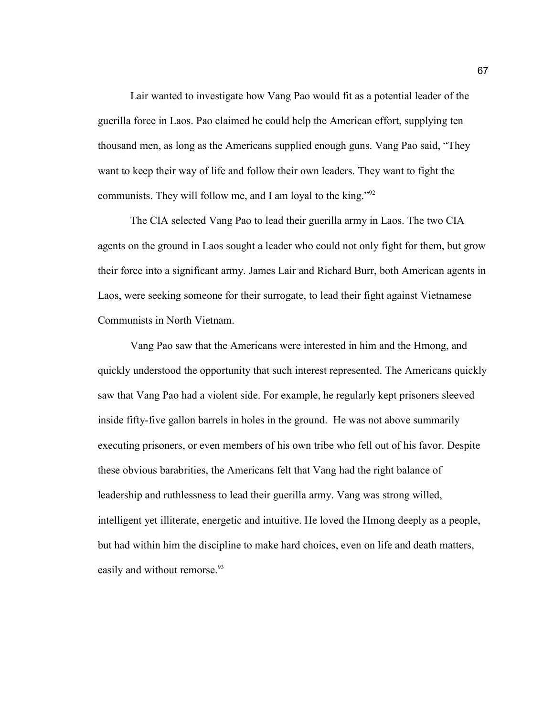Lair wanted to investigate how Vang Pao would fit as a potential leader of the guerilla force in Laos. Pao claimed he could help the American effort, supplying ten thousand men, as long as the Americans supplied enough guns. Vang Pao said, "They want to keep their way of life and follow their own leaders. They want to fight the communists. They will follow me, and I am loyal to the king."<sup>92</sup>

The CIA selected Vang Pao to lead their guerilla army in Laos. The two CIA agents on the ground in Laos sought a leader who could not only fight for them, but grow their force into a significant army. James Lair and Richard Burr, both American agents in Laos, were seeking someone for their surrogate, to lead their fight against Vietnamese Communists in North Vietnam.

Vang Pao saw that the Americans were interested in him and the Hmong, and quickly understood the opportunity that such interest represented. The Americans quickly saw that Vang Pao had a violent side. For example, he regularly kept prisoners sleeved inside fifty-five gallon barrels in holes in the ground. He was not above summarily executing prisoners, or even members of his own tribe who fell out of his favor. Despite these obvious barabrities, the Americans felt that Vang had the right balance of leadership and ruthlessness to lead their guerilla army. Vang was strong willed, intelligent yet illiterate, energetic and intuitive. He loved the Hmong deeply as a people, but had within him the discipline to make hard choices, even on life and death matters, easily and without remorse.<sup>93</sup>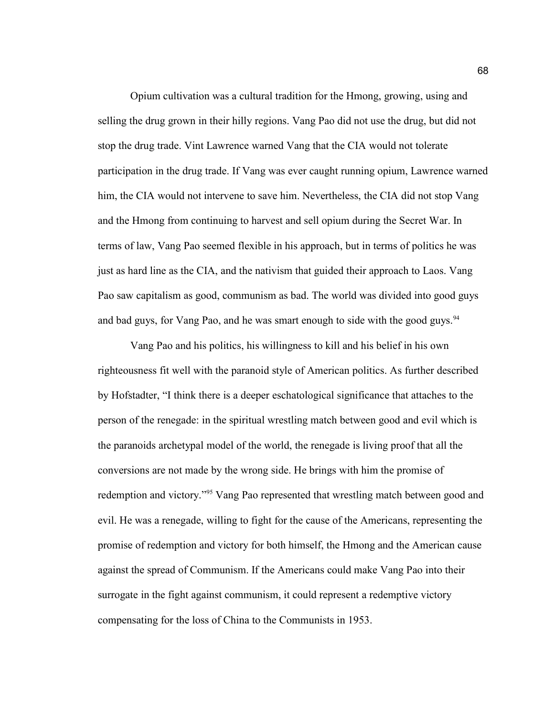Opium cultivation was a cultural tradition for the Hmong, growing, using and selling the drug grown in their hilly regions. Vang Pao did not use the drug, but did not stop the drug trade. Vint Lawrence warned Vang that the CIA would not tolerate participation in the drug trade. If Vang was ever caught running opium, Lawrence warned him, the CIA would not intervene to save him. Nevertheless, the CIA did not stop Vang and the Hmong from continuing to harvest and sell opium during the Secret War. In terms of law, Vang Pao seemed flexible in his approach, but in terms of politics he was just as hard line as the CIA, and the nativism that guided their approach to Laos. Vang Pao saw capitalism as good, communism as bad. The world was divided into good guys and bad guys, for Vang Pao, and he was smart enough to side with the good guys.  $94$ 

Vang Pao and his politics, his willingness to kill and his belief in his own righteousness fit well with the paranoid style of American politics. As further described by Hofstadter, "I think there is a deeper eschatological significance that attaches to the person of the renegade: in the spiritual wrestling match between good and evil which is the paranoids archetypal model of the world, the renegade is living proof that all the conversions are not made by the wrong side. He brings with him the promise of redemption and victory."<sup>95</sup> Vang Pao represented that wrestling match between good and evil. He was a renegade, willing to fight for the cause of the Americans, representing the promise of redemption and victory for both himself, the Hmong and the American cause against the spread of Communism. If the Americans could make Vang Pao into their surrogate in the fight against communism, it could represent a redemptive victory compensating for the loss of China to the Communists in 1953.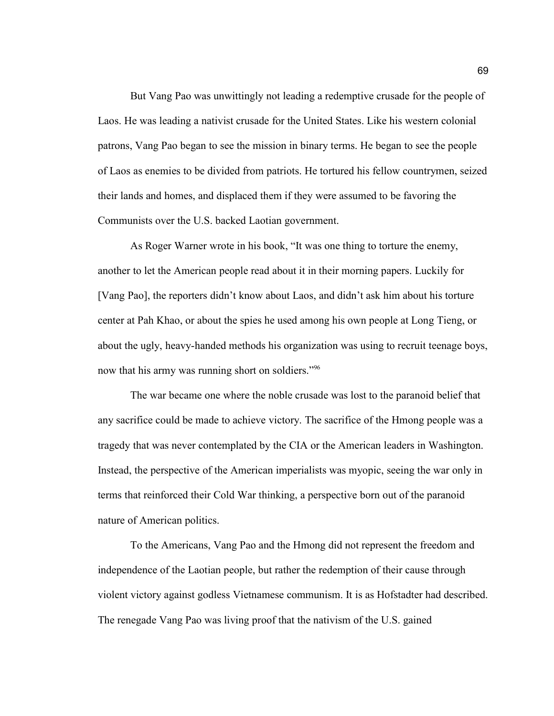But Vang Pao was unwittingly not leading a redemptive crusade for the people of Laos. He was leading a nativist crusade for the United States. Like his western colonial patrons, Vang Pao began to see the mission in binary terms. He began to see the people of Laos as enemies to be divided from patriots. He tortured his fellow countrymen, seized their lands and homes, and displaced them if they were assumed to be favoring the Communists over the U.S. backed Laotian government.

As Roger Warner wrote in his book, "It was one thing to torture the enemy, another to let the American people read about it in their morning papers. Luckily for [Vang Pao], the reporters didn't know about Laos, and didn't ask him about his torture center at Pah Khao, or about the spies he used among his own people at Long Tieng, or about the ugly, heavy-handed methods his organization was using to recruit teenage boys, now that his army was running short on soldiers."<sup>96</sup>

The war became one where the noble crusade was lost to the paranoid belief that any sacrifice could be made to achieve victory. The sacrifice of the Hmong people was a tragedy that was never contemplated by the CIA or the American leaders in Washington. Instead, the perspective of the American imperialists was myopic, seeing the war only in terms that reinforced their Cold War thinking, a perspective born out of the paranoid nature of American politics.

To the Americans, Vang Pao and the Hmong did not represent the freedom and independence of the Laotian people, but rather the redemption of their cause through violent victory against godless Vietnamese communism. It is as Hofstadter had described. The renegade Vang Pao was living proof that the nativism of the U.S. gained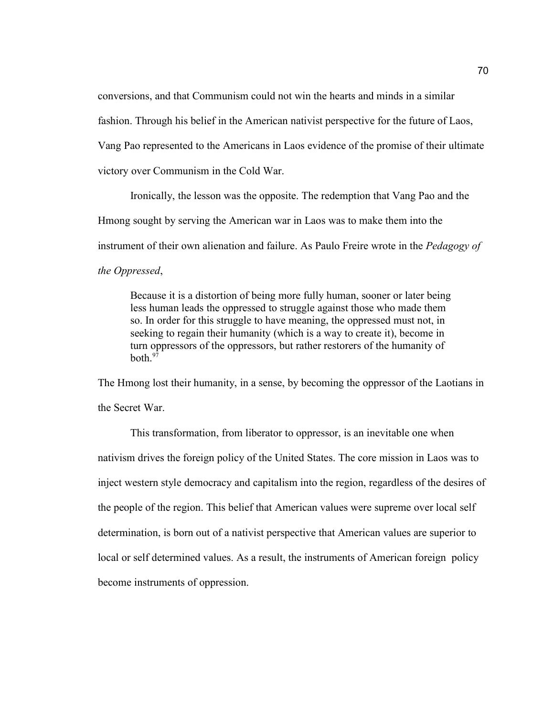conversions, and that Communism could not win the hearts and minds in a similar

fashion. Through his belief in the American nativist perspective for the future of Laos,

Vang Pao represented to the Americans in Laos evidence of the promise of their ultimate

victory over Communism in the Cold War.

Ironically, the lesson was the opposite. The redemption that Vang Pao and the

Hmong sought by serving the American war in Laos was to make them into the

instrument of their own alienation and failure. As Paulo Freire wrote in the *Pedagogy of* 

*the Oppressed*,

Because it is a distortion of being more fully human, sooner or later being less human leads the oppressed to struggle against those who made them so. In order for this struggle to have meaning, the oppressed must not, in seeking to regain their humanity (which is a way to create it), become in turn oppressors of the oppressors, but rather restorers of the humanity of both $^{97}$ 

The Hmong lost their humanity, in a sense, by becoming the oppressor of the Laotians in the Secret War.

This transformation, from liberator to oppressor, is an inevitable one when nativism drives the foreign policy of the United States. The core mission in Laos was to inject western style democracy and capitalism into the region, regardless of the desires of the people of the region. This belief that American values were supreme over local self determination, is born out of a nativist perspective that American values are superior to local or self determined values. As a result, the instruments of American foreign policy become instruments of oppression.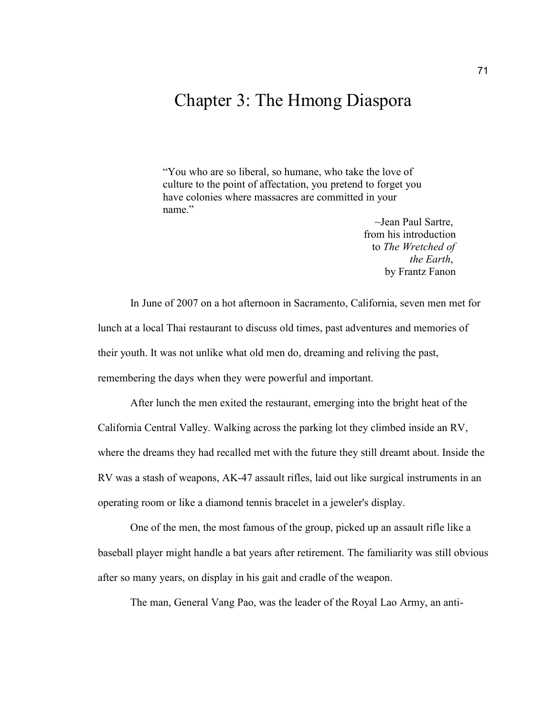# Chapter 3: The Hmong Diaspora

"You who are so liberal, so humane, who take the love of culture to the point of affectation, you pretend to forget you have colonies where massacres are committed in your name."

> ~Jean Paul Sartre, from his introduction to *The Wretched of the Earth*, by Frantz Fanon

In June of 2007 on a hot afternoon in Sacramento, California, seven men met for lunch at a local Thai restaurant to discuss old times, past adventures and memories of their youth. It was not unlike what old men do, dreaming and reliving the past, remembering the days when they were powerful and important.

After lunch the men exited the restaurant, emerging into the bright heat of the California Central Valley. Walking across the parking lot they climbed inside an RV, where the dreams they had recalled met with the future they still dreamt about. Inside the RV was a stash of weapons, AK-47 assault rifles, laid out like surgical instruments in an operating room or like a diamond tennis bracelet in a jeweler's display.

One of the men, the most famous of the group, picked up an assault rifle like a baseball player might handle a bat years after retirement. The familiarity was still obvious after so many years, on display in his gait and cradle of the weapon.

The man, General Vang Pao, was the leader of the Royal Lao Army, an anti-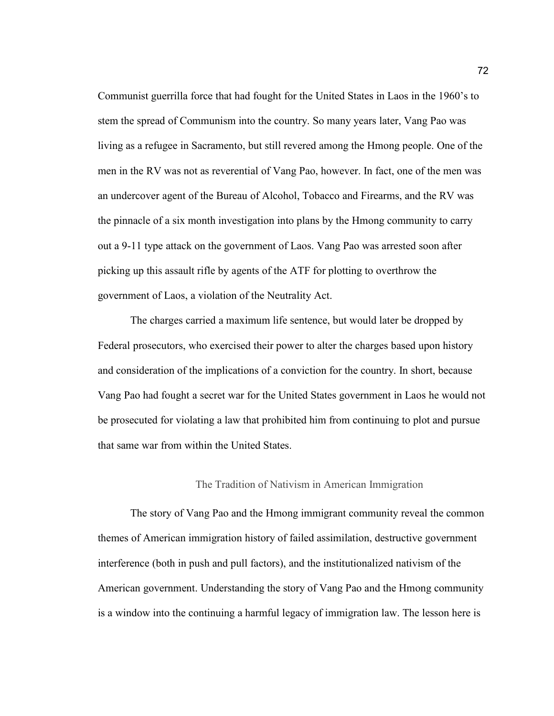Communist guerrilla force that had fought for the United States in Laos in the 1960's to stem the spread of Communism into the country. So many years later, Vang Pao was living as a refugee in Sacramento, but still revered among the Hmong people. One of the men in the RV was not as reverential of Vang Pao, however. In fact, one of the men was an undercover agent of the Bureau of Alcohol, Tobacco and Firearms, and the RV was the pinnacle of a six month investigation into plans by the Hmong community to carry out a 9-11 type attack on the government of Laos. Vang Pao was arrested soon after picking up this assault rifle by agents of the ATF for plotting to overthrow the government of Laos, a violation of the Neutrality Act.

The charges carried a maximum life sentence, but would later be dropped by Federal prosecutors, who exercised their power to alter the charges based upon history and consideration of the implications of a conviction for the country. In short, because Vang Pao had fought a secret war for the United States government in Laos he would not be prosecuted for violating a law that prohibited him from continuing to plot and pursue that same war from within the United States.

### The Tradition of Nativism in American Immigration

The story of Vang Pao and the Hmong immigrant community reveal the common themes of American immigration history of failed assimilation, destructive government interference (both in push and pull factors), and the institutionalized nativism of the American government. Understanding the story of Vang Pao and the Hmong community is a window into the continuing a harmful legacy of immigration law. The lesson here is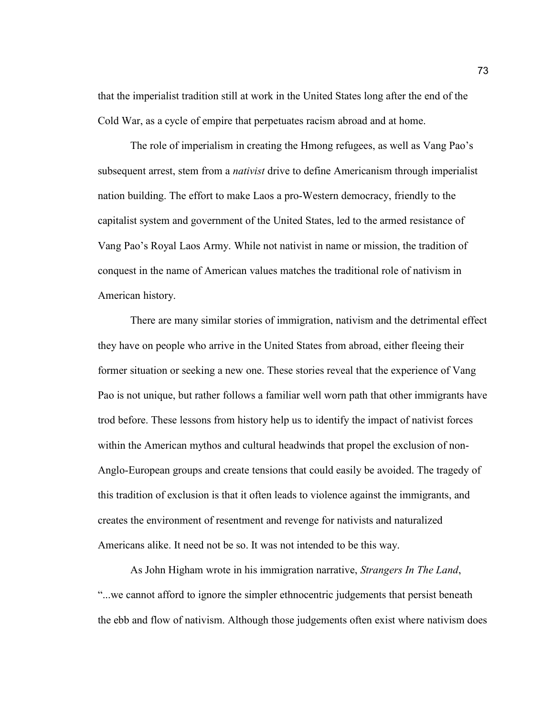that the imperialist tradition still at work in the United States long after the end of the Cold War, as a cycle of empire that perpetuates racism abroad and at home.

The role of imperialism in creating the Hmong refugees, as well as Vang Pao's subsequent arrest, stem from a *nativist* drive to define Americanism through imperialist nation building. The effort to make Laos a pro-Western democracy, friendly to the capitalist system and government of the United States, led to the armed resistance of Vang Pao's Royal Laos Army. While not nativist in name or mission, the tradition of conquest in the name of American values matches the traditional role of nativism in American history.

There are many similar stories of immigration, nativism and the detrimental effect they have on people who arrive in the United States from abroad, either fleeing their former situation or seeking a new one. These stories reveal that the experience of Vang Pao is not unique, but rather follows a familiar well worn path that other immigrants have trod before. These lessons from history help us to identify the impact of nativist forces within the American mythos and cultural headwinds that propel the exclusion of non-Anglo-European groups and create tensions that could easily be avoided. The tragedy of this tradition of exclusion is that it often leads to violence against the immigrants, and creates the environment of resentment and revenge for nativists and naturalized Americans alike. It need not be so. It was not intended to be this way.

As John Higham wrote in his immigration narrative, *Strangers In The Land*, "...we cannot afford to ignore the simpler ethnocentric judgements that persist beneath the ebb and flow of nativism. Although those judgements often exist where nativism does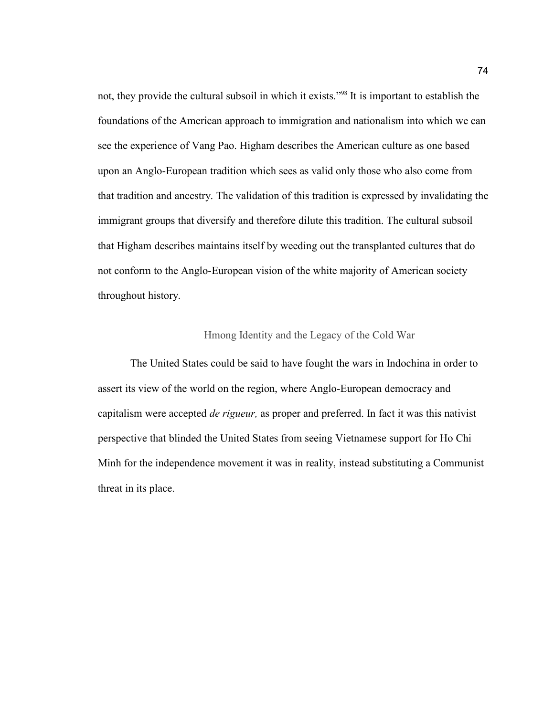not, they provide the cultural subsoil in which it exists."<sup>98</sup> It is important to establish the foundations of the American approach to immigration and nationalism into which we can see the experience of Vang Pao. Higham describes the American culture as one based upon an Anglo-European tradition which sees as valid only those who also come from that tradition and ancestry. The validation of this tradition is expressed by invalidating the immigrant groups that diversify and therefore dilute this tradition. The cultural subsoil that Higham describes maintains itself by weeding out the transplanted cultures that do not conform to the Anglo-European vision of the white majority of American society throughout history.

## Hmong Identity and the Legacy of the Cold War

The United States could be said to have fought the wars in Indochina in order to assert its view of the world on the region, where Anglo-European democracy and capitalism were accepted *de rigueur,* as proper and preferred. In fact it was this nativist perspective that blinded the United States from seeing Vietnamese support for Ho Chi Minh for the independence movement it was in reality, instead substituting a Communist threat in its place.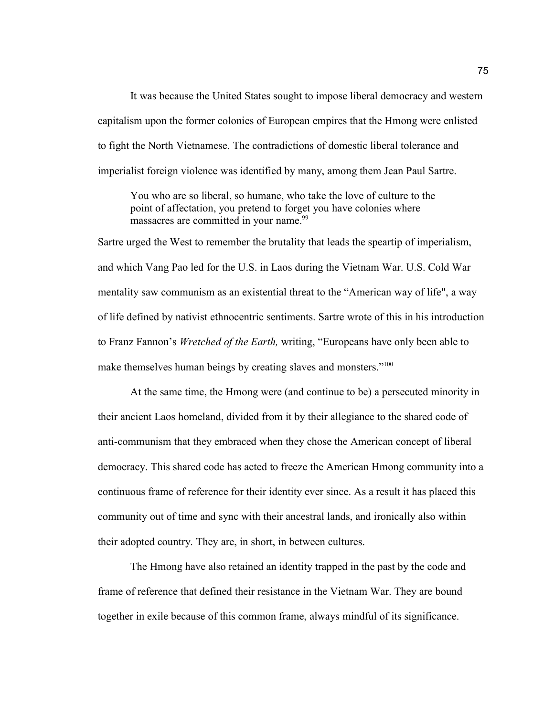It was because the United States sought to impose liberal democracy and western capitalism upon the former colonies of European empires that the Hmong were enlisted to fight the North Vietnamese. The contradictions of domestic liberal tolerance and imperialist foreign violence was identified by many, among them Jean Paul Sartre.

You who are so liberal, so humane, who take the love of culture to the point of affectation, you pretend to forget you have colonies where massacres are committed in your name.<sup>99</sup>

Sartre urged the West to remember the brutality that leads the speartip of imperialism, and which Vang Pao led for the U.S. in Laos during the Vietnam War. U.S. Cold War mentality saw communism as an existential threat to the "American way of life", a way of life defined by nativist ethnocentric sentiments. Sartre wrote of this in his introduction to Franz Fannon's *Wretched of the Earth,* writing, "Europeans have only been able to make themselves human beings by creating slaves and monsters."<sup>100</sup>

At the same time, the Hmong were (and continue to be) a persecuted minority in their ancient Laos homeland, divided from it by their allegiance to the shared code of anti-communism that they embraced when they chose the American concept of liberal democracy. This shared code has acted to freeze the American Hmong community into a continuous frame of reference for their identity ever since. As a result it has placed this community out of time and sync with their ancestral lands, and ironically also within their adopted country. They are, in short, in between cultures.

The Hmong have also retained an identity trapped in the past by the code and frame of reference that defined their resistance in the Vietnam War. They are bound together in exile because of this common frame, always mindful of its significance.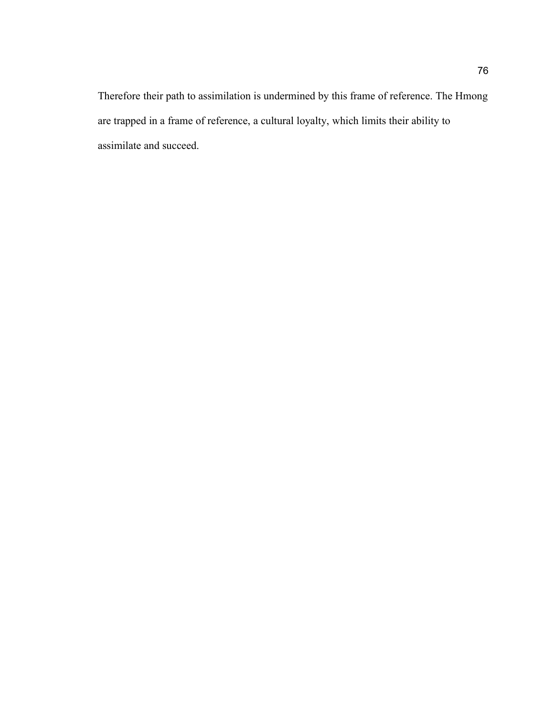Therefore their path to assimilation is undermined by this frame of reference. The Hmong are trapped in a frame of reference, a cultural loyalty, which limits their ability to assimilate and succeed.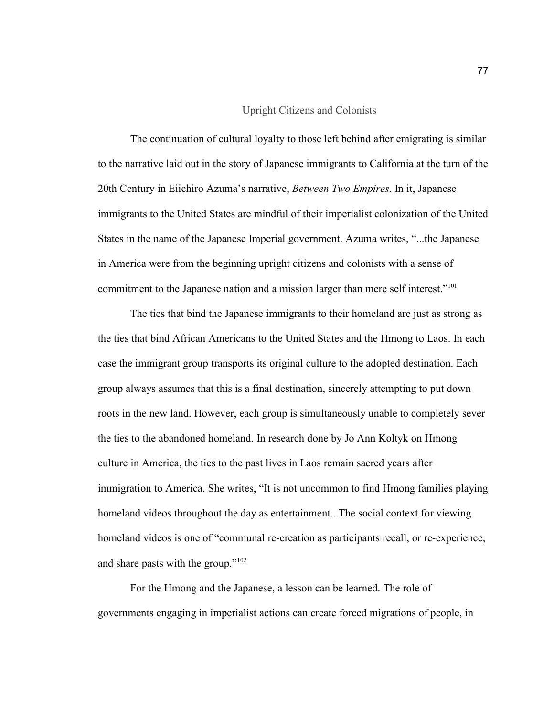### Upright Citizens and Colonists

The continuation of cultural loyalty to those left behind after emigrating is similar to the narrative laid out in the story of Japanese immigrants to California at the turn of the 20th Century in Eiichiro Azuma's narrative, *Between Two Empires*. In it, Japanese immigrants to the United States are mindful of their imperialist colonization of the United States in the name of the Japanese Imperial government. Azuma writes, "...the Japanese in America were from the beginning upright citizens and colonists with a sense of commitment to the Japanese nation and a mission larger than mere self interest."<sup>101</sup>

The ties that bind the Japanese immigrants to their homeland are just as strong as the ties that bind African Americans to the United States and the Hmong to Laos. In each case the immigrant group transports its original culture to the adopted destination. Each group always assumes that this is a final destination, sincerely attempting to put down roots in the new land. However, each group is simultaneously unable to completely sever the ties to the abandoned homeland. In research done by Jo Ann Koltyk on Hmong culture in America, the ties to the past lives in Laos remain sacred years after immigration to America. She writes, "It is not uncommon to find Hmong families playing homeland videos throughout the day as entertainment...The social context for viewing homeland videos is one of "communal re-creation as participants recall, or re-experience, and share pasts with the group."<sup>102</sup>

For the Hmong and the Japanese, a lesson can be learned. The role of governments engaging in imperialist actions can create forced migrations of people, in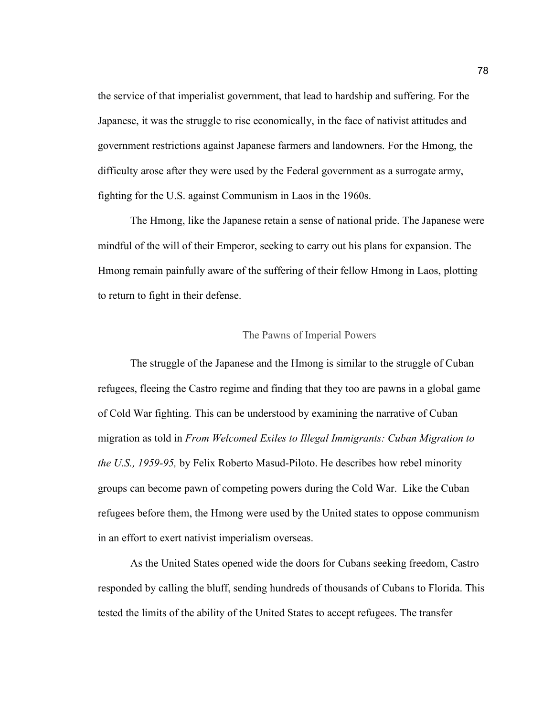the service of that imperialist government, that lead to hardship and suffering. For the Japanese, it was the struggle to rise economically, in the face of nativist attitudes and government restrictions against Japanese farmers and landowners. For the Hmong, the difficulty arose after they were used by the Federal government as a surrogate army, fighting for the U.S. against Communism in Laos in the 1960s.

The Hmong, like the Japanese retain a sense of national pride. The Japanese were mindful of the will of their Emperor, seeking to carry out his plans for expansion. The Hmong remain painfully aware of the suffering of their fellow Hmong in Laos, plotting to return to fight in their defense.

### The Pawns of Imperial Powers

The struggle of the Japanese and the Hmong is similar to the struggle of Cuban refugees, fleeing the Castro regime and finding that they too are pawns in a global game of Cold War fighting. This can be understood by examining the narrative of Cuban migration as told in *From Welcomed Exiles to Illegal Immigrants: Cuban Migration to the U.S., 1959-95,* by Felix Roberto Masud-Piloto. He describes how rebel minority groups can become pawn of competing powers during the Cold War. Like the Cuban refugees before them, the Hmong were used by the United states to oppose communism in an effort to exert nativist imperialism overseas.

As the United States opened wide the doors for Cubans seeking freedom, Castro responded by calling the bluff, sending hundreds of thousands of Cubans to Florida. This tested the limits of the ability of the United States to accept refugees. The transfer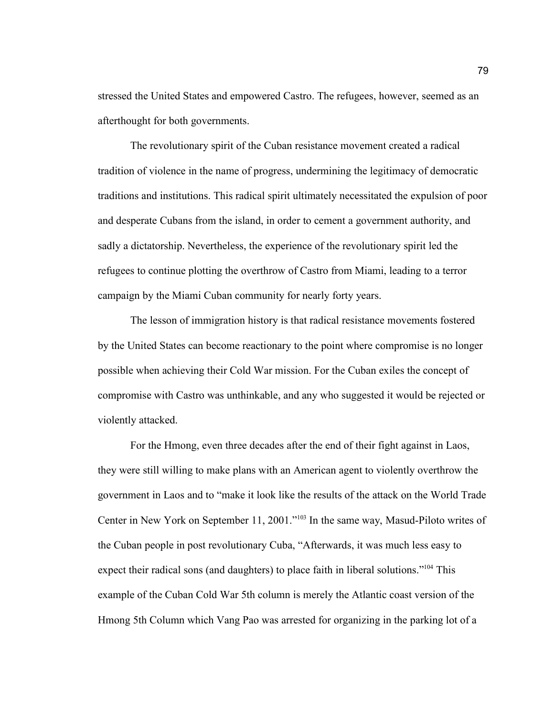stressed the United States and empowered Castro. The refugees, however, seemed as an afterthought for both governments.

The revolutionary spirit of the Cuban resistance movement created a radical tradition of violence in the name of progress, undermining the legitimacy of democratic traditions and institutions. This radical spirit ultimately necessitated the expulsion of poor and desperate Cubans from the island, in order to cement a government authority, and sadly a dictatorship. Nevertheless, the experience of the revolutionary spirit led the refugees to continue plotting the overthrow of Castro from Miami, leading to a terror campaign by the Miami Cuban community for nearly forty years.

The lesson of immigration history is that radical resistance movements fostered by the United States can become reactionary to the point where compromise is no longer possible when achieving their Cold War mission. For the Cuban exiles the concept of compromise with Castro was unthinkable, and any who suggested it would be rejected or violently attacked.

For the Hmong, even three decades after the end of their fight against in Laos, they were still willing to make plans with an American agent to violently overthrow the government in Laos and to "make it look like the results of the attack on the World Trade Center in New York on September 11, 2001."<sup>103</sup> In the same way, Masud-Piloto writes of the Cuban people in post revolutionary Cuba, "Afterwards, it was much less easy to expect their radical sons (and daughters) to place faith in liberal solutions."<sup>104</sup> This example of the Cuban Cold War 5th column is merely the Atlantic coast version of the Hmong 5th Column which Vang Pao was arrested for organizing in the parking lot of a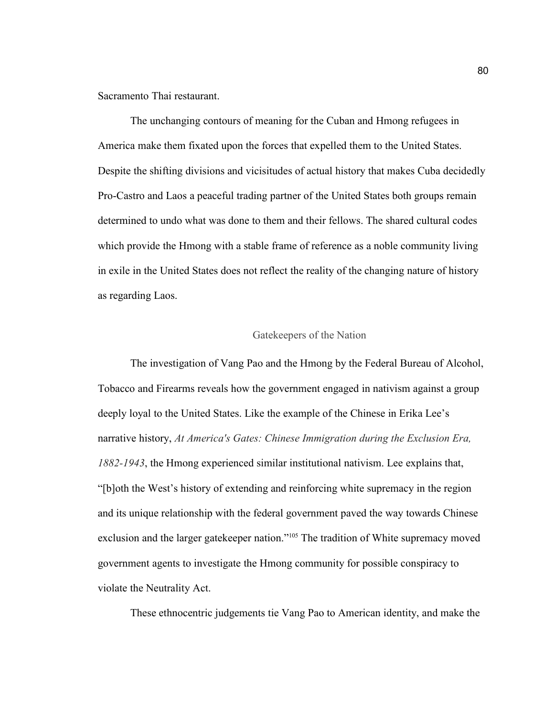Sacramento Thai restaurant.

The unchanging contours of meaning for the Cuban and Hmong refugees in America make them fixated upon the forces that expelled them to the United States. Despite the shifting divisions and vicisitudes of actual history that makes Cuba decidedly Pro-Castro and Laos a peaceful trading partner of the United States both groups remain determined to undo what was done to them and their fellows. The shared cultural codes which provide the Hmong with a stable frame of reference as a noble community living in exile in the United States does not reflect the reality of the changing nature of history as regarding Laos.

### Gatekeepers of the Nation

The investigation of Vang Pao and the Hmong by the Federal Bureau of Alcohol, Tobacco and Firearms reveals how the government engaged in nativism against a group deeply loyal to the United States. Like the example of the Chinese in Erika Lee's narrative history, *At America's Gates: Chinese Immigration during the Exclusion Era, 1882-1943*, the Hmong experienced similar institutional nativism. Lee explains that, "[b]oth the West's history of extending and reinforcing white supremacy in the region and its unique relationship with the federal government paved the way towards Chinese exclusion and the larger gatekeeper nation."<sup>105</sup> The tradition of White supremacy moved government agents to investigate the Hmong community for possible conspiracy to violate the Neutrality Act.

These ethnocentric judgements tie Vang Pao to American identity, and make the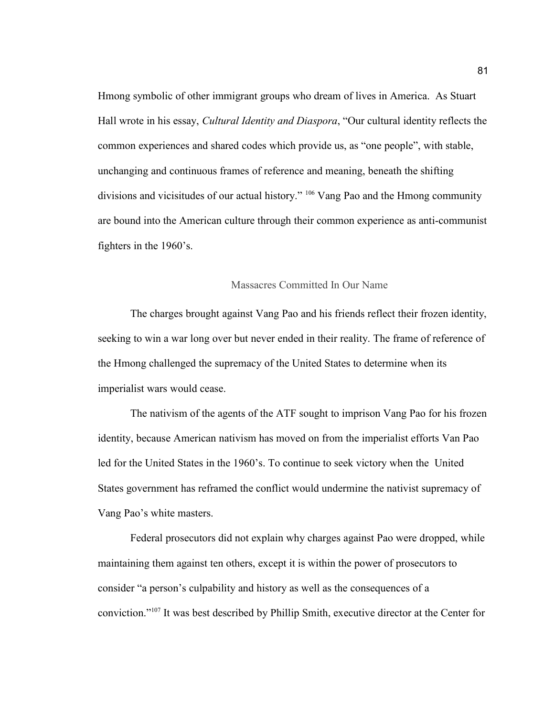Hmong symbolic of other immigrant groups who dream of lives in America. As Stuart Hall wrote in his essay, *Cultural Identity and Diaspora*, "Our cultural identity reflects the common experiences and shared codes which provide us, as "one people", with stable, unchanging and continuous frames of reference and meaning, beneath the shifting divisions and vicisitudes of our actual history." <sup>106</sup> Vang Pao and the Hmong community are bound into the American culture through their common experience as anti-communist fighters in the 1960's.

### Massacres Committed In Our Name

The charges brought against Vang Pao and his friends reflect their frozen identity, seeking to win a war long over but never ended in their reality. The frame of reference of the Hmong challenged the supremacy of the United States to determine when its imperialist wars would cease.

The nativism of the agents of the ATF sought to imprison Vang Pao for his frozen identity, because American nativism has moved on from the imperialist efforts Van Pao led for the United States in the 1960's. To continue to seek victory when the United States government has reframed the conflict would undermine the nativist supremacy of Vang Pao's white masters.

Federal prosecutors did not explain why charges against Pao were dropped, while maintaining them against ten others, except it is within the power of prosecutors to consider "a person's culpability and history as well as the consequences of a conviction."107 It was best described by Phillip Smith, executive director at the Center for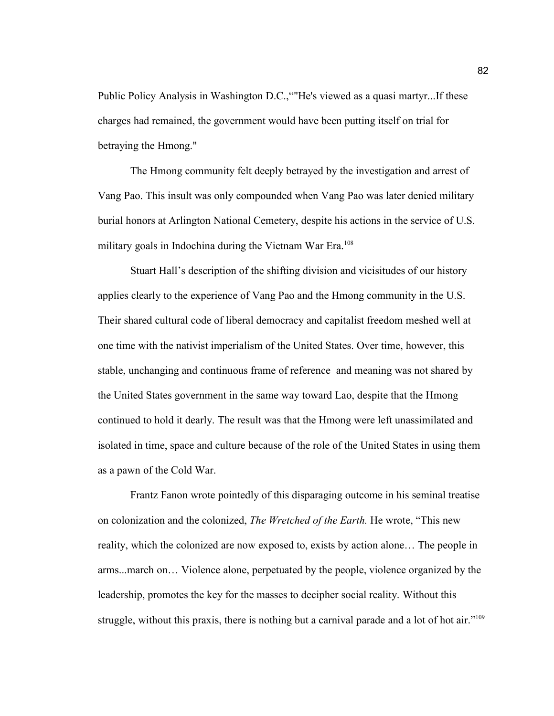Public Policy Analysis in Washington D.C.,""He's viewed as a quasi martyr...If these charges had remained, the government would have been putting itself on trial for betraying the Hmong."

The Hmong community felt deeply betrayed by the investigation and arrest of Vang Pao. This insult was only compounded when Vang Pao was later denied military burial honors at Arlington National Cemetery, despite his actions in the service of U.S. military goals in Indochina during the Vietnam War Era.<sup>108</sup>

Stuart Hall's description of the shifting division and vicisitudes of our history applies clearly to the experience of Vang Pao and the Hmong community in the U.S. Their shared cultural code of liberal democracy and capitalist freedom meshed well at one time with the nativist imperialism of the United States. Over time, however, this stable, unchanging and continuous frame of reference and meaning was not shared by the United States government in the same way toward Lao, despite that the Hmong continued to hold it dearly. The result was that the Hmong were left unassimilated and isolated in time, space and culture because of the role of the United States in using them as a pawn of the Cold War.

Frantz Fanon wrote pointedly of this disparaging outcome in his seminal treatise on colonization and the colonized, *The Wretched of the Earth.* He wrote, "This new reality, which the colonized are now exposed to, exists by action alone… The people in arms...march on… Violence alone, perpetuated by the people, violence organized by the leadership, promotes the key for the masses to decipher social reality. Without this struggle, without this praxis, there is nothing but a carnival parade and a lot of hot air."<sup>109</sup>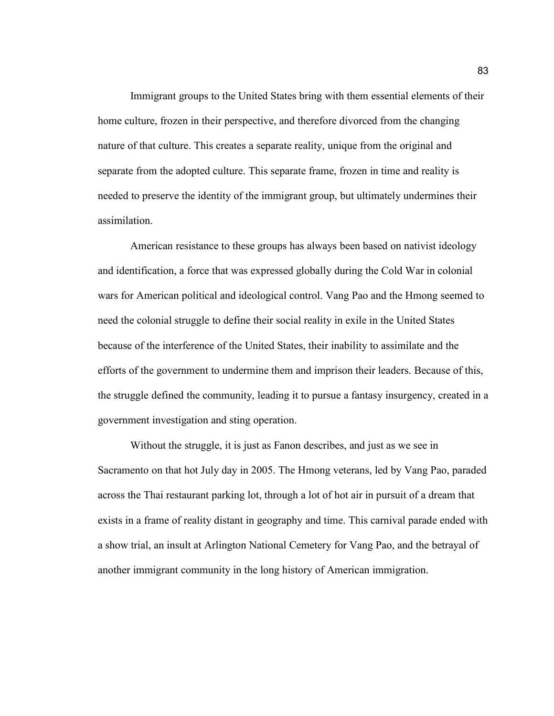Immigrant groups to the United States bring with them essential elements of their home culture, frozen in their perspective, and therefore divorced from the changing nature of that culture. This creates a separate reality, unique from the original and separate from the adopted culture. This separate frame, frozen in time and reality is needed to preserve the identity of the immigrant group, but ultimately undermines their assimilation.

American resistance to these groups has always been based on nativist ideology and identification, a force that was expressed globally during the Cold War in colonial wars for American political and ideological control. Vang Pao and the Hmong seemed to need the colonial struggle to define their social reality in exile in the United States because of the interference of the United States, their inability to assimilate and the efforts of the government to undermine them and imprison their leaders. Because of this, the struggle defined the community, leading it to pursue a fantasy insurgency, created in a government investigation and sting operation.

Without the struggle, it is just as Fanon describes, and just as we see in Sacramento on that hot July day in 2005. The Hmong veterans, led by Vang Pao, paraded across the Thai restaurant parking lot, through a lot of hot air in pursuit of a dream that exists in a frame of reality distant in geography and time. This carnival parade ended with a show trial, an insult at Arlington National Cemetery for Vang Pao, and the betrayal of another immigrant community in the long history of American immigration.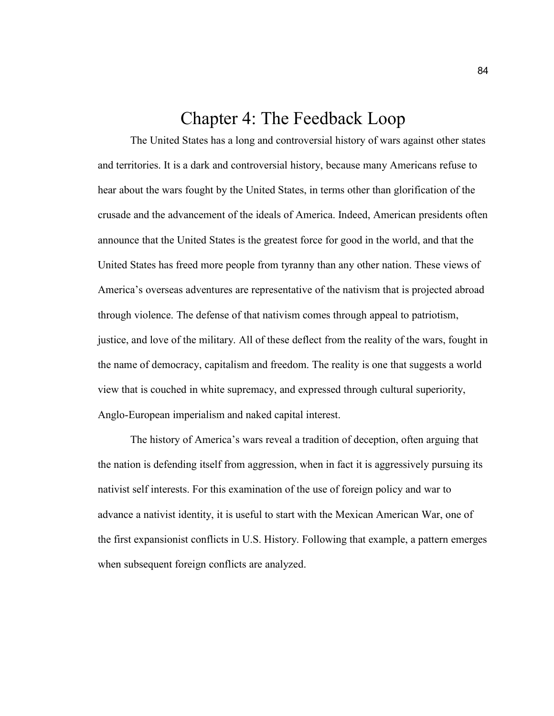## Chapter 4: The Feedback Loop

The United States has a long and controversial history of wars against other states and territories. It is a dark and controversial history, because many Americans refuse to hear about the wars fought by the United States, in terms other than glorification of the crusade and the advancement of the ideals of America. Indeed, American presidents often announce that the United States is the greatest force for good in the world, and that the United States has freed more people from tyranny than any other nation. These views of America's overseas adventures are representative of the nativism that is projected abroad through violence. The defense of that nativism comes through appeal to patriotism, justice, and love of the military. All of these deflect from the reality of the wars, fought in the name of democracy, capitalism and freedom. The reality is one that suggests a world view that is couched in white supremacy, and expressed through cultural superiority, Anglo-European imperialism and naked capital interest.

The history of America's wars reveal a tradition of deception, often arguing that the nation is defending itself from aggression, when in fact it is aggressively pursuing its nativist self interests. For this examination of the use of foreign policy and war to advance a nativist identity, it is useful to start with the Mexican American War, one of the first expansionist conflicts in U.S. History. Following that example, a pattern emerges when subsequent foreign conflicts are analyzed.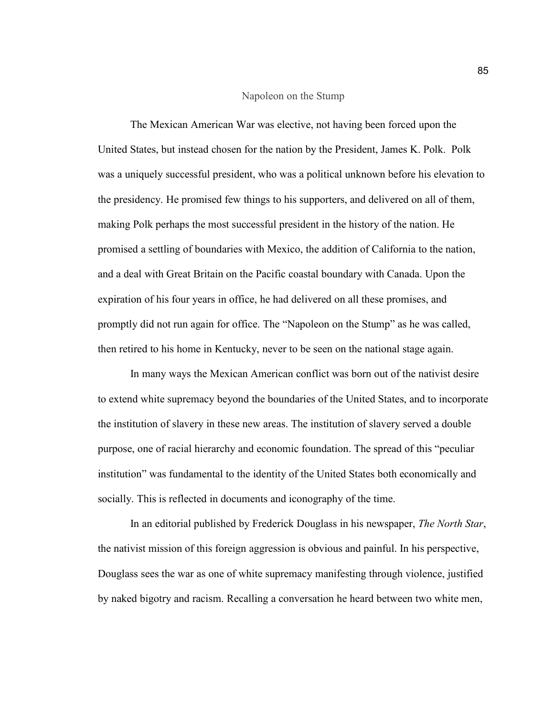### Napoleon on the Stump

The Mexican American War was elective, not having been forced upon the United States, but instead chosen for the nation by the President, James K. Polk. Polk was a uniquely successful president, who was a political unknown before his elevation to the presidency. He promised few things to his supporters, and delivered on all of them, making Polk perhaps the most successful president in the history of the nation. He promised a settling of boundaries with Mexico, the addition of California to the nation, and a deal with Great Britain on the Pacific coastal boundary with Canada. Upon the expiration of his four years in office, he had delivered on all these promises, and promptly did not run again for office. The "Napoleon on the Stump" as he was called, then retired to his home in Kentucky, never to be seen on the national stage again.

In many ways the Mexican American conflict was born out of the nativist desire to extend white supremacy beyond the boundaries of the United States, and to incorporate the institution of slavery in these new areas. The institution of slavery served a double purpose, one of racial hierarchy and economic foundation. The spread of this "peculiar institution" was fundamental to the identity of the United States both economically and socially. This is reflected in documents and iconography of the time.

In an editorial published by Frederick Douglass in his newspaper, *The North Star*, the nativist mission of this foreign aggression is obvious and painful. In his perspective, Douglass sees the war as one of white supremacy manifesting through violence, justified by naked bigotry and racism. Recalling a conversation he heard between two white men,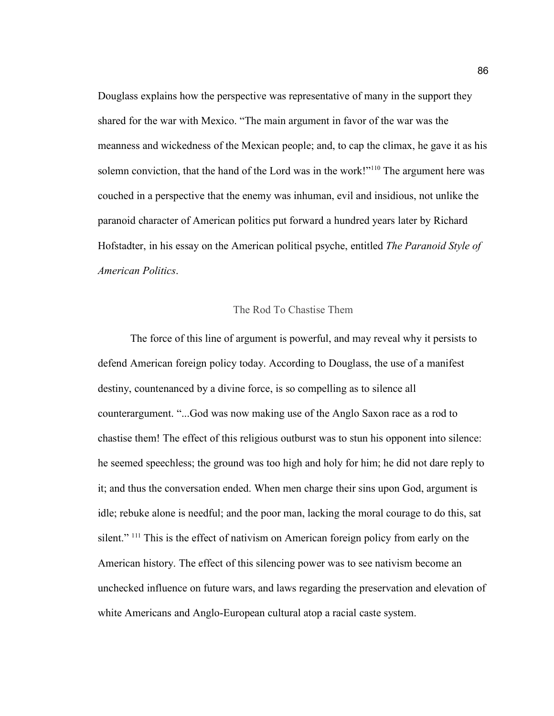Douglass explains how the perspective was representative of many in the support they shared for the war with Mexico. "The main argument in favor of the war was the meanness and wickedness of the Mexican people; and, to cap the climax, he gave it as his solemn conviction, that the hand of the Lord was in the work!"<sup>110</sup> The argument here was couched in a perspective that the enemy was inhuman, evil and insidious, not unlike the paranoid character of American politics put forward a hundred years later by Richard Hofstadter, in his essay on the American political psyche, entitled *The Paranoid Style of American Politics*.

## The Rod To Chastise Them

The force of this line of argument is powerful, and may reveal why it persists to defend American foreign policy today. According to Douglass, the use of a manifest destiny, countenanced by a divine force, is so compelling as to silence all counterargument. "...God was now making use of the Anglo Saxon race as a rod to chastise them! The effect of this religious outburst was to stun his opponent into silence: he seemed speechless; the ground was too high and holy for him; he did not dare reply to it; and thus the conversation ended. When men charge their sins upon God, argument is idle; rebuke alone is needful; and the poor man, lacking the moral courage to do this, sat silent." <sup>111</sup> This is the effect of nativism on American foreign policy from early on the American history. The effect of this silencing power was to see nativism become an unchecked influence on future wars, and laws regarding the preservation and elevation of white Americans and Anglo-European cultural atop a racial caste system.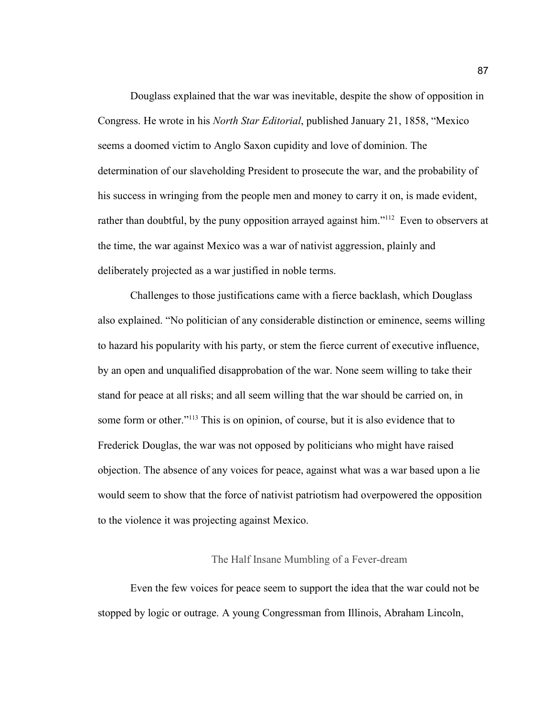Douglass explained that the war was inevitable, despite the show of opposition in Congress. He wrote in his *North Star Editorial*, published January 21, 1858, "Mexico seems a doomed victim to Anglo Saxon cupidity and love of dominion. The determination of our slaveholding President to prosecute the war, and the probability of his success in wringing from the people men and money to carry it on, is made evident, rather than doubtful, by the puny opposition arrayed against him."<sup>112</sup> Even to observers at the time, the war against Mexico was a war of nativist aggression, plainly and deliberately projected as a war justified in noble terms.

Challenges to those justifications came with a fierce backlash, which Douglass also explained. "No politician of any considerable distinction or eminence, seems willing to hazard his popularity with his party, or stem the fierce current of executive influence, by an open and unqualified disapprobation of the war. None seem willing to take their stand for peace at all risks; and all seem willing that the war should be carried on, in some form or other."<sup>113</sup> This is on opinion, of course, but it is also evidence that to Frederick Douglas, the war was not opposed by politicians who might have raised objection. The absence of any voices for peace, against what was a war based upon a lie would seem to show that the force of nativist patriotism had overpowered the opposition to the violence it was projecting against Mexico.

### The Half Insane Mumbling of a Fever-dream

Even the few voices for peace seem to support the idea that the war could not be stopped by logic or outrage. A young Congressman from Illinois, Abraham Lincoln,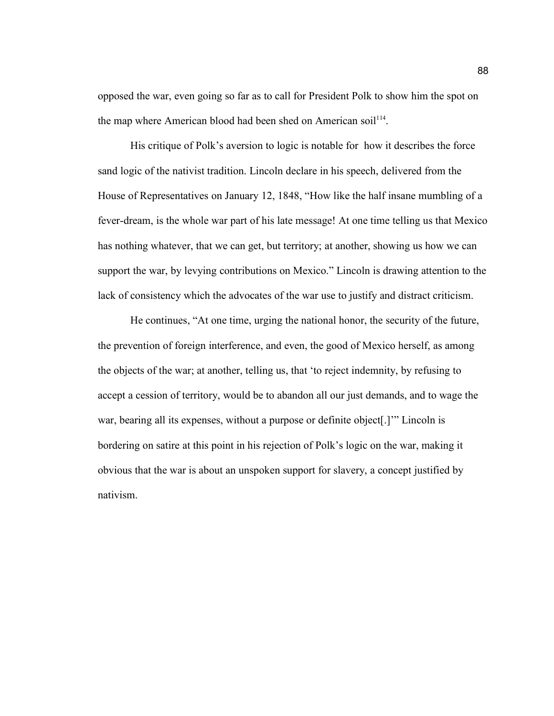opposed the war, even going so far as to call for President Polk to show him the spot on the map where American blood had been shed on American soil<sup>114</sup>.

His critique of Polk's aversion to logic is notable for how it describes the force sand logic of the nativist tradition. Lincoln declare in his speech, delivered from the House of Representatives on January 12, 1848, "How like the half insane mumbling of a fever-dream, is the whole war part of his late message! At one time telling us that Mexico has nothing whatever, that we can get, but territory; at another, showing us how we can support the war, by levying contributions on Mexico." Lincoln is drawing attention to the lack of consistency which the advocates of the war use to justify and distract criticism.

He continues, "At one time, urging the national honor, the security of the future, the prevention of foreign interference, and even, the good of Mexico herself, as among the objects of the war; at another, telling us, that 'to reject indemnity, by refusing to accept a cession of territory, would be to abandon all our just demands, and to wage the war, bearing all its expenses, without a purpose or definite object[.]'" Lincoln is bordering on satire at this point in his rejection of Polk's logic on the war, making it obvious that the war is about an unspoken support for slavery, a concept justified by nativism.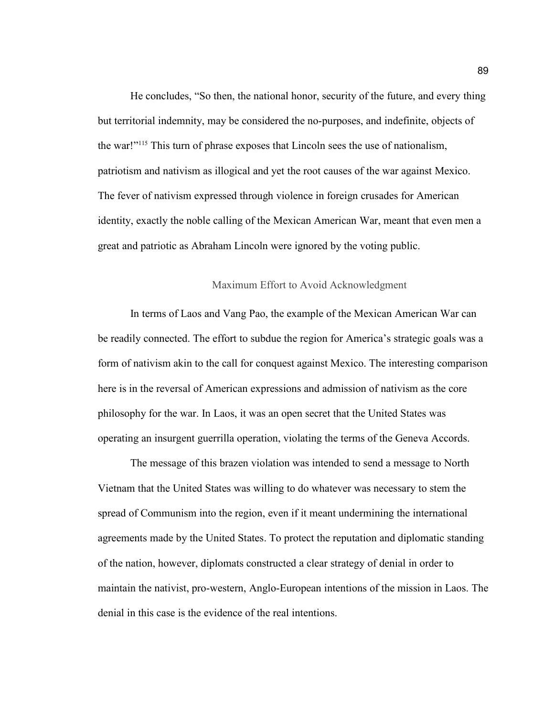He concludes, "So then, the national honor, security of the future, and every thing but territorial indemnity, may be considered the no-purposes, and indefinite, objects of the war!"<sup>115</sup> This turn of phrase exposes that Lincoln sees the use of nationalism, patriotism and nativism as illogical and yet the root causes of the war against Mexico. The fever of nativism expressed through violence in foreign crusades for American identity, exactly the noble calling of the Mexican American War, meant that even men a great and patriotic as Abraham Lincoln were ignored by the voting public.

### Maximum Effort to Avoid Acknowledgment

In terms of Laos and Vang Pao, the example of the Mexican American War can be readily connected. The effort to subdue the region for America's strategic goals was a form of nativism akin to the call for conquest against Mexico. The interesting comparison here is in the reversal of American expressions and admission of nativism as the core philosophy for the war. In Laos, it was an open secret that the United States was operating an insurgent guerrilla operation, violating the terms of the Geneva Accords.

The message of this brazen violation was intended to send a message to North Vietnam that the United States was willing to do whatever was necessary to stem the spread of Communism into the region, even if it meant undermining the international agreements made by the United States. To protect the reputation and diplomatic standing of the nation, however, diplomats constructed a clear strategy of denial in order to maintain the nativist, pro-western, Anglo-European intentions of the mission in Laos. The denial in this case is the evidence of the real intentions.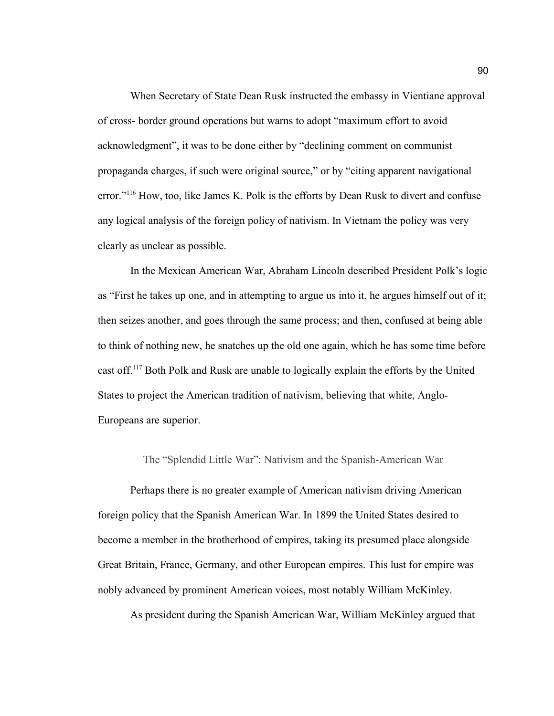When Secretary of State Dean Rusk instructed the embassy in Vientiane approval of cross- border ground operations but warns to adopt "maximum effort to avoid acknowledgment", it was to be done either by "declining comment on communist propaganda charges, if such were original source," or by "citing apparent navigational error."<sup>116</sup> How, too, like James K. Polk is the efforts by Dean Rusk to divert and confuse any logical analysis of the foreign policy of nativism. In Vietnam the policy was very clearly as unclear as possible.

In the Mexican American War, Abraham Lincoln described President Polk's logic as "First he takes up one, and in attempting to argue us into it, he argues himself out of it; then seizes another, and goes through the same process; and then, confused at being able to think of nothing new, he snatches up the old one again, which he has some time before cast off.<sup>117</sup> Both Polk and Rusk are unable to logically explain the efforts by the United States to project the American tradition of nativism, believing that white, Anglo-Europeans are superior.

The "Splendid Little War": Nativism and the Spanish-American War

Perhaps there is no greater example of American nativism driving American foreign policy that the Spanish American War. In 1899 the United States desired to become a member in the brotherhood of empires, taking its presumed place alongside Great Britain, France, Germany, and other European empires. This lust for empire was nobly advanced by prominent American voices, most notably William McKinley.

As president during the Spanish American War, William McKinley argued that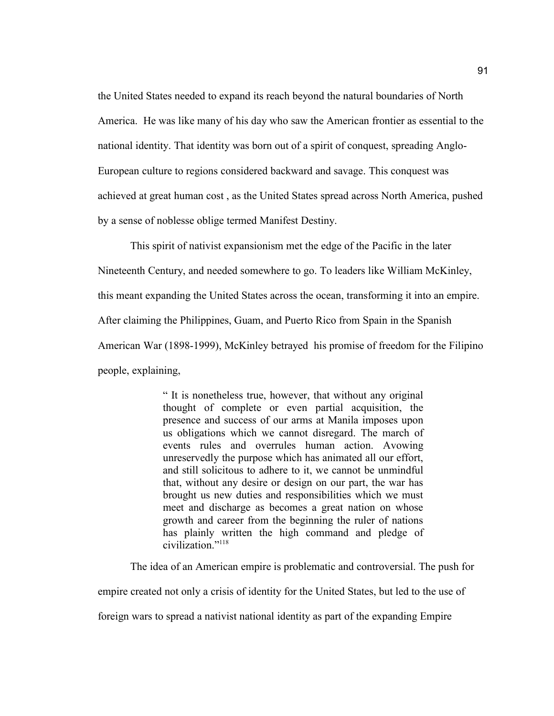the United States needed to expand its reach beyond the natural boundaries of North America. He was like many of his day who saw the American frontier as essential to the national identity. That identity was born out of a spirit of conquest, spreading Anglo-European culture to regions considered backward and savage. This conquest was achieved at great human cost , as the United States spread across North America, pushed by a sense of noblesse oblige termed Manifest Destiny.

This spirit of nativist expansionism met the edge of the Pacific in the later Nineteenth Century, and needed somewhere to go. To leaders like William McKinley, this meant expanding the United States across the ocean, transforming it into an empire. After claiming the Philippines, Guam, and Puerto Rico from Spain in the Spanish American War (1898-1999), McKinley betrayed his promise of freedom for the Filipino people, explaining,

> " It is nonetheless true, however, that without any original thought of complete or even partial acquisition, the presence and success of our arms at Manila imposes upon us obligations which we cannot disregard. The march of events rules and overrules human action. Avowing unreservedly the purpose which has animated all our effort, and still solicitous to adhere to it, we cannot be unmindful that, without any desire or design on our part, the war has brought us new duties and responsibilities which we must meet and discharge as becomes a great nation on whose growth and career from the beginning the ruler of nations has plainly written the high command and pledge of civilization<sup>"118</sup>

The idea of an American empire is problematic and controversial. The push for empire created not only a crisis of identity for the United States, but led to the use of foreign wars to spread a nativist national identity as part of the expanding Empire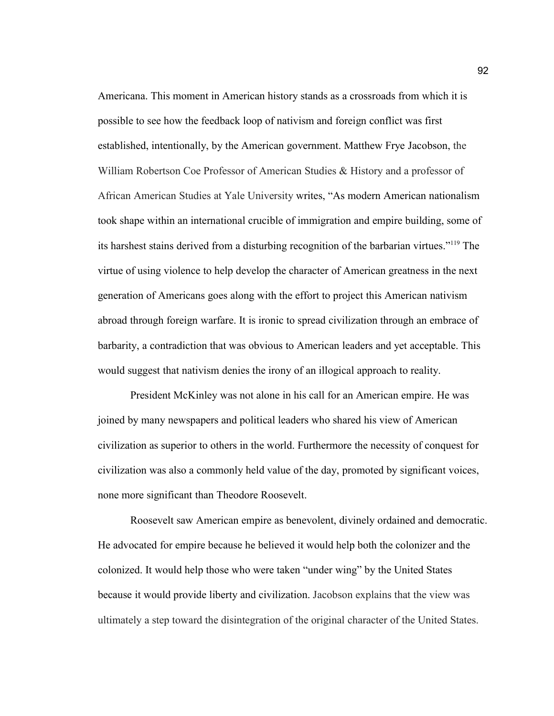Americana. This moment in American history stands as a crossroads from which it is possible to see how the feedback loop of nativism and foreign conflict was first established, intentionally, by the American government. Matthew Frye Jacobson, the William Robertson Coe Professor of American Studies & History and a professor of African American Studies at Yale University writes, "As modern American nationalism took shape within an international crucible of immigration and empire building, some of its harshest stains derived from a disturbing recognition of the barbarian virtues."<sup>119</sup> The virtue of using violence to help develop the character of American greatness in the next generation of Americans goes along with the effort to project this American nativism abroad through foreign warfare. It is ironic to spread civilization through an embrace of barbarity, a contradiction that was obvious to American leaders and yet acceptable. This would suggest that nativism denies the irony of an illogical approach to reality.

President McKinley was not alone in his call for an American empire. He was joined by many newspapers and political leaders who shared his view of American civilization as superior to others in the world. Furthermore the necessity of conquest for civilization was also a commonly held value of the day, promoted by significant voices, none more significant than Theodore Roosevelt.

Roosevelt saw American empire as benevolent, divinely ordained and democratic. He advocated for empire because he believed it would help both the colonizer and the colonized. It would help those who were taken "under wing" by the United States because it would provide liberty and civilization. Jacobson explains that the view was ultimately a step toward the disintegration of the original character of the United States.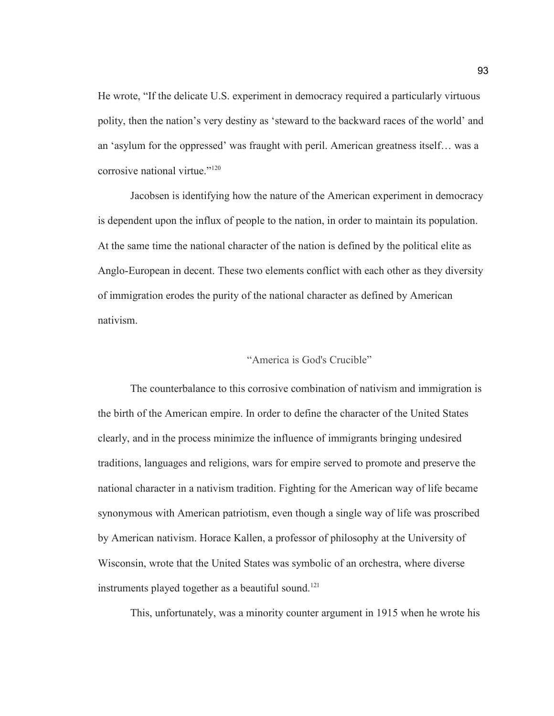He wrote, "If the delicate U.S. experiment in democracy required a particularly virtuous polity, then the nation's very destiny as 'steward to the backward races of the world' and an 'asylum for the oppressed' was fraught with peril. American greatness itself… was a corrosive national virtue."<sup>120</sup>

Jacobsen is identifying how the nature of the American experiment in democracy is dependent upon the influx of people to the nation, in order to maintain its population. At the same time the national character of the nation is defined by the political elite as Anglo-European in decent. These two elements conflict with each other as they diversity of immigration erodes the purity of the national character as defined by American nativism.

## "America is God's Crucible"

The counterbalance to this corrosive combination of nativism and immigration is the birth of the American empire. In order to define the character of the United States clearly, and in the process minimize the influence of immigrants bringing undesired traditions, languages and religions, wars for empire served to promote and preserve the national character in a nativism tradition. Fighting for the American way of life became synonymous with American patriotism, even though a single way of life was proscribed by American nativism. Horace Kallen, a professor of philosophy at the University of Wisconsin, wrote that the United States was symbolic of an orchestra, where diverse instruments played together as a beautiful sound.<sup>121</sup>

This, unfortunately, was a minority counter argument in 1915 when he wrote his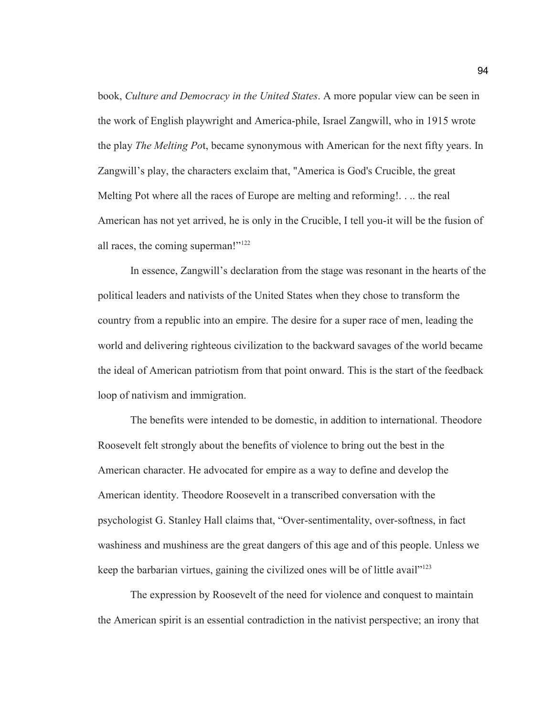book, *Culture and Democracy in the United States*. A more popular view can be seen in the work of English playwright and America-phile, Israel Zangwill, who in 1915 wrote the play *The Melting Po*t, became synonymous with American for the next fifty years. In Zangwill's play, the characters exclaim that, "America is God's Crucible, the great Melting Pot where all the races of Europe are melting and reforming!. . .. the real American has not yet arrived, he is only in the Crucible, I tell you-it will be the fusion of all races, the coming superman!"<sup>122</sup>

In essence, Zangwill's declaration from the stage was resonant in the hearts of the political leaders and nativists of the United States when they chose to transform the country from a republic into an empire. The desire for a super race of men, leading the world and delivering righteous civilization to the backward savages of the world became the ideal of American patriotism from that point onward. This is the start of the feedback loop of nativism and immigration.

The benefits were intended to be domestic, in addition to international. Theodore Roosevelt felt strongly about the benefits of violence to bring out the best in the American character. He advocated for empire as a way to define and develop the American identity. Theodore Roosevelt in a transcribed conversation with the psychologist G. Stanley Hall claims that, "Over-sentimentality, over-softness, in fact washiness and mushiness are the great dangers of this age and of this people. Unless we keep the barbarian virtues, gaining the civilized ones will be of little avail"<sup>123</sup>

The expression by Roosevelt of the need for violence and conquest to maintain the American spirit is an essential contradiction in the nativist perspective; an irony that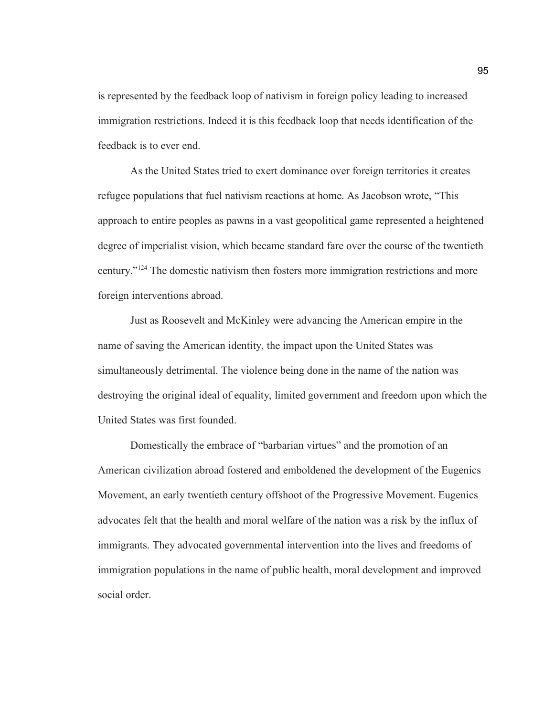is represented by the feedback loop of nativism in foreign policy leading to increased immigration restrictions. Indeed it is this feedback loop that needs identification of the feedback is to ever end.

As the United States tried to exert dominance over foreign territories it creates refugee populations that fuel nativism reactions at home. As Jacobson wrote, "This approach to entire peoples as pawns in a vast geopolitical game represented a heightened degree of imperialist vision, which became standard fare over the course of the twentieth century."<sup>124</sup> The domestic nativism then fosters more immigration restrictions and more foreign interventions abroad.

Just as Roosevelt and McKinley were advancing the American empire in the name of saving the American identity, the impact upon the United States was simultaneously detrimental. The violence being done in the name of the nation was destroying the original ideal of equality, limited government and freedom upon which the United States was first founded.

Domestically the embrace of "barbarian virtues" and the promotion of an American civilization abroad fostered and emboldened the development of the Eugenics Movement, an early twentieth century offshoot of the Progressive Movement. Eugenics advocates felt that the health and moral welfare of the nation was a risk by the influx of immigrants. They advocated governmental intervention into the lives and freedoms of immigration populations in the name of public health, moral development and improved social order.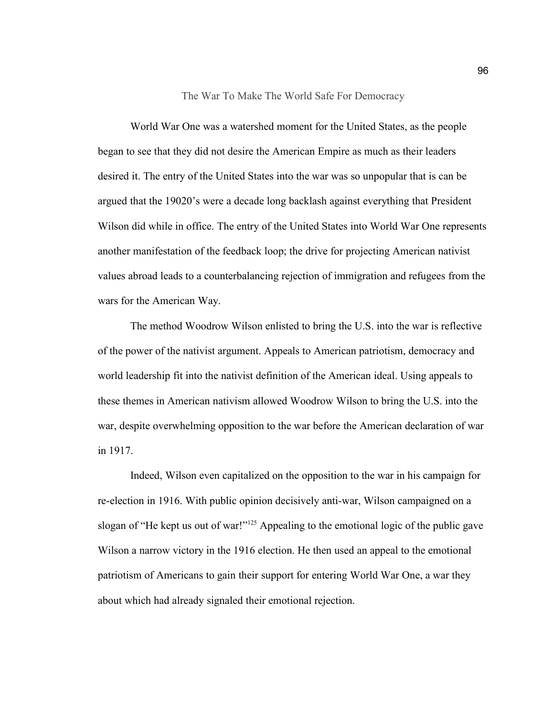The War To Make The World Safe For Democracy

World War One was a watershed moment for the United States, as the people began to see that they did not desire the American Empire as much as their leaders desired it. The entry of the United States into the war was so unpopular that is can be argued that the 19020's were a decade long backlash against everything that President Wilson did while in office. The entry of the United States into World War One represents another manifestation of the feedback loop; the drive for projecting American nativist values abroad leads to a counterbalancing rejection of immigration and refugees from the wars for the American Way.

The method Woodrow Wilson enlisted to bring the U.S. into the war is reflective of the power of the nativist argument. Appeals to American patriotism, democracy and world leadership fit into the nativist definition of the American ideal. Using appeals to these themes in American nativism allowed Woodrow Wilson to bring the U.S. into the war, despite overwhelming opposition to the war before the American declaration of war in 1917.

Indeed, Wilson even capitalized on the opposition to the war in his campaign for re-election in 1916. With public opinion decisively anti-war, Wilson campaigned on a slogan of "He kept us out of war!"<sup>125</sup> Appealing to the emotional logic of the public gave Wilson a narrow victory in the 1916 election. He then used an appeal to the emotional patriotism of Americans to gain their support for entering World War One, a war they about which had already signaled their emotional rejection.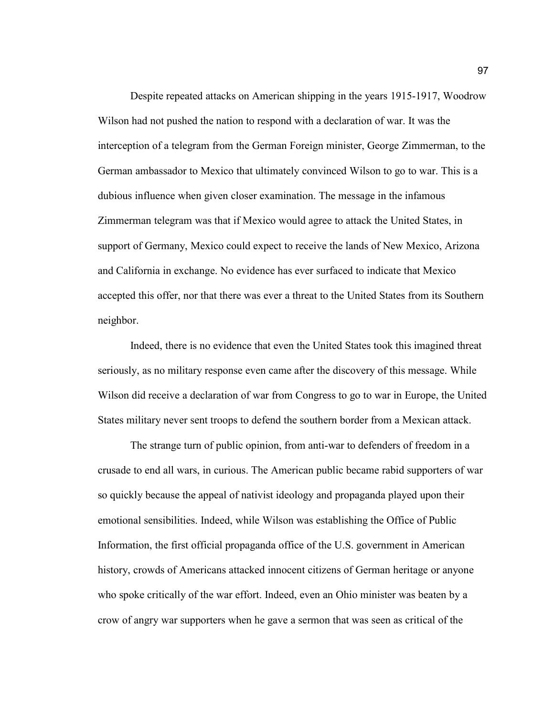Despite repeated attacks on American shipping in the years 1915-1917, Woodrow Wilson had not pushed the nation to respond with a declaration of war. It was the interception of a telegram from the German Foreign minister, George Zimmerman, to the German ambassador to Mexico that ultimately convinced Wilson to go to war. This is a dubious influence when given closer examination. The message in the infamous Zimmerman telegram was that if Mexico would agree to attack the United States, in support of Germany, Mexico could expect to receive the lands of New Mexico, Arizona and California in exchange. No evidence has ever surfaced to indicate that Mexico accepted this offer, nor that there was ever a threat to the United States from its Southern neighbor.

Indeed, there is no evidence that even the United States took this imagined threat seriously, as no military response even came after the discovery of this message. While Wilson did receive a declaration of war from Congress to go to war in Europe, the United States military never sent troops to defend the southern border from a Mexican attack.

The strange turn of public opinion, from anti-war to defenders of freedom in a crusade to end all wars, in curious. The American public became rabid supporters of war so quickly because the appeal of nativist ideology and propaganda played upon their emotional sensibilities. Indeed, while Wilson was establishing the Office of Public Information, the first official propaganda office of the U.S. government in American history, crowds of Americans attacked innocent citizens of German heritage or anyone who spoke critically of the war effort. Indeed, even an Ohio minister was beaten by a crow of angry war supporters when he gave a sermon that was seen as critical of the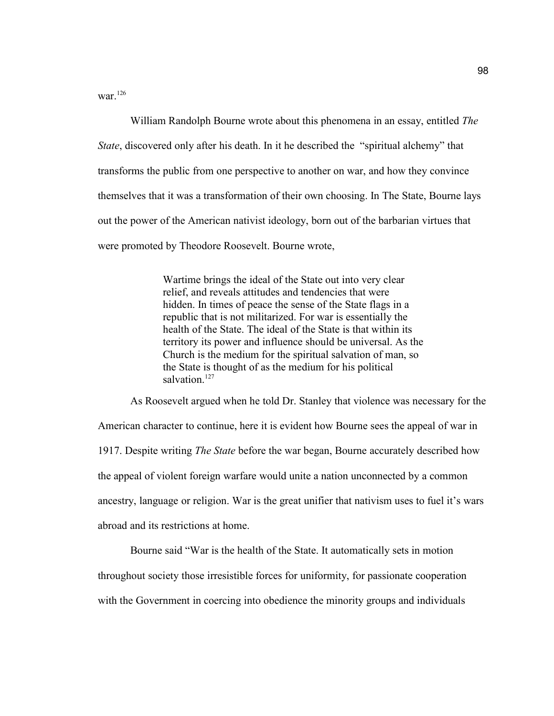war.<sup>126</sup>

William Randolph Bourne wrote about this phenomena in an essay, entitled *The State*, discovered only after his death. In it he described the "spiritual alchemy" that transforms the public from one perspective to another on war, and how they convince themselves that it was a transformation of their own choosing. In The State, Bourne lays out the power of the American nativist ideology, born out of the barbarian virtues that were promoted by Theodore Roosevelt. Bourne wrote,

> Wartime brings the ideal of the State out into very clear relief, and reveals attitudes and tendencies that were hidden. In times of peace the sense of the State flags in a republic that is not militarized. For war is essentially the health of the State. The ideal of the State is that within its territory its power and influence should be universal. As the Church is the medium for the spiritual salvation of man, so the State is thought of as the medium for his political salvation<sup>127</sup>

As Roosevelt argued when he told Dr. Stanley that violence was necessary for the American character to continue, here it is evident how Bourne sees the appeal of war in 1917. Despite writing *The State* before the war began, Bourne accurately described how the appeal of violent foreign warfare would unite a nation unconnected by a common ancestry, language or religion. War is the great unifier that nativism uses to fuel it's wars abroad and its restrictions at home.

Bourne said "War is the health of the State. It automatically sets in motion throughout society those irresistible forces for uniformity, for passionate cooperation with the Government in coercing into obedience the minority groups and individuals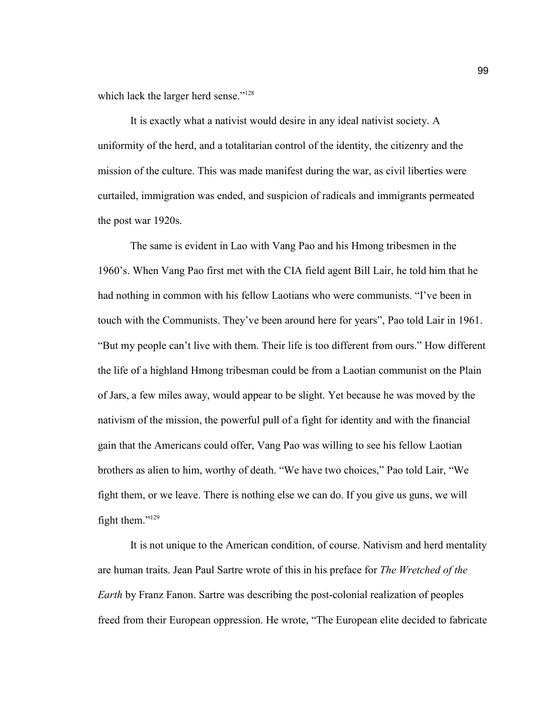which lack the larger herd sense."<sup>128</sup>

It is exactly what a nativist would desire in any ideal nativist society. A uniformity of the herd, and a totalitarian control of the identity, the citizenry and the mission of the culture. This was made manifest during the war, as civil liberties were curtailed, immigration was ended, and suspicion of radicals and immigrants permeated the post war 1920s.

The same is evident in Lao with Vang Pao and his Hmong tribesmen in the 1960's. When Vang Pao first met with the CIA field agent Bill Lair, he told him that he had nothing in common with his fellow Laotians who were communists. "I've been in touch with the Communists. They've been around here for years", Pao told Lair in 1961. "But my people can't live with them. Their life is too different from ours." How different the life of a highland Hmong tribesman could be from a Laotian communist on the Plain of Jars, a few miles away, would appear to be slight. Yet because he was moved by the nativism of the mission, the powerful pull of a fight for identity and with the financial gain that the Americans could offer, Vang Pao was willing to see his fellow Laotian brothers as alien to him, worthy of death. "We have two choices," Pao told Lair, "We fight them, or we leave. There is nothing else we can do. If you give us guns, we will fight them."<sup>129</sup>

It is not unique to the American condition, of course. Nativism and herd mentality are human traits. Jean Paul Sartre wrote of this in his preface for *The Wretched of the Earth* by Franz Fanon. Sartre was describing the post-colonial realization of peoples freed from their European oppression. He wrote, "The European elite decided to fabricate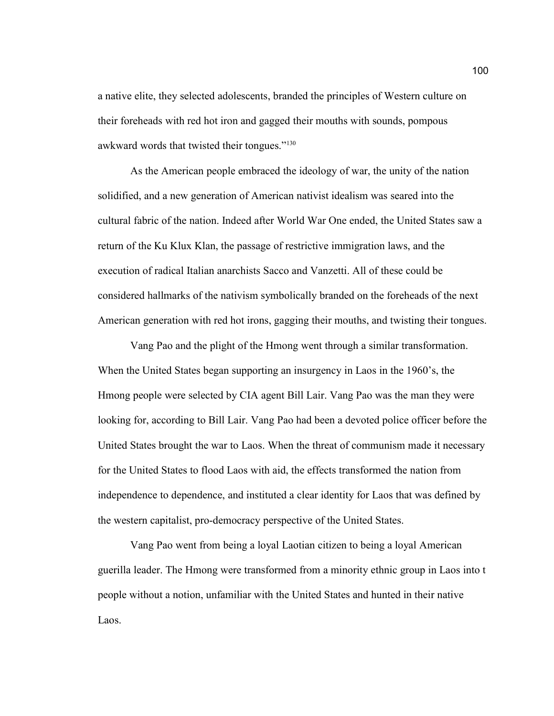a native elite, they selected adolescents, branded the principles of Western culture on their foreheads with red hot iron and gagged their mouths with sounds, pompous awkward words that twisted their tongues."<sup>130</sup>

As the American people embraced the ideology of war, the unity of the nation solidified, and a new generation of American nativist idealism was seared into the cultural fabric of the nation. Indeed after World War One ended, the United States saw a return of the Ku Klux Klan, the passage of restrictive immigration laws, and the execution of radical Italian anarchists Sacco and Vanzetti. All of these could be considered hallmarks of the nativism symbolically branded on the foreheads of the next American generation with red hot irons, gagging their mouths, and twisting their tongues.

Vang Pao and the plight of the Hmong went through a similar transformation. When the United States began supporting an insurgency in Laos in the 1960's, the Hmong people were selected by CIA agent Bill Lair. Vang Pao was the man they were looking for, according to Bill Lair. Vang Pao had been a devoted police officer before the United States brought the war to Laos. When the threat of communism made it necessary for the United States to flood Laos with aid, the effects transformed the nation from independence to dependence, and instituted a clear identity for Laos that was defined by the western capitalist, pro-democracy perspective of the United States.

Vang Pao went from being a loyal Laotian citizen to being a loyal American guerilla leader. The Hmong were transformed from a minority ethnic group in Laos into t people without a notion, unfamiliar with the United States and hunted in their native Laos.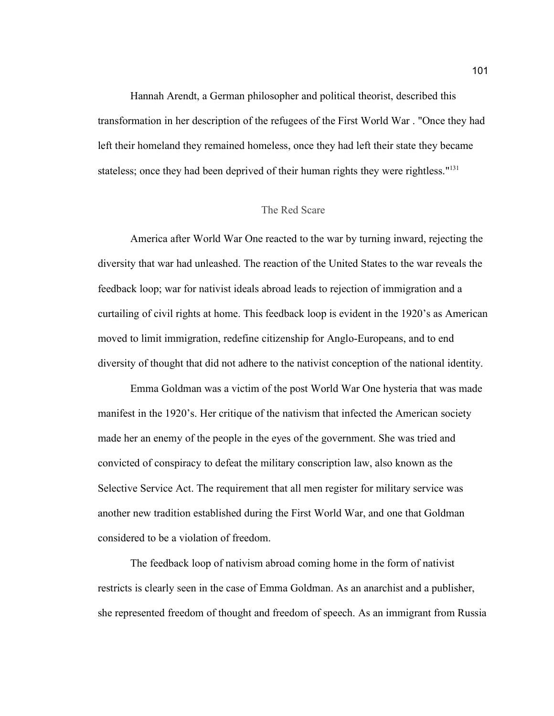Hannah Arendt, a German philosopher and political theorist, described this transformation in her description of the refugees of the First World War . "Once they had left their homeland they remained homeless, once they had left their state they became stateless; once they had been deprived of their human rights they were rightless."<sup>131</sup>

#### The Red Scare

America after World War One reacted to the war by turning inward, rejecting the diversity that war had unleashed. The reaction of the United States to the war reveals the feedback loop; war for nativist ideals abroad leads to rejection of immigration and a curtailing of civil rights at home. This feedback loop is evident in the 1920's as American moved to limit immigration, redefine citizenship for Anglo-Europeans, and to end diversity of thought that did not adhere to the nativist conception of the national identity.

Emma Goldman was a victim of the post World War One hysteria that was made manifest in the 1920's. Her critique of the nativism that infected the American society made her an enemy of the people in the eyes of the government. She was tried and convicted of conspiracy to defeat the military conscription law, also known as the Selective Service Act. The requirement that all men register for military service was another new tradition established during the First World War, and one that Goldman considered to be a violation of freedom.

The feedback loop of nativism abroad coming home in the form of nativist restricts is clearly seen in the case of Emma Goldman. As an anarchist and a publisher, she represented freedom of thought and freedom of speech. As an immigrant from Russia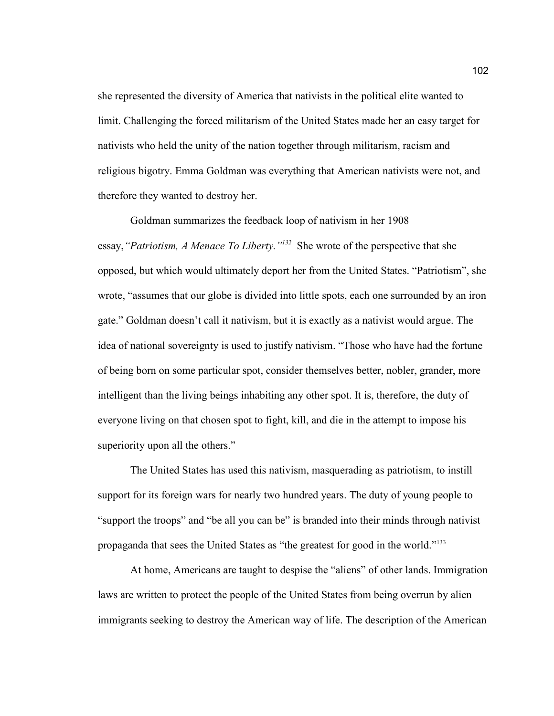she represented the diversity of America that nativists in the political elite wanted to limit. Challenging the forced militarism of the United States made her an easy target for nativists who held the unity of the nation together through militarism, racism and religious bigotry. Emma Goldman was everything that American nativists were not, and therefore they wanted to destroy her.

Goldman summarizes the feedback loop of nativism in her 1908 essay, "Patriotism, A Menace To Liberty."<sup>132</sup> She wrote of the perspective that she opposed, but which would ultimately deport her from the United States. "Patriotism", she wrote, "assumes that our globe is divided into little spots, each one surrounded by an iron gate." Goldman doesn't call it nativism, but it is exactly as a nativist would argue. The idea of national sovereignty is used to justify nativism. "Those who have had the fortune of being born on some particular spot, consider themselves better, nobler, grander, more intelligent than the living beings inhabiting any other spot. It is, therefore, the duty of everyone living on that chosen spot to fight, kill, and die in the attempt to impose his superiority upon all the others."

The United States has used this nativism, masquerading as patriotism, to instill support for its foreign wars for nearly two hundred years. The duty of young people to "support the troops" and "be all you can be" is branded into their minds through nativist propaganda that sees the United States as "the greatest for good in the world."<sup>133</sup>

At home, Americans are taught to despise the "aliens" of other lands. Immigration laws are written to protect the people of the United States from being overrun by alien immigrants seeking to destroy the American way of life. The description of the American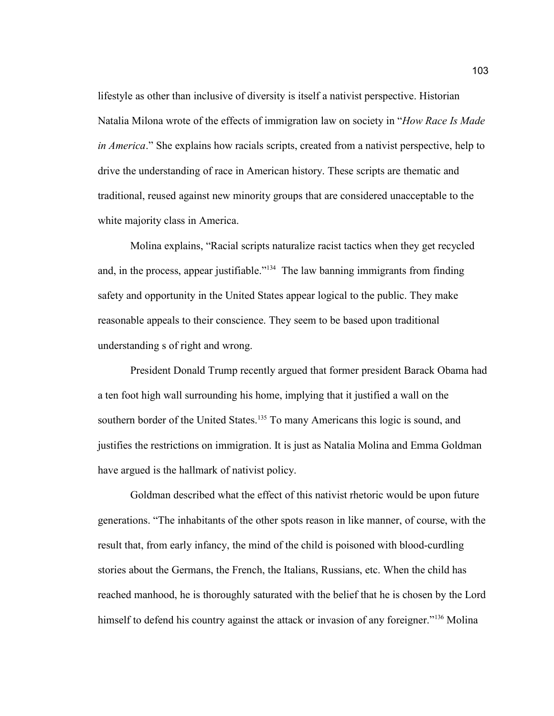lifestyle as other than inclusive of diversity is itself a nativist perspective. Historian Natalia Milona wrote of the effects of immigration law on society in "*How Race Is Made in America*." She explains how racials scripts, created from a nativist perspective, help to drive the understanding of race in American history. These scripts are thematic and traditional, reused against new minority groups that are considered unacceptable to the white majority class in America.

Molina explains, "Racial scripts naturalize racist tactics when they get recycled and, in the process, appear justifiable."<sup>134</sup> The law banning immigrants from finding safety and opportunity in the United States appear logical to the public. They make reasonable appeals to their conscience. They seem to be based upon traditional understanding s of right and wrong.

President Donald Trump recently argued that former president Barack Obama had a ten foot high wall surrounding his home, implying that it justified a wall on the southern border of the United States.<sup>135</sup> To many Americans this logic is sound, and justifies the restrictions on immigration. It is just as Natalia Molina and Emma Goldman have argued is the hallmark of nativist policy.

Goldman described what the effect of this nativist rhetoric would be upon future generations. "The inhabitants of the other spots reason in like manner, of course, with the result that, from early infancy, the mind of the child is poisoned with blood-curdling stories about the Germans, the French, the Italians, Russians, etc. When the child has reached manhood, he is thoroughly saturated with the belief that he is chosen by the Lord himself to defend his country against the attack or invasion of any foreigner."<sup>136</sup> Molina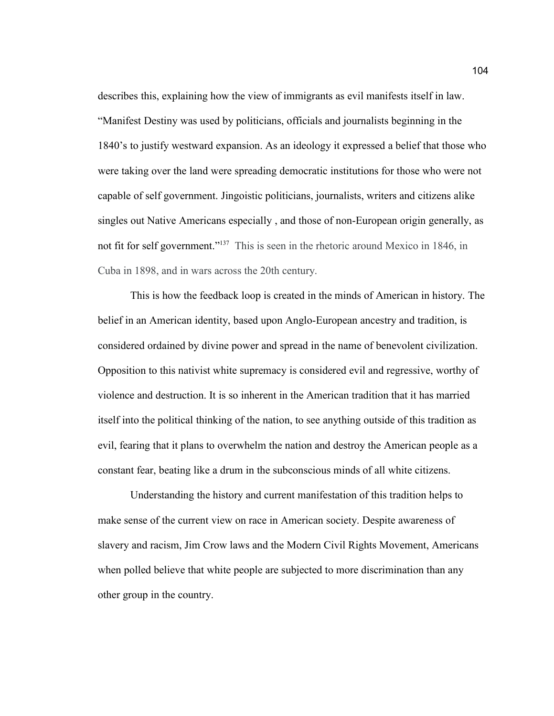describes this, explaining how the view of immigrants as evil manifests itself in law. "Manifest Destiny was used by politicians, officials and journalists beginning in the 1840's to justify westward expansion. As an ideology it expressed a belief that those who were taking over the land were spreading democratic institutions for those who were not capable of self government. Jingoistic politicians, journalists, writers and citizens alike singles out Native Americans especially , and those of non-European origin generally, as not fit for self government."<sup>137</sup> This is seen in the rhetoric around Mexico in 1846, in Cuba in 1898, and in wars across the 20th century.

This is how the feedback loop is created in the minds of American in history. The belief in an American identity, based upon Anglo-European ancestry and tradition, is considered ordained by divine power and spread in the name of benevolent civilization. Opposition to this nativist white supremacy is considered evil and regressive, worthy of violence and destruction. It is so inherent in the American tradition that it has married itself into the political thinking of the nation, to see anything outside of this tradition as evil, fearing that it plans to overwhelm the nation and destroy the American people as a constant fear, beating like a drum in the subconscious minds of all white citizens.

Understanding the history and current manifestation of this tradition helps to make sense of the current view on race in American society. Despite awareness of slavery and racism, Jim Crow laws and the Modern Civil Rights Movement, Americans when polled believe that white people are subjected to more discrimination than any other group in the country.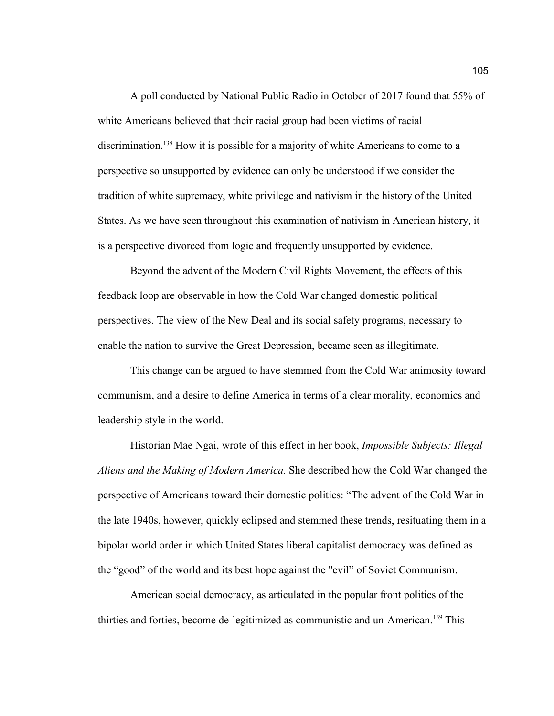A poll conducted by National Public Radio in October of 2017 found that 55% of white Americans believed that their racial group had been victims of racial discrimination.<sup>138</sup> How it is possible for a majority of white Americans to come to a perspective so unsupported by evidence can only be understood if we consider the tradition of white supremacy, white privilege and nativism in the history of the United States. As we have seen throughout this examination of nativism in American history, it is a perspective divorced from logic and frequently unsupported by evidence.

Beyond the advent of the Modern Civil Rights Movement, the effects of this feedback loop are observable in how the Cold War changed domestic political perspectives. The view of the New Deal and its social safety programs, necessary to enable the nation to survive the Great Depression, became seen as illegitimate.

This change can be argued to have stemmed from the Cold War animosity toward communism, and a desire to define America in terms of a clear morality, economics and leadership style in the world.

Historian Mae Ngai, wrote of this effect in her book, *Impossible Subjects: Illegal Aliens and the Making of Modern America.* She described how the Cold War changed the perspective of Americans toward their domestic politics: "The advent of the Cold War in the late 1940s, however, quickly eclipsed and stemmed these trends, resituating them in a bipolar world order in which United States liberal capitalist democracy was defined as the "good" of the world and its best hope against the "evil" of Soviet Communism.

American social democracy, as articulated in the popular front politics of the thirties and forties, become de-legitimized as communistic and un-American.139 This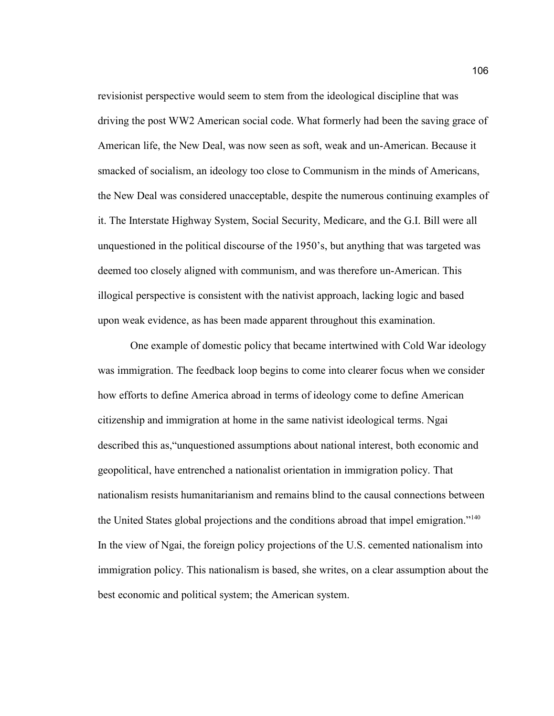revisionist perspective would seem to stem from the ideological discipline that was driving the post WW2 American social code. What formerly had been the saving grace of American life, the New Deal, was now seen as soft, weak and un-American. Because it smacked of socialism, an ideology too close to Communism in the minds of Americans, the New Deal was considered unacceptable, despite the numerous continuing examples of it. The Interstate Highway System, Social Security, Medicare, and the G.I. Bill were all unquestioned in the political discourse of the 1950's, but anything that was targeted was deemed too closely aligned with communism, and was therefore un-American. This illogical perspective is consistent with the nativist approach, lacking logic and based upon weak evidence, as has been made apparent throughout this examination.

One example of domestic policy that became intertwined with Cold War ideology was immigration. The feedback loop begins to come into clearer focus when we consider how efforts to define America abroad in terms of ideology come to define American citizenship and immigration at home in the same nativist ideological terms. Ngai described this as,"unquestioned assumptions about national interest, both economic and geopolitical, have entrenched a nationalist orientation in immigration policy. That nationalism resists humanitarianism and remains blind to the causal connections between the United States global projections and the conditions abroad that impel emigration."<sup>140</sup> In the view of Ngai, the foreign policy projections of the U.S. cemented nationalism into immigration policy. This nationalism is based, she writes, on a clear assumption about the best economic and political system; the American system.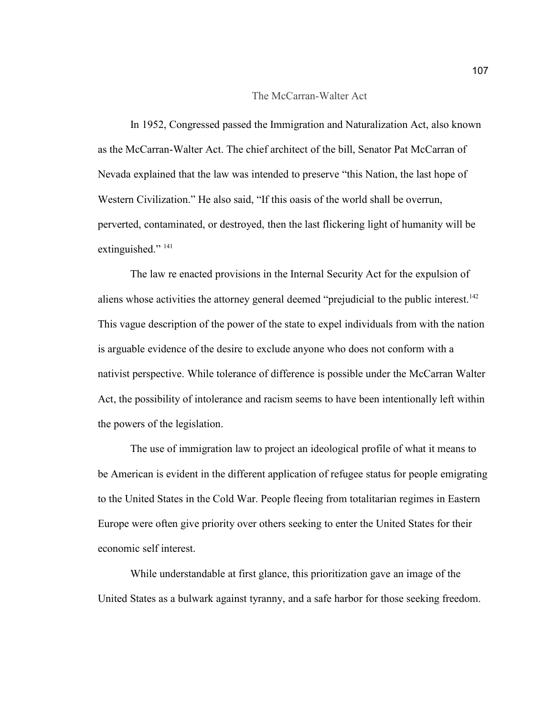#### The McCarran-Walter Act

In 1952, Congressed passed the Immigration and Naturalization Act, also known as the McCarran-Walter Act. The chief architect of the bill, Senator Pat McCarran of Nevada explained that the law was intended to preserve "this Nation, the last hope of Western Civilization." He also said, "If this oasis of the world shall be overrun, perverted, contaminated, or destroyed, then the last flickering light of humanity will be extinguished."<sup>141</sup>

The law re enacted provisions in the Internal Security Act for the expulsion of aliens whose activities the attorney general deemed "prejudicial to the public interest.<sup>142</sup> This vague description of the power of the state to expel individuals from with the nation is arguable evidence of the desire to exclude anyone who does not conform with a nativist perspective. While tolerance of difference is possible under the McCarran Walter Act, the possibility of intolerance and racism seems to have been intentionally left within the powers of the legislation.

The use of immigration law to project an ideological profile of what it means to be American is evident in the different application of refugee status for people emigrating to the United States in the Cold War. People fleeing from totalitarian regimes in Eastern Europe were often give priority over others seeking to enter the United States for their economic self interest.

While understandable at first glance, this prioritization gave an image of the United States as a bulwark against tyranny, and a safe harbor for those seeking freedom.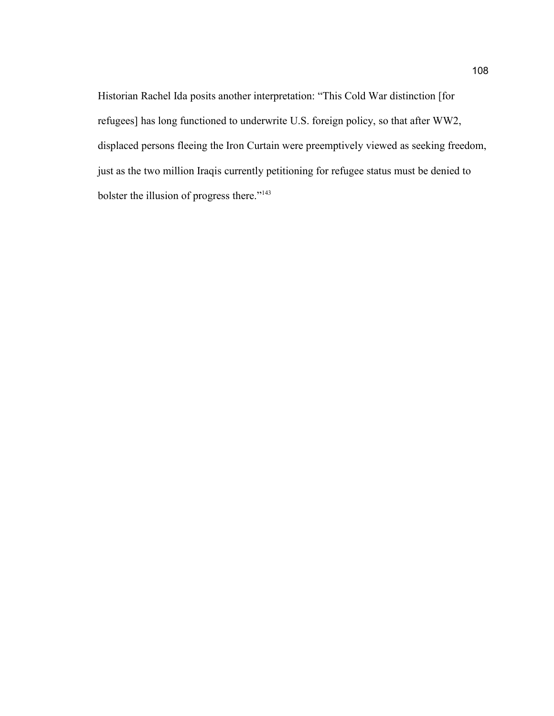Historian Rachel Ida posits another interpretation: "This Cold War distinction [for refugees] has long functioned to underwrite U.S. foreign policy, so that after WW2, displaced persons fleeing the Iron Curtain were preemptively viewed as seeking freedom, just as the two million Iraqis currently petitioning for refugee status must be denied to bolster the illusion of progress there."143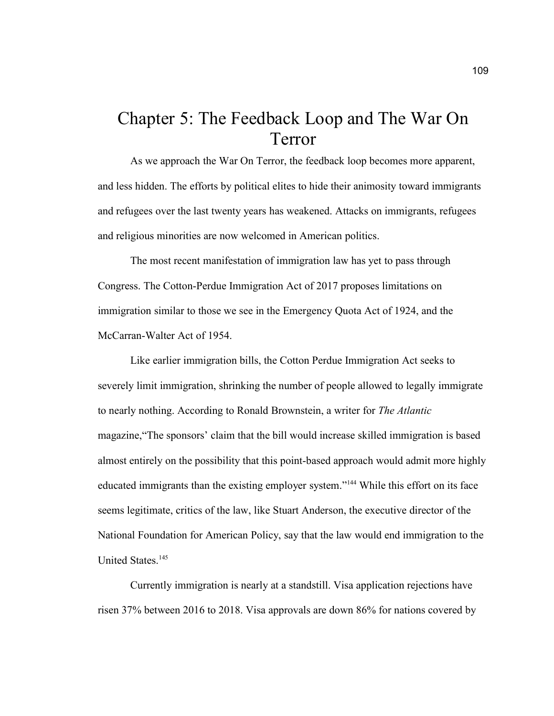# Chapter 5: The Feedback Loop and The War On Terror

As we approach the War On Terror, the feedback loop becomes more apparent, and less hidden. The efforts by political elites to hide their animosity toward immigrants and refugees over the last twenty years has weakened. Attacks on immigrants, refugees and religious minorities are now welcomed in American politics.

The most recent manifestation of immigration law has yet to pass through Congress. The Cotton-Perdue Immigration Act of 2017 proposes limitations on immigration similar to those we see in the Emergency Quota Act of 1924, and the McCarran-Walter Act of 1954.

Like earlier immigration bills, the Cotton Perdue Immigration Act seeks to severely limit immigration, shrinking the number of people allowed to legally immigrate to nearly nothing. According to Ronald Brownstein, a writer for *The Atlantic*  magazine,"The sponsors' claim that the bill would increase skilled immigration is based almost entirely on the possibility that this point-based approach would admit more highly educated immigrants than the existing employer system."<sup>144</sup> While this effort on its face seems legitimate, critics of the law, like Stuart Anderson, the executive director of the National Foundation for American Policy, say that the law would end immigration to the United States.<sup>145</sup>

Currently immigration is nearly at a standstill. Visa application rejections have risen 37% between 2016 to 2018. Visa approvals are down 86% for nations covered by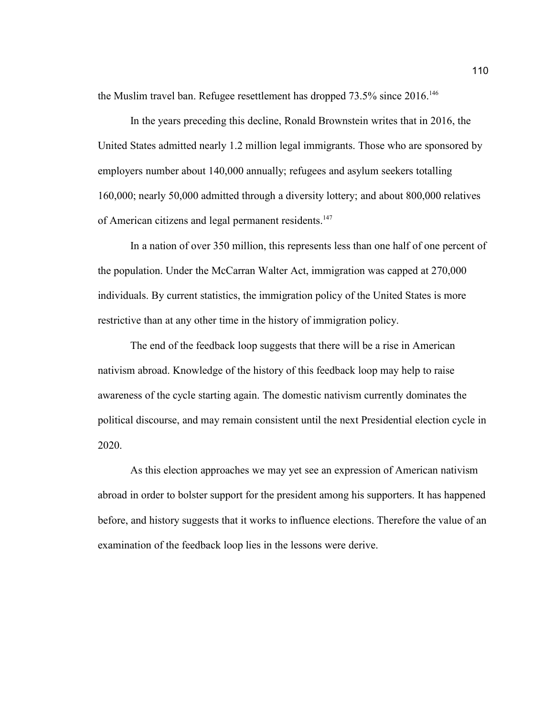the Muslim travel ban. Refugee resettlement has dropped 73.5% since 2016.<sup>146</sup>

In the years preceding this decline, Ronald Brownstein writes that in 2016, the United States admitted nearly 1.2 million legal immigrants. Those who are sponsored by employers number about 140,000 annually; refugees and asylum seekers totalling 160,000; nearly 50,000 admitted through a diversity lottery; and about 800,000 relatives of American citizens and legal permanent residents.<sup>147</sup>

In a nation of over 350 million, this represents less than one half of one percent of the population. Under the McCarran Walter Act, immigration was capped at 270,000 individuals. By current statistics, the immigration policy of the United States is more restrictive than at any other time in the history of immigration policy.

The end of the feedback loop suggests that there will be a rise in American nativism abroad. Knowledge of the history of this feedback loop may help to raise awareness of the cycle starting again. The domestic nativism currently dominates the political discourse, and may remain consistent until the next Presidential election cycle in 2020.

As this election approaches we may yet see an expression of American nativism abroad in order to bolster support for the president among his supporters. It has happened before, and history suggests that it works to influence elections. Therefore the value of an examination of the feedback loop lies in the lessons were derive.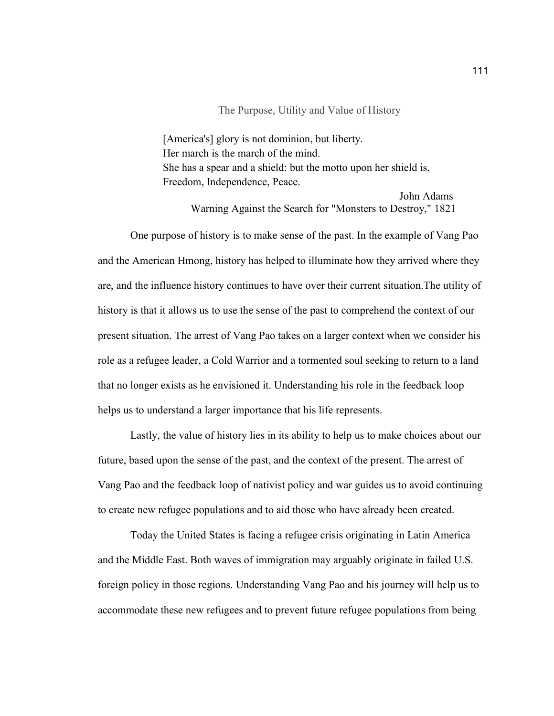#### The Purpose, Utility and Value of History

[America's] glory is not dominion, but liberty. Her march is the march of the mind. She has a spear and a shield: but the motto upon her shield is, Freedom, Independence, Peace.

> John Adams Warning Against the Search for "Monsters to Destroy," 1821

One purpose of history is to make sense of the past. In the example of Vang Pao and the American Hmong, history has helped to illuminate how they arrived where they are, and the influence history continues to have over their current situation.The utility of history is that it allows us to use the sense of the past to comprehend the context of our present situation. The arrest of Vang Pao takes on a larger context when we consider his role as a refugee leader, a Cold Warrior and a tormented soul seeking to return to a land that no longer exists as he envisioned it. Understanding his role in the feedback loop helps us to understand a larger importance that his life represents.

Lastly, the value of history lies in its ability to help us to make choices about our future, based upon the sense of the past, and the context of the present. The arrest of Vang Pao and the feedback loop of nativist policy and war guides us to avoid continuing to create new refugee populations and to aid those who have already been created.

Today the United States is facing a refugee crisis originating in Latin America and the Middle East. Both waves of immigration may arguably originate in failed U.S. foreign policy in those regions. Understanding Vang Pao and his journey will help us to accommodate these new refugees and to prevent future refugee populations from being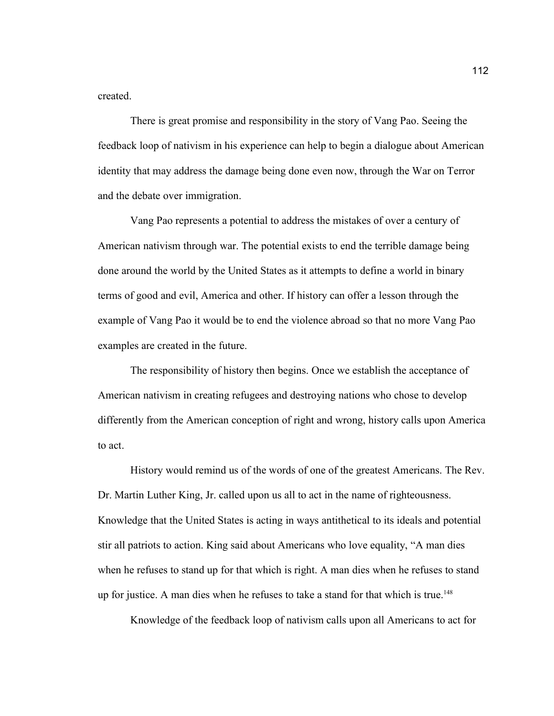created.

There is great promise and responsibility in the story of Vang Pao. Seeing the feedback loop of nativism in his experience can help to begin a dialogue about American identity that may address the damage being done even now, through the War on Terror and the debate over immigration.

Vang Pao represents a potential to address the mistakes of over a century of American nativism through war. The potential exists to end the terrible damage being done around the world by the United States as it attempts to define a world in binary terms of good and evil, America and other. If history can offer a lesson through the example of Vang Pao it would be to end the violence abroad so that no more Vang Pao examples are created in the future.

The responsibility of history then begins. Once we establish the acceptance of American nativism in creating refugees and destroying nations who chose to develop differently from the American conception of right and wrong, history calls upon America to act.

History would remind us of the words of one of the greatest Americans. The Rev. Dr. Martin Luther King, Jr. called upon us all to act in the name of righteousness. Knowledge that the United States is acting in ways antithetical to its ideals and potential stir all patriots to action. King said about Americans who love equality, "A man dies when he refuses to stand up for that which is right. A man dies when he refuses to stand up for justice. A man dies when he refuses to take a stand for that which is true.<sup>148</sup>

Knowledge of the feedback loop of nativism calls upon all Americans to act for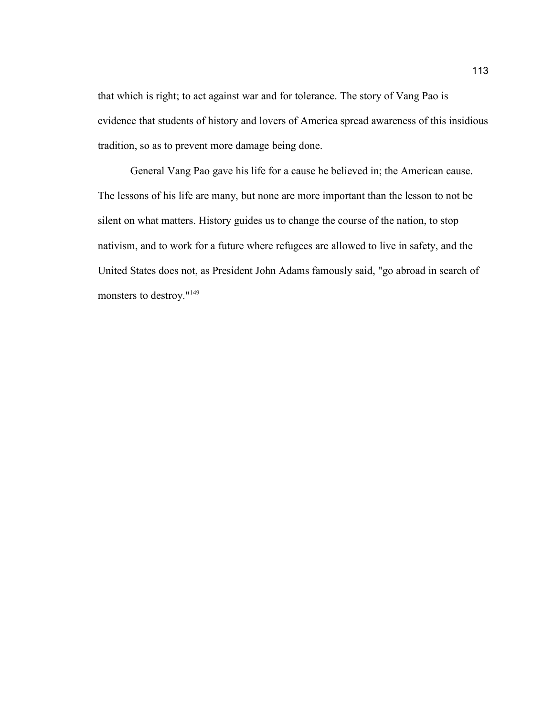that which is right; to act against war and for tolerance. The story of Vang Pao is evidence that students of history and lovers of America spread awareness of this insidious tradition, so as to prevent more damage being done.

General Vang Pao gave his life for a cause he believed in; the American cause. The lessons of his life are many, but none are more important than the lesson to not be silent on what matters. History guides us to change the course of the nation, to stop nativism, and to work for a future where refugees are allowed to live in safety, and the United States does not, as President John Adams famously said, "go abroad in search of monsters to destroy."149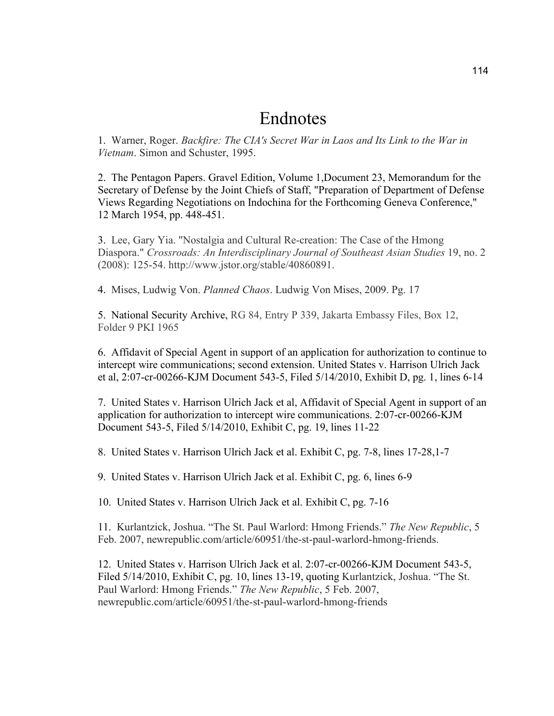### Endnotes

1. Warner, Roger. *Backfire: The CIA's Secret War in Laos and Its Link to the War in Vietnam*. Simon and Schuster, 1995.

2. The Pentagon Papers. Gravel Edition, Volume 1,Document 23, Memorandum for the Secretary of Defense by the Joint Chiefs of Staff, "Preparation of Department of Defense Views Regarding Negotiations on Indochina for the Forthcoming Geneva Conference," 12 March 1954, pp. 448-451.

3. Lee, Gary Yia. "Nostalgia and Cultural Re-creation: The Case of the Hmong Diaspora." *Crossroads: An Interdisciplinary Journal of Southeast Asian Studies* 19, no. 2 (2008): 125-54. http://www.jstor.org/stable/40860891.

4. Mises, Ludwig Von. *Planned Chaos*. Ludwig Von Mises, 2009. Pg. 17

5. National Security Archive, RG 84, Entry P 339, Jakarta Embassy Files, Box 12, Folder 9 PKI 1965

6. Affidavit of Special Agent in support of an application for authorization to continue to intercept wire communications; second extension. United States v. Harrison Ulrich Jack et al, 2:07-cr-00266-KJM Document 543-5, Filed 5/14/2010, Exhibit D, pg. 1, lines 6-14

7. United States v. Harrison Ulrich Jack et al, Affidavit of Special Agent in support of an application for authorization to intercept wire communications. 2:07-cr-00266-KJM Document 543-5, Filed 5/14/2010, Exhibit C, pg. 19, lines 11-22

8. United States v. Harrison Ulrich Jack et al. Exhibit C, pg. 7-8, lines 17-28,1-7

9. United States v. Harrison Ulrich Jack et al. Exhibit C, pg. 6, lines 6-9

10. United States v. Harrison Ulrich Jack et al. Exhibit C, pg. 7-16

11. Kurlantzick, Joshua. "The St. Paul Warlord: Hmong Friends." *The New Republic*, 5 Feb. 2007, newrepublic.com/article/60951/the-st-paul-warlord-hmong-friends.

12. United States v. Harrison Ulrich Jack et al. 2:07-cr-00266-KJM Document 543-5, Filed 5/14/2010, Exhibit C, pg. 10, lines 13-19, quoting Kurlantzick, Joshua. "The St. Paul Warlord: Hmong Friends." *The New Republic*, 5 Feb. 2007, newrepublic.com/article/60951/the-st-paul-warlord-hmong-friends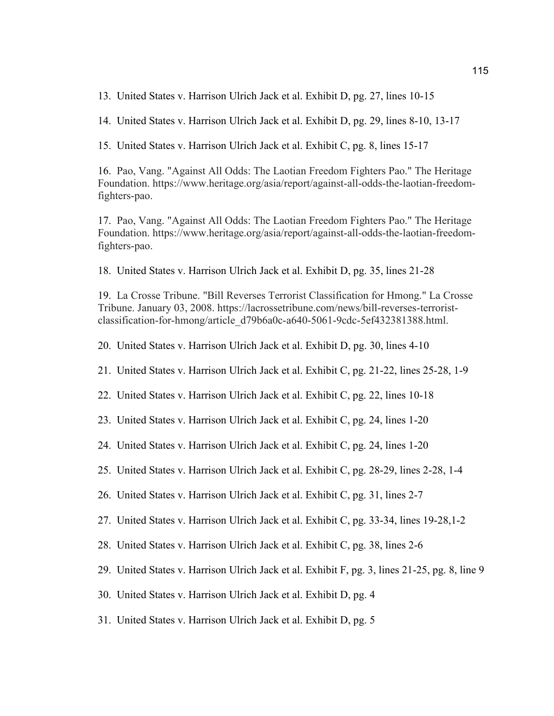13. United States v. Harrison Ulrich Jack et al. Exhibit D, pg. 27, lines 10-15

14. United States v. Harrison Ulrich Jack et al. Exhibit D, pg. 29, lines 8-10, 13-17

15. United States v. Harrison Ulrich Jack et al. Exhibit C, pg. 8, lines 15-17

16. Pao, Vang. "Against All Odds: The Laotian Freedom Fighters Pao." The Heritage Foundation. https://www.heritage.org/asia/report/against-all-odds-the-laotian-freedomfighters-pao.

17. Pao, Vang. "Against All Odds: The Laotian Freedom Fighters Pao." The Heritage Foundation. https://www.heritage.org/asia/report/against-all-odds-the-laotian-freedomfighters-pao.

18. United States v. Harrison Ulrich Jack et al. Exhibit D, pg. 35, lines 21-28

19. La Crosse Tribune. "Bill Reverses Terrorist Classification for Hmong." La Crosse Tribune. January 03, 2008. https://lacrossetribune.com/news/bill-reverses-terroristclassification-for-hmong/article\_d79b6a0c-a640-5061-9cdc-5ef432381388.html.

20. United States v. Harrison Ulrich Jack et al. Exhibit D, pg. 30, lines 4-10

21. United States v. Harrison Ulrich Jack et al. Exhibit C, pg. 21-22, lines 25-28, 1-9

- 22. United States v. Harrison Ulrich Jack et al. Exhibit C, pg. 22, lines 10-18
- 23. United States v. Harrison Ulrich Jack et al. Exhibit C, pg. 24, lines 1-20
- 24. United States v. Harrison Ulrich Jack et al. Exhibit C, pg. 24, lines 1-20
- 25. United States v. Harrison Ulrich Jack et al. Exhibit C, pg. 28-29, lines 2-28, 1-4
- 26. United States v. Harrison Ulrich Jack et al. Exhibit C, pg. 31, lines 2-7
- 27. United States v. Harrison Ulrich Jack et al. Exhibit C, pg. 33-34, lines 19-28,1-2
- 28. United States v. Harrison Ulrich Jack et al. Exhibit C, pg. 38, lines 2-6
- 29. United States v. Harrison Ulrich Jack et al. Exhibit F, pg. 3, lines 21-25, pg. 8, line 9
- 30. United States v. Harrison Ulrich Jack et al. Exhibit D, pg. 4
- 31. United States v. Harrison Ulrich Jack et al. Exhibit D, pg. 5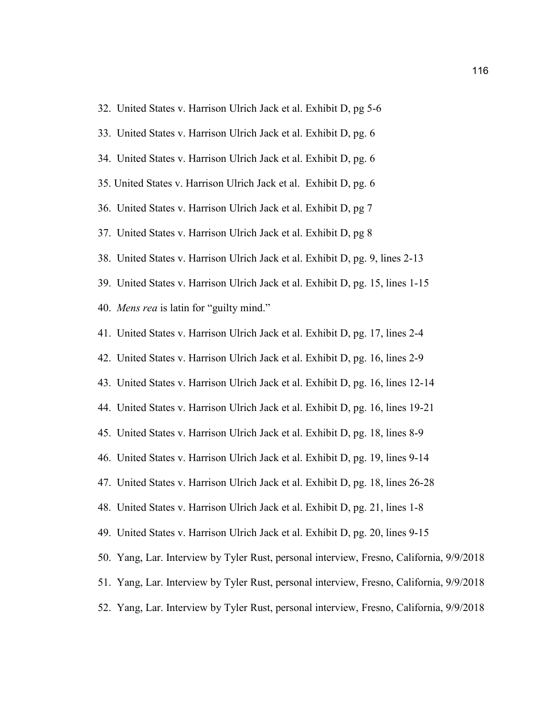| 33. United States v. Harrison Ulrich Jack et al. Exhibit D, pg. 6                        |
|------------------------------------------------------------------------------------------|
| 34. United States v. Harrison Ulrich Jack et al. Exhibit D, pg. 6                        |
| 35. United States v. Harrison Ulrich Jack et al. Exhibit D, pg. 6                        |
| 36. United States v. Harrison Ulrich Jack et al. Exhibit D, pg 7                         |
| 37. United States v. Harrison Ulrich Jack et al. Exhibit D, pg 8                         |
| 38. United States v. Harrison Ulrich Jack et al. Exhibit D, pg. 9, lines 2-13            |
| 39. United States v. Harrison Ulrich Jack et al. Exhibit D, pg. 15, lines 1-15           |
| 40. Mens rea is latin for "guilty mind."                                                 |
| 41. United States v. Harrison Ulrich Jack et al. Exhibit D, pg. 17, lines 2-4            |
| 42. United States v. Harrison Ulrich Jack et al. Exhibit D, pg. 16, lines 2-9            |
| 43. United States v. Harrison Ulrich Jack et al. Exhibit D, pg. 16, lines 12-14          |
| 44. United States v. Harrison Ulrich Jack et al. Exhibit D, pg. 16, lines 19-21          |
| 45. United States v. Harrison Ulrich Jack et al. Exhibit D, pg. 18, lines 8-9            |
| 46. United States v. Harrison Ulrich Jack et al. Exhibit D, pg. 19, lines 9-14           |
| 47. United States v. Harrison Ulrich Jack et al. Exhibit D, pg. 18, lines 26-28          |
| 48. United States v. Harrison Ulrich Jack et al. Exhibit D, pg. 21, lines 1-8            |
| 49. United States v. Harrison Ulrich Jack et al. Exhibit D, pg. 20, lines 9-15           |
| 50. Yang, Lar. Interview by Tyler Rust, personal interview, Fresno, California, 9/9/2018 |
| 51. Yang, Lar. Interview by Tyler Rust, personal interview, Fresno, California, 9/9/2018 |
| 52. Yang, Lar. Interview by Tyler Rust, personal interview, Fresno, California, 9/9/2018 |

32. United States v. Harrison Ulrich Jack et al. Exhibit D, pg 5-6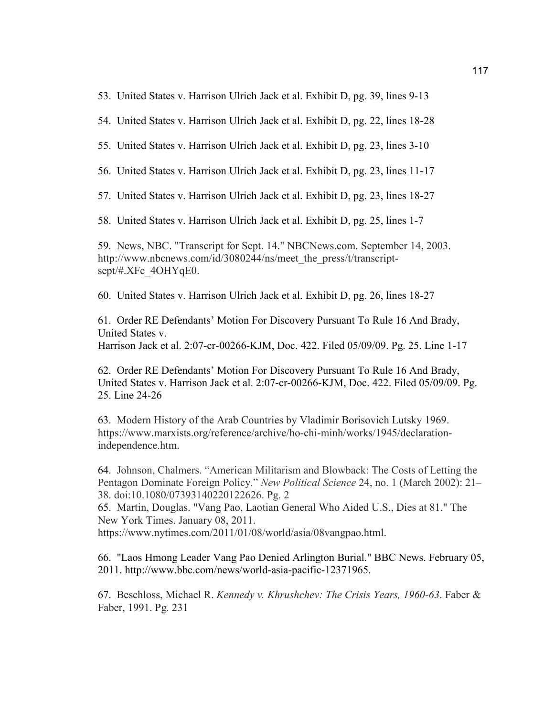53. United States v. Harrison Ulrich Jack et al. Exhibit D, pg. 39, lines 9-13

54. United States v. Harrison Ulrich Jack et al. Exhibit D, pg. 22, lines 18-28

55. United States v. Harrison Ulrich Jack et al. Exhibit D, pg. 23, lines 3-10

56. United States v. Harrison Ulrich Jack et al. Exhibit D, pg. 23, lines 11-17

57. United States v. Harrison Ulrich Jack et al. Exhibit D, pg. 23, lines 18-27

58. United States v. Harrison Ulrich Jack et al. Exhibit D, pg. 25, lines 1-7

59. News, NBC. "Transcript for Sept. 14." NBCNews.com. September 14, 2003. http://www.nbcnews.com/id/3080244/ns/meet\_the\_press/t/transcriptsept/#.XFc\_4OHYqE0.

60. United States v. Harrison Ulrich Jack et al. Exhibit D, pg. 26, lines 18-27

61. Order RE Defendants' Motion For Discovery Pursuant To Rule 16 And Brady, United States v. Harrison Jack et al. 2:07-cr-00266-KJM, Doc. 422. Filed 05/09/09. Pg. 25. Line 1-17

62. Order RE Defendants' Motion For Discovery Pursuant To Rule 16 And Brady, United States v. Harrison Jack et al. 2:07-cr-00266-KJM, Doc. 422. Filed 05/09/09. Pg. 25. Line 24-26

63. Modern History of the Arab Countries by Vladimir Borisovich Lutsky 1969. https://www.marxists.org/reference/archive/ho-chi-minh/works/1945/declarationindependence.htm.

64. Johnson, Chalmers. "American Militarism and Blowback: The Costs of Letting the Pentagon Dominate Foreign Policy." *New Political Science* 24, no. 1 (March 2002): 21– 38. doi:10.1080/07393140220122626. Pg. 2

65. Martin, Douglas. "Vang Pao, Laotian General Who Aided U.S., Dies at 81." The New York Times. January 08, 2011.

https://www.nytimes.com/2011/01/08/world/asia/08vangpao.html.

66. "Laos Hmong Leader Vang Pao Denied Arlington Burial." BBC News. February 05, 2011. http://www.bbc.com/news/world-asia-pacific-12371965.

67. Beschloss, Michael R. *Kennedy v. Khrushchev: The Crisis Years, 1960-63*. Faber & Faber, 1991. Pg. 231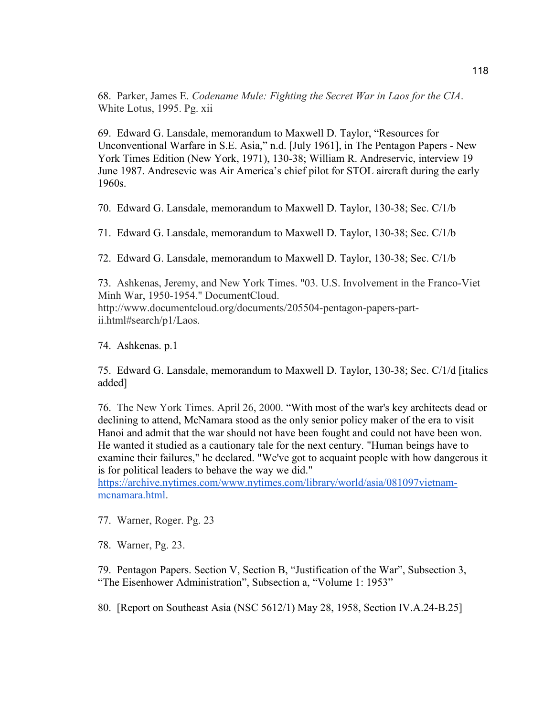68. Parker, James E. *Codename Mule: Fighting the Secret War in Laos for the CIA*. White Lotus, 1995. Pg. xii

69. Edward G. Lansdale, memorandum to Maxwell D. Taylor, "Resources for Unconventional Warfare in S.E. Asia," n.d. [July 1961], in The Pentagon Papers - New York Times Edition (New York, 1971), 130-38; William R. Andreservic, interview 19 June 1987. Andresevic was Air America's chief pilot for STOL aircraft during the early 1960s.

70. Edward G. Lansdale, memorandum to Maxwell D. Taylor, 130-38; Sec. C/1/b

71. Edward G. Lansdale, memorandum to Maxwell D. Taylor, 130-38; Sec. C/1/b

72. Edward G. Lansdale, memorandum to Maxwell D. Taylor, 130-38; Sec. C/1/b

73. Ashkenas, Jeremy, and New York Times. "03. U.S. Involvement in the Franco-Viet Minh War, 1950-1954." DocumentCloud. http://www.documentcloud.org/documents/205504-pentagon-papers-partii.html#search/p1/Laos.

74. Ashkenas. p.1

75. Edward G. Lansdale, memorandum to Maxwell D. Taylor, 130-38; Sec. C/1/d [italics added]

76. The New York Times. April 26, 2000. "With most of the war's key architects dead or declining to attend, McNamara stood as the only senior policy maker of the era to visit Hanoi and admit that the war should not have been fought and could not have been won. He wanted it studied as a cautionary tale for the next century. "Human beings have to examine their failures," he declared. "We've got to acquaint people with how dangerous it is for political leaders to behave the way we did."

https://archive.nytimes.com/www.nytimes.com/library/world/asia/081097vietnammcnamara.html.

77. Warner, Roger. Pg. 23

78. Warner, Pg. 23.

79. Pentagon Papers. Section V, Section B, "Justification of the War", Subsection 3, "The Eisenhower Administration", Subsection a, "Volume 1: 1953"

80. [Report on Southeast Asia (NSC 5612/1) May 28, 1958, Section IV.A.24-B.25]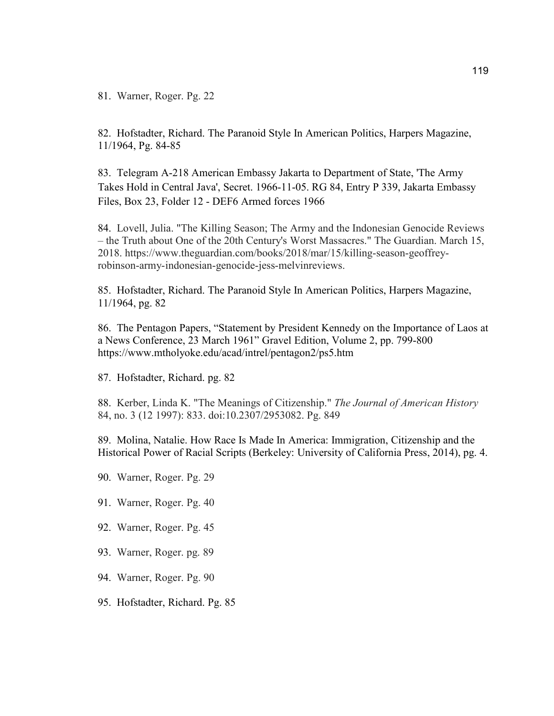81. Warner, Roger. Pg. 22

82. Hofstadter, Richard. The Paranoid Style In American Politics, Harpers Magazine, 11/1964, Pg. 84-85

83. Telegram A-218 American Embassy Jakarta to Department of State, 'The Army Takes Hold in Central Java', Secret. 1966-11-05. RG 84, Entry P 339, Jakarta Embassy Files, Box 23, Folder 12 - DEF6 Armed forces 1966

84. Lovell, Julia. "The Killing Season; The Army and the Indonesian Genocide Reviews – the Truth about One of the 20th Century's Worst Massacres." The Guardian. March 15, 2018. https://www.theguardian.com/books/2018/mar/15/killing-season-geoffreyrobinson-army-indonesian-genocide-jess-melvinreviews.

85. Hofstadter, Richard. The Paranoid Style In American Politics, Harpers Magazine, 11/1964, pg. 82

86. The Pentagon Papers, "Statement by President Kennedy on the Importance of Laos at a News Conference, 23 March 1961" Gravel Edition, Volume 2, pp. 799-800 https://www.mtholyoke.edu/acad/intrel/pentagon2/ps5.htm

87. Hofstadter, Richard. pg. 82

88. Kerber, Linda K. "The Meanings of Citizenship." *The Journal of American History* 84, no. 3 (12 1997): 833. doi:10.2307/2953082. Pg. 849

89. Molina, Natalie. How Race Is Made In America: Immigration, Citizenship and the Historical Power of Racial Scripts (Berkeley: University of California Press, 2014), pg. 4.

- 90. Warner, Roger. Pg. 29
- 91. Warner, Roger. Pg. 40
- 92. Warner, Roger. Pg. 45
- 93. Warner, Roger. pg. 89
- 94. Warner, Roger. Pg. 90
- 95. Hofstadter, Richard. Pg. 85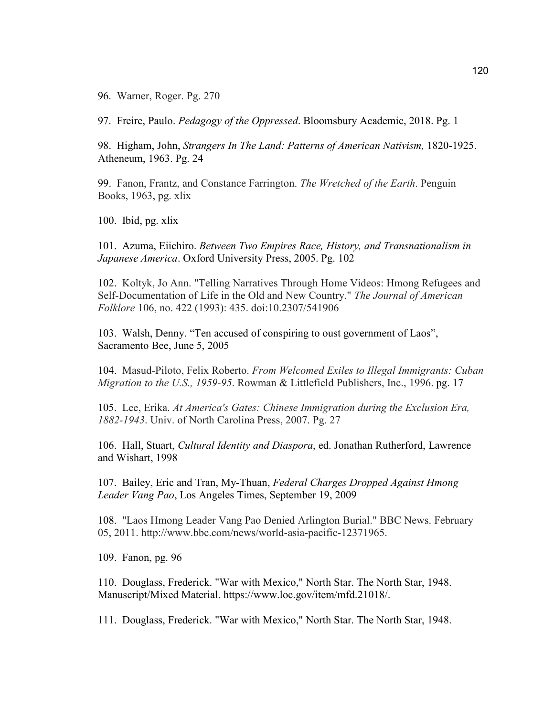96. Warner, Roger. Pg. 270

97. Freire, Paulo. *Pedagogy of the Oppressed*. Bloomsbury Academic, 2018. Pg. 1

98. Higham, John, *Strangers In The Land: Patterns of American Nativism,* 1820-1925. Atheneum, 1963. Pg. 24

99. Fanon, Frantz, and Constance Farrington. *The Wretched of the Earth*. Penguin Books, 1963, pg. xlix

100. Ibid, pg. xlix

101. Azuma, Eiichiro. *Between Two Empires Race, History, and Transnationalism in Japanese America*. Oxford University Press, 2005. Pg. 102

102. Koltyk, Jo Ann. "Telling Narratives Through Home Videos: Hmong Refugees and Self-Documentation of Life in the Old and New Country." *The Journal of American Folklore* 106, no. 422 (1993): 435. doi:10.2307/541906

103. Walsh, Denny. "Ten accused of conspiring to oust government of Laos", Sacramento Bee, June 5, 2005

104. Masud-Piloto, Felix Roberto. *From Welcomed Exiles to Illegal Immigrants: Cuban Migration to the U.S., 1959-95*. Rowman & Littlefield Publishers, Inc., 1996. pg. 17

105. Lee, Erika. *At America's Gates: Chinese Immigration during the Exclusion Era, 1882-1943*. Univ. of North Carolina Press, 2007. Pg. 27

106. Hall, Stuart, *Cultural Identity and Diaspora*, ed. Jonathan Rutherford, Lawrence and Wishart, 1998

107. Bailey, Eric and Tran, My-Thuan, *Federal Charges Dropped Against Hmong Leader Vang Pao*, Los Angeles Times, September 19, 2009

108. "Laos Hmong Leader Vang Pao Denied Arlington Burial." BBC News. February 05, 2011. http://www.bbc.com/news/world-asia-pacific-12371965.

109. Fanon, pg. 96

110. Douglass, Frederick. "War with Mexico," North Star. The North Star, 1948. Manuscript/Mixed Material. https://www.loc.gov/item/mfd.21018/.

111. Douglass, Frederick. "War with Mexico," North Star. The North Star, 1948.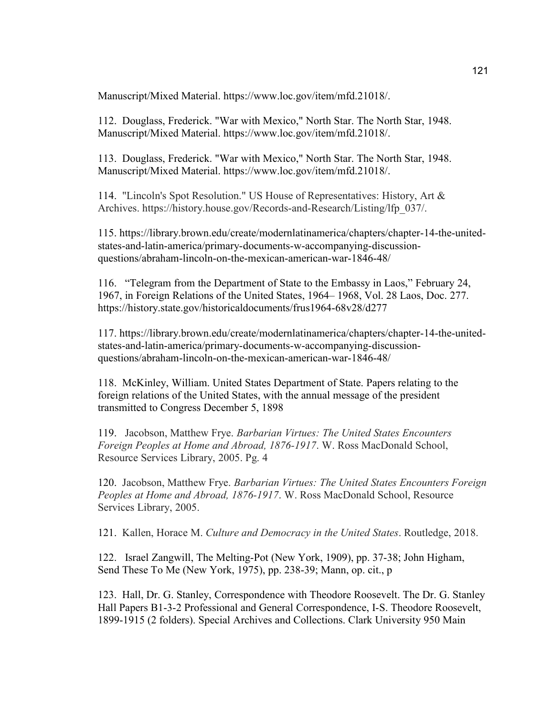Manuscript/Mixed Material. https://www.loc.gov/item/mfd.21018/.

112. Douglass, Frederick. "War with Mexico," North Star. The North Star, 1948. Manuscript/Mixed Material. https://www.loc.gov/item/mfd.21018/.

113. Douglass, Frederick. "War with Mexico," North Star. The North Star, 1948. Manuscript/Mixed Material. https://www.loc.gov/item/mfd.21018/.

114. "Lincoln's Spot Resolution." US House of Representatives: History, Art & Archives. https://history.house.gov/Records-and-Research/Listing/lfp\_037/.

115. https://library.brown.edu/create/modernlatinamerica/chapters/chapter-14-the-unitedstates-and-latin-america/primary-documents-w-accompanying-discussionquestions/abraham-lincoln-on-the-mexican-american-war-1846-48/

116. "Telegram from the Department of State to the Embassy in Laos," February 24, 1967, in Foreign Relations of the United States, 1964– 1968, Vol. 28 Laos, Doc. 277. https://history.state.gov/historicaldocuments/frus1964-68v28/d277

117. https://library.brown.edu/create/modernlatinamerica/chapters/chapter-14-the-unitedstates-and-latin-america/primary-documents-w-accompanying-discussionquestions/abraham-lincoln-on-the-mexican-american-war-1846-48/

118. McKinley, William. United States Department of State. Papers relating to the foreign relations of the United States, with the annual message of the president transmitted to Congress December 5, 1898

119. Jacobson, Matthew Frye. *Barbarian Virtues: The United States Encounters Foreign Peoples at Home and Abroad, 1876-1917*. W. Ross MacDonald School, Resource Services Library, 2005. Pg. 4

120. Jacobson, Matthew Frye. *Barbarian Virtues: The United States Encounters Foreign Peoples at Home and Abroad, 1876-1917*. W. Ross MacDonald School, Resource Services Library, 2005.

121. Kallen, Horace M. *Culture and Democracy in the United States*. Routledge, 2018.

122. Israel Zangwill, The Melting-Pot (New York, 1909), pp. 37-38; John Higham, Send These To Me (New York, 1975), pp. 238-39; Mann, op. cit., p

123. Hall, Dr. G. Stanley, Correspondence with Theodore Roosevelt. The Dr. G. Stanley Hall Papers B1-3-2 Professional and General Correspondence, I-S. Theodore Roosevelt, 1899-1915 (2 folders). Special Archives and Collections. Clark University 950 Main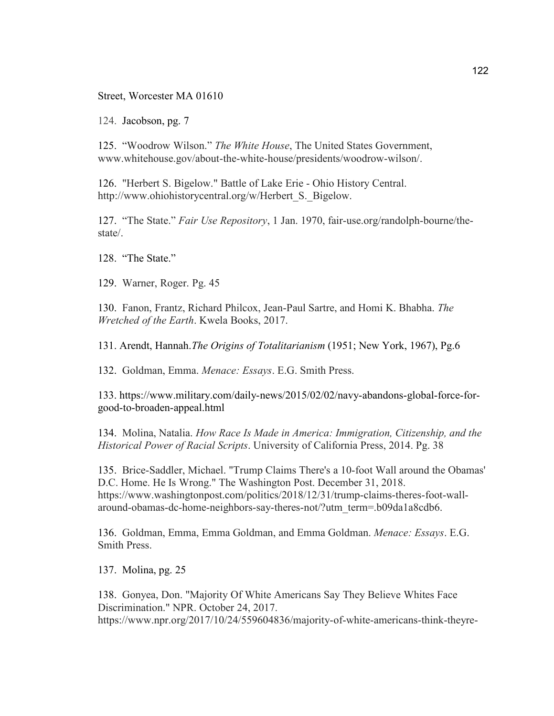Street, Worcester MA 01610

124. Jacobson, pg. 7

125. "Woodrow Wilson." *The White House*, The United States Government, www.whitehouse.gov/about-the-white-house/presidents/woodrow-wilson/.

126. "Herbert S. Bigelow." Battle of Lake Erie - Ohio History Central. http://www.ohiohistorycentral.org/w/Herbert S. Bigelow.

127. "The State." *Fair Use Repository*, 1 Jan. 1970, fair-use.org/randolph-bourne/thestate/.

128. "The State."

129. Warner, Roger. Pg. 45

130. Fanon, Frantz, Richard Philcox, Jean-Paul Sartre, and Homi K. Bhabha. *The Wretched of the Earth*. Kwela Books, 2017.

131. Arendt, Hannah.*The Origins of Totalitarianism* (1951; New York, 1967), Pg.6

132. Goldman, Emma. *Menace: Essays*. E.G. Smith Press.

133. https://www.military.com/daily-news/2015/02/02/navy-abandons-global-force-forgood-to-broaden-appeal.html

134. Molina, Natalia. *How Race Is Made in America: Immigration, Citizenship, and the Historical Power of Racial Scripts*. University of California Press, 2014. Pg. 38

135. Brice-Saddler, Michael. "Trump Claims There's a 10-foot Wall around the Obamas' D.C. Home. He Is Wrong." The Washington Post. December 31, 2018. https://www.washingtonpost.com/politics/2018/12/31/trump-claims-theres-foot-wallaround-obamas-dc-home-neighbors-say-theres-not/?utm\_term=.b09da1a8cdb6.

136. Goldman, Emma, Emma Goldman, and Emma Goldman. *Menace: Essays*. E.G. Smith Press.

137. Molina, pg. 25

138. Gonyea, Don. "Majority Of White Americans Say They Believe Whites Face Discrimination." NPR. October 24, 2017. https://www.npr.org/2017/10/24/559604836/majority-of-white-americans-think-theyre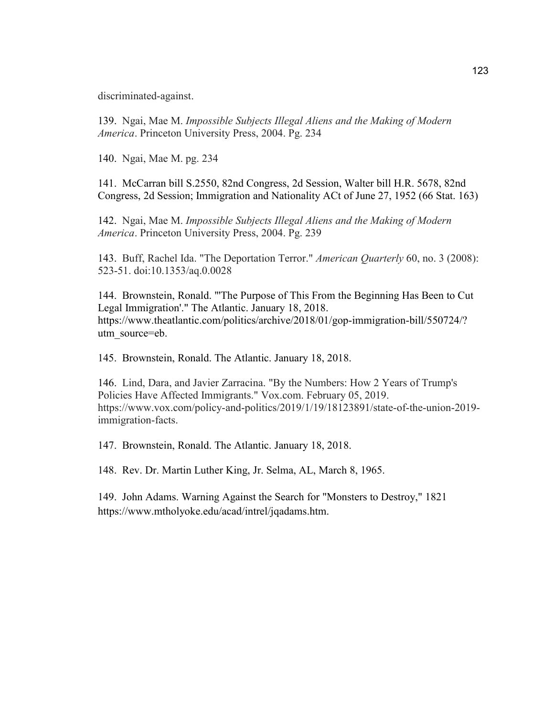discriminated-against.

139. Ngai, Mae M. *Impossible Subjects Illegal Aliens and the Making of Modern America*. Princeton University Press, 2004. Pg. 234

140. Ngai, Mae M. pg. 234

141. McCarran bill S.2550, 82nd Congress, 2d Session, Walter bill H.R. 5678, 82nd Congress, 2d Session; Immigration and Nationality ACt of June 27, 1952 (66 Stat. 163)

142. Ngai, Mae M. *Impossible Subjects Illegal Aliens and the Making of Modern America*. Princeton University Press, 2004. Pg. 239

143. Buff, Rachel Ida. "The Deportation Terror." *American Quarterly* 60, no. 3 (2008): 523-51. doi:10.1353/aq.0.0028

144. Brownstein, Ronald. "'The Purpose of This From the Beginning Has Been to Cut Legal Immigration'." The Atlantic. January 18, 2018. https://www.theatlantic.com/politics/archive/2018/01/gop-immigration-bill/550724/? utm\_source=eb.

145. Brownstein, Ronald. The Atlantic. January 18, 2018.

146. Lind, Dara, and Javier Zarracina. "By the Numbers: How 2 Years of Trump's Policies Have Affected Immigrants." Vox.com. February 05, 2019. https://www.vox.com/policy-and-politics/2019/1/19/18123891/state-of-the-union-2019 immigration-facts.

147. Brownstein, Ronald. The Atlantic. January 18, 2018.

148. Rev. Dr. Martin Luther King, Jr. Selma, AL, March 8, 1965.

149. John Adams. Warning Against the Search for "Monsters to Destroy," 1821 https://www.mtholyoke.edu/acad/intrel/jqadams.htm.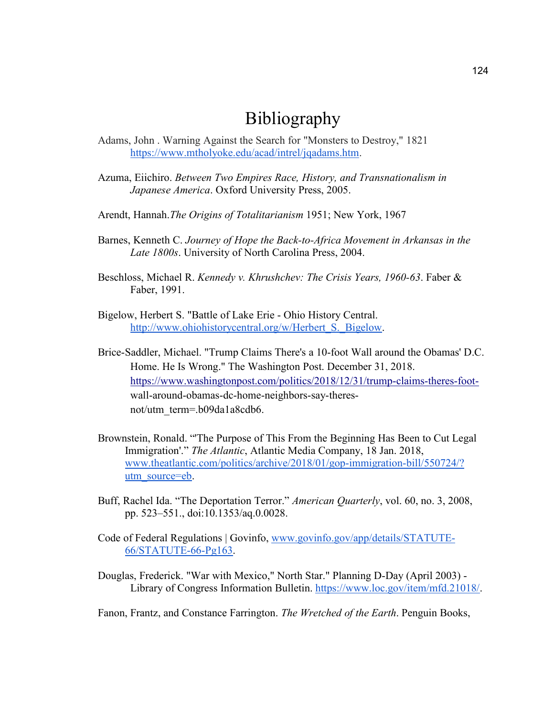## Bibliography

- Adams, John . Warning Against the Search for "Monsters to Destroy," 1821 https://www.mtholyoke.edu/acad/intrel/jqadams.htm.
- Azuma, Eiichiro. *Between Two Empires Race, History, and Transnationalism in Japanese America*. Oxford University Press, 2005.
- Arendt, Hannah.*The Origins of Totalitarianism* 1951; New York, 1967
- Barnes, Kenneth C. *Journey of Hope the Back-to-Africa Movement in Arkansas in the Late 1800s*. University of North Carolina Press, 2004.
- Beschloss, Michael R. *Kennedy v. Khrushchev: The Crisis Years, 1960-63*. Faber & Faber, 1991.
- Bigelow, Herbert S. "Battle of Lake Erie Ohio History Central. http://www.ohiohistorycentral.org/w/Herbert S. Bigelow.
- Brice-Saddler, Michael. "Trump Claims There's a 10-foot Wall around the Obamas' D.C. Home. He Is Wrong." The Washington Post. December 31, 2018. https://www.washingtonpost.com/politics/2018/12/31/trump-claims-theres-footwall-around-obamas-dc-home-neighbors-say-theresnot/utm\_term=.b09da1a8cdb6.
- Brownstein, Ronald. "'The Purpose of This From the Beginning Has Been to Cut Legal Immigration'." *The Atlantic*, Atlantic Media Company, 18 Jan. 2018, www.theatlantic.com/politics/archive/2018/01/gop-immigration-bill/550724/? utm\_source=eb.
- Buff, Rachel Ida. "The Deportation Terror." *American Quarterly*, vol. 60, no. 3, 2008, pp. 523–551., doi:10.1353/aq.0.0028.
- Code of Federal Regulations | Govinfo, www.govinfo.gov/app/details/STATUTE-66/STATUTE-66-Pg163.
- Douglas, Frederick. "War with Mexico," North Star." Planning D-Day (April 2003) Library of Congress Information Bulletin. https://www.loc.gov/item/mfd.21018/.

Fanon, Frantz, and Constance Farrington. *The Wretched of the Earth*. Penguin Books,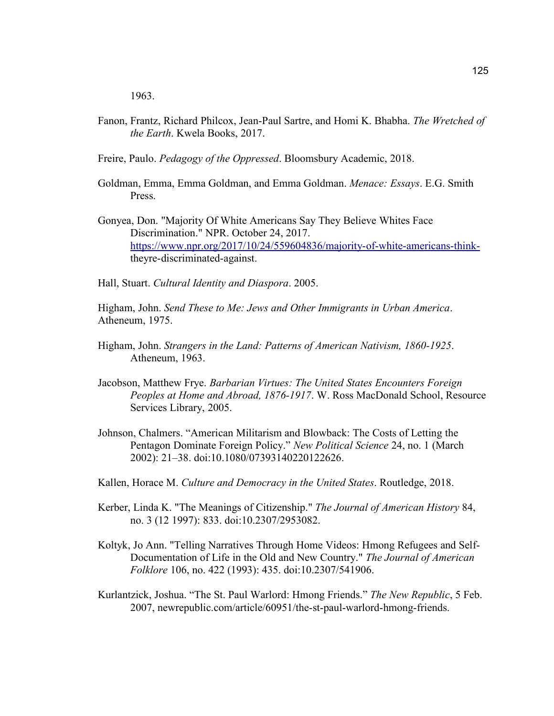1963.

- Fanon, Frantz, Richard Philcox, Jean-Paul Sartre, and Homi K. Bhabha. *The Wretched of the Earth*. Kwela Books, 2017.
- Freire, Paulo. *Pedagogy of the Oppressed*. Bloomsbury Academic, 2018.
- Goldman, Emma, Emma Goldman, and Emma Goldman. *Menace: Essays*. E.G. Smith Press.
- Gonyea, Don. "Majority Of White Americans Say They Believe Whites Face Discrimination." NPR. October 24, 2017. https://www.npr.org/2017/10/24/559604836/majority-of-white-americans-thinktheyre-discriminated-against.
- Hall, Stuart. *Cultural Identity and Diaspora*. 2005.

Higham, John. *Send These to Me: Jews and Other Immigrants in Urban America*. Atheneum, 1975.

- Higham, John. *Strangers in the Land: Patterns of American Nativism, 1860-1925*. Atheneum, 1963.
- Jacobson, Matthew Frye. *Barbarian Virtues: The United States Encounters Foreign Peoples at Home and Abroad, 1876-1917*. W. Ross MacDonald School, Resource Services Library, 2005.
- Johnson, Chalmers. "American Militarism and Blowback: The Costs of Letting the Pentagon Dominate Foreign Policy." *New Political Science* 24, no. 1 (March 2002): 21–38. doi:10.1080/07393140220122626.
- Kallen, Horace M. *Culture and Democracy in the United States*. Routledge, 2018.
- Kerber, Linda K. "The Meanings of Citizenship." *The Journal of American History* 84, no. 3 (12 1997): 833. doi:10.2307/2953082.
- Koltyk, Jo Ann. "Telling Narratives Through Home Videos: Hmong Refugees and Self-Documentation of Life in the Old and New Country." *The Journal of American Folklore* 106, no. 422 (1993): 435. doi:10.2307/541906.
- Kurlantzick, Joshua. "The St. Paul Warlord: Hmong Friends." *The New Republic*, 5 Feb. 2007, newrepublic.com/article/60951/the-st-paul-warlord-hmong-friends.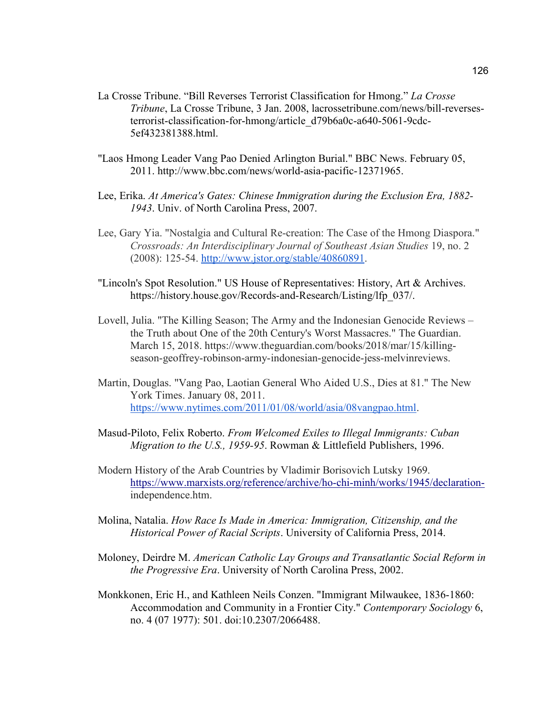- La Crosse Tribune. "Bill Reverses Terrorist Classification for Hmong." *La Crosse Tribune*, La Crosse Tribune, 3 Jan. 2008, lacrossetribune.com/news/bill-reversesterrorist-classification-for-hmong/article\_d79b6a0c-a640-5061-9cdc-5ef432381388.html.
- "Laos Hmong Leader Vang Pao Denied Arlington Burial." BBC News. February 05, 2011. http://www.bbc.com/news/world-asia-pacific-12371965.
- Lee, Erika. *At America's Gates: Chinese Immigration during the Exclusion Era, 1882- 1943*. Univ. of North Carolina Press, 2007.
- Lee, Gary Yia. "Nostalgia and Cultural Re-creation: The Case of the Hmong Diaspora." *Crossroads: An Interdisciplinary Journal of Southeast Asian Studies* 19, no. 2 (2008): 125-54. http://www.jstor.org/stable/40860891.
- "Lincoln's Spot Resolution." US House of Representatives: History, Art & Archives. https://history.house.gov/Records-and-Research/Listing/lfp\_037/.
- Lovell, Julia. "The Killing Season; The Army and the Indonesian Genocide Reviews the Truth about One of the 20th Century's Worst Massacres." The Guardian. March 15, 2018. https://www.theguardian.com/books/2018/mar/15/killingseason-geoffrey-robinson-army-indonesian-genocide-jess-melvinreviews.
- Martin, Douglas. "Vang Pao, Laotian General Who Aided U.S., Dies at 81." The New York Times. January 08, 2011. https://www.nytimes.com/2011/01/08/world/asia/08vangpao.html.
- Masud-Piloto, Felix Roberto. *From Welcomed Exiles to Illegal Immigrants: Cuban Migration to the U.S., 1959-95*. Rowman & Littlefield Publishers, 1996.
- Modern History of the Arab Countries by Vladimir Borisovich Lutsky 1969. https://www.marxists.org/reference/archive/ho-chi-minh/works/1945/declarationindependence.htm.
- Molina, Natalia. *How Race Is Made in America: Immigration, Citizenship, and the Historical Power of Racial Scripts*. University of California Press, 2014.
- Moloney, Deirdre M. *American Catholic Lay Groups and Transatlantic Social Reform in the Progressive Era*. University of North Carolina Press, 2002.
- Monkkonen, Eric H., and Kathleen Neils Conzen. "Immigrant Milwaukee, 1836-1860: Accommodation and Community in a Frontier City." *Contemporary Sociology* 6, no. 4 (07 1977): 501. doi:10.2307/2066488.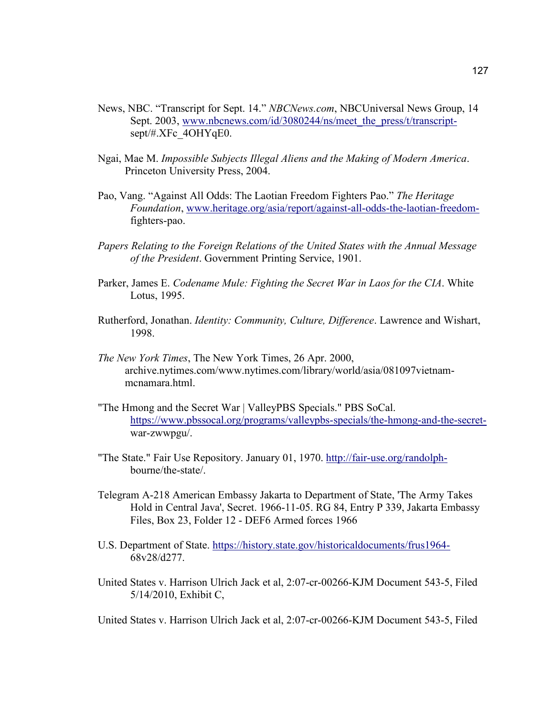- News, NBC. "Transcript for Sept. 14." *NBCNews.com*, NBCUniversal News Group, 14 Sept. 2003, www.nbcnews.com/id/3080244/ns/meet the press/t/transcriptsept/#.XFc\_4OHYqE0.
- Ngai, Mae M. *Impossible Subjects Illegal Aliens and the Making of Modern America*. Princeton University Press, 2004.
- Pao, Vang. "Against All Odds: The Laotian Freedom Fighters Pao." *The Heritage Foundation*, www.heritage.org/asia/report/against-all-odds-the-laotian-freedomfighters-pao.
- *Papers Relating to the Foreign Relations of the United States with the Annual Message of the President*. Government Printing Service, 1901.
- Parker, James E. *Codename Mule: Fighting the Secret War in Laos for the CIA*. White Lotus, 1995.
- Rutherford, Jonathan. *Identity: Community, Culture, Difference*. Lawrence and Wishart, 1998.
- *The New York Times*, The New York Times, 26 Apr. 2000, archive.nytimes.com/www.nytimes.com/library/world/asia/081097vietnammcnamara.html.
- "The Hmong and the Secret War | ValleyPBS Specials." PBS SoCal. https://www.pbssocal.org/programs/valleypbs-specials/the-hmong-and-the-secretwar-zwwpgu/.
- "The State." Fair Use Repository. January 01, 1970. http://fair-use.org/randolphbourne/the-state/.
- Telegram A-218 American Embassy Jakarta to Department of State, 'The Army Takes Hold in Central Java', Secret. 1966-11-05. RG 84, Entry P 339, Jakarta Embassy Files, Box 23, Folder 12 - DEF6 Armed forces 1966
- U.S. Department of State. https://history.state.gov/historicaldocuments/frus1964- 68v28/d277.
- United States v. Harrison Ulrich Jack et al, 2:07-cr-00266-KJM Document 543-5, Filed 5/14/2010, Exhibit C,

United States v. Harrison Ulrich Jack et al, 2:07-cr-00266-KJM Document 543-5, Filed